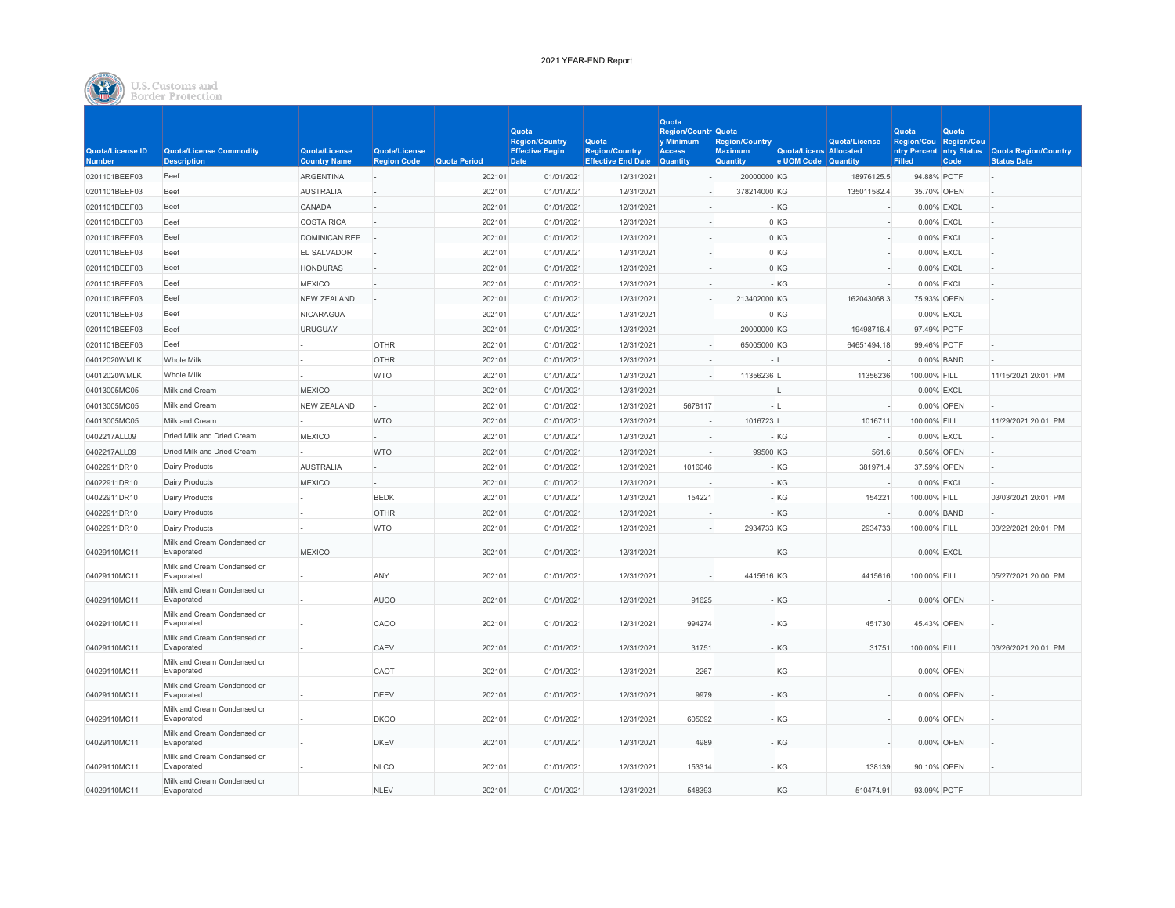

# U.S. Customs and

| Quota/License ID<br><b>Number</b> | Quota/License Commodity<br><b>Description</b> | Quota/License<br><b>Country Name</b> | Quota/License<br><b>Region Code</b> | <b>Quota Period</b> | Quota<br><b>Region/Country</b><br><b>Effective Begin</b><br>Date | Quota<br><b>Region/Country</b><br><b>Effective End Date Quantity</b> | Quota<br><b>Region/Countr Quota</b><br>y Minimum<br><b>Access</b> | <b>Region/Country</b><br><b>Maximum</b><br><b>Quantity</b> | Quota/Licens Allocated<br>e UOM Code Quantity | Quota/License | Quota<br>Region/Cou Region/Cou<br><b>Filled</b> | Quota<br>Code | ntry Percent ntry Status Quota Region/Country<br><b>Status Date</b> |
|-----------------------------------|-----------------------------------------------|--------------------------------------|-------------------------------------|---------------------|------------------------------------------------------------------|----------------------------------------------------------------------|-------------------------------------------------------------------|------------------------------------------------------------|-----------------------------------------------|---------------|-------------------------------------------------|---------------|---------------------------------------------------------------------|
| 0201101BEEF03                     | Beef                                          | <b>ARGENTINA</b>                     |                                     | 202101              | 01/01/2021                                                       | 12/31/2021                                                           |                                                                   | 20000000 KG                                                |                                               | 18976125.5    | 94.88% POTF                                     |               |                                                                     |
| 0201101BEEF03                     | Beef                                          | <b>AUSTRALIA</b>                     |                                     | 202101              | 01/01/2021                                                       | 12/31/2021                                                           |                                                                   | 378214000 KG                                               |                                               | 135011582.4   | 35,70% OPEN                                     |               |                                                                     |
| 0201101BEEF03                     | Beef                                          | CANADA                               |                                     | 202101              | 01/01/2021                                                       | 12/31/2021                                                           |                                                                   |                                                            | - KG                                          |               | 0.00% EXCL                                      |               |                                                                     |
| 0201101BEEF03                     | Beef                                          | <b>COSTA RICA</b>                    |                                     | 202101              | 01/01/2021                                                       | 12/31/2021                                                           |                                                                   |                                                            | 0 KG                                          |               | 0.00% EXCL                                      |               |                                                                     |
| 0201101BEEF03                     | Beef                                          | <b>DOMINICAN REP.</b>                |                                     | 202101              | 01/01/2021                                                       | 12/31/2021                                                           |                                                                   |                                                            | 0 KG                                          |               | 0.00% EXCL                                      |               |                                                                     |
| 0201101BEEF03                     | Beef                                          | EL SALVADOR                          |                                     | 202101              | 01/01/2021                                                       | 12/31/2021                                                           |                                                                   |                                                            | 0 KG                                          |               | 0.00% EXCL                                      |               |                                                                     |
| 0201101BEEF03                     | Beef                                          | <b>HONDURAS</b>                      |                                     | 202101              | 01/01/2021                                                       | 12/31/2021                                                           |                                                                   |                                                            | 0 KG                                          |               | 0.00% EXCL                                      |               |                                                                     |
| 0201101BEEF03                     | Beef                                          | <b>MEXICO</b>                        |                                     | 202101              | 01/01/2021                                                       | 12/31/2021                                                           |                                                                   |                                                            | - KG                                          |               | 0.00% EXCL                                      |               |                                                                     |
| 0201101BEEF03                     | Beef                                          | <b>NEW ZEALAND</b>                   |                                     | 202101              | 01/01/2021                                                       | 12/31/2021                                                           |                                                                   | 213402000 KG                                               |                                               | 162043068.3   | 75.93% OPEN                                     |               |                                                                     |
| 0201101BEEF03                     | Beef                                          | <b>NICARAGUA</b>                     |                                     | 202101              | 01/01/2021                                                       | 12/31/2021                                                           |                                                                   |                                                            | 0 KG                                          |               | 0.00% EXCL                                      |               |                                                                     |
| 0201101BEEF03                     | Beef                                          | <b>URUGUAY</b>                       |                                     | 202101              | 01/01/2021                                                       | 12/31/2021                                                           |                                                                   | 20000000 KG                                                |                                               | 19498716.4    | 97.49% POTF                                     |               |                                                                     |
| 0201101BEEF03                     | Beef                                          |                                      | <b>OTHR</b>                         | 202101              | 01/01/2021                                                       | 12/31/2021                                                           |                                                                   | 65005000 KG                                                |                                               | 64651494.18   | 99.46% POTF                                     |               |                                                                     |
| 04012020WMLK                      | Whole Milk                                    |                                      | OTHR                                | 202101              | 01/01/2021                                                       | 12/31/2021                                                           |                                                                   |                                                            | $-1$                                          |               |                                                 | 0.00% BAND    |                                                                     |
| 04012020WMLK                      | <b>Whole Milk</b>                             |                                      | <b>WTO</b>                          | 202101              | 01/01/2021                                                       | 12/31/2021                                                           |                                                                   | 11356236 L                                                 |                                               | 11356236      | 100.00% FILL                                    |               | 11/15/2021 20:01: PM                                                |
| 04013005MC05                      | Milk and Cream                                | <b>MEXICO</b>                        |                                     | 202101              | 01/01/2021                                                       | 12/31/2021                                                           |                                                                   | $-11$                                                      |                                               |               | 0.00% EXCL                                      |               |                                                                     |
| 04013005MC05                      | Milk and Cream                                | <b>NEW ZEALAND</b>                   |                                     | 202101              | 01/01/2021                                                       | 12/31/2021                                                           | 5678117                                                           | $-1$                                                       |                                               |               |                                                 | 0.00% OPEN    |                                                                     |
| 04013005MC05                      | Milk and Cream                                |                                      | <b>WTO</b>                          | 202101              | 01/01/2021                                                       | 12/31/2021                                                           |                                                                   | 1016723 L                                                  |                                               | 1016711       | 100.00% FILL                                    |               | 11/29/2021 20:01: PM                                                |
| 0402217ALL09                      | Dried Milk and Dried Cream                    | <b>MEXICO</b>                        |                                     | 202101              | 01/01/2021                                                       | 12/31/2021                                                           |                                                                   |                                                            | $-KG$                                         |               | 0.00% EXCL                                      |               |                                                                     |
| 0402217ALL09                      | Dried Milk and Dried Cream                    |                                      | <b>WTO</b>                          | 202101              | 01/01/2021                                                       | 12/31/2021                                                           |                                                                   | 99500 KG                                                   |                                               | 561.6         |                                                 | 0.56% OPEN    |                                                                     |
| 04022911DR10                      | Dairy Products                                | <b>AUSTRALIA</b>                     |                                     | 202101              | 01/01/2021                                                       | 12/31/2021                                                           | 1016046                                                           |                                                            | - KG                                          | 381971.4      | 37.59% OPEN                                     |               |                                                                     |
| 04022911DR10                      | Dairy Products                                | <b>MEXICO</b>                        |                                     | 202101              | 01/01/2021                                                       | 12/31/2021                                                           |                                                                   |                                                            | $-KG$                                         |               | 0.00% EXCL                                      |               |                                                                     |
| 04022911DR10                      | <b>Dairy Products</b>                         |                                      | <b>BEDK</b>                         | 202101              | 01/01/2021                                                       | 12/31/2021                                                           | 154221                                                            |                                                            | - KG                                          | 154221        | 100.00% FILL                                    |               | 03/03/2021 20:01: PM                                                |
| 04022911DR10                      | Dairy Products                                |                                      | OTHR                                | 202101              | 01/01/2021                                                       | 12/31/2021                                                           |                                                                   |                                                            | - KG                                          |               |                                                 | 0.00% BAND    |                                                                     |
| 04022911DR10                      | Dairy Products                                |                                      | <b>WTO</b>                          | 202101              | 01/01/2021                                                       | 12/31/2021                                                           |                                                                   | 2934733 KG                                                 |                                               | 2934733       | 100.00% FILL                                    |               | 03/22/2021 20:01: PM                                                |
| 04029110MC11                      | Milk and Cream Condensed or<br>Evaporated     | <b>MEXICO</b>                        |                                     | 202101              | 01/01/2021                                                       | 12/31/2021                                                           |                                                                   |                                                            | KG                                            |               | 0.00% EXCL                                      |               |                                                                     |
| 04029110MC11                      | Milk and Cream Condensed or<br>Evaporated     |                                      | ANY                                 | 202101              | 01/01/2021                                                       | 12/31/2021                                                           |                                                                   | 4415616 KG                                                 |                                               | 4415616       | 100.00% FILL                                    |               | 05/27/2021 20:00: PM                                                |
| 04029110MC11                      | Milk and Cream Condensed or<br>Evaporated     |                                      | <b>AUCO</b>                         | 202101              | 01/01/2021                                                       | 12/31/2021                                                           | 91625                                                             |                                                            | - KG                                          |               |                                                 | 0.00% OPEN    |                                                                     |
| 04029110MC11                      | Milk and Cream Condensed or<br>Evaporated     |                                      | CACO                                | 202101              | 01/01/2021                                                       | 12/31/2021                                                           | 994274                                                            |                                                            | $-KG$                                         | 451730        | 45.43% OPEN                                     |               |                                                                     |
| 04029110MC11                      | Milk and Cream Condensed or<br>Evaporated     |                                      | CAEV                                | 202101              | 01/01/2021                                                       | 12/31/2021                                                           | 31751                                                             |                                                            | - KG                                          | 31751         | 100.00% FILL                                    |               | 03/26/2021 20:01: PM                                                |
| 04029110MC11                      | Milk and Cream Condensed or<br>Evaporated     |                                      | CAOT                                | 202101              | 01/01/2021                                                       | 12/31/2021                                                           | 2267                                                              |                                                            | $-KG$                                         |               |                                                 | 0.00% OPEN    |                                                                     |
| 04029110MC11                      | Milk and Cream Condensed or<br>Evaporated     |                                      | DEEV                                | 202101              | 01/01/2021                                                       | 12/31/2021                                                           | 9979                                                              |                                                            | $-KG$                                         |               |                                                 | 0.00% OPEN    |                                                                     |
| 04029110MC11                      | Milk and Cream Condensed or<br>Evaporated     |                                      | <b>DKCO</b>                         | 202101              | 01/01/2021                                                       | 12/31/2021                                                           | 605092                                                            |                                                            | · KG                                          |               |                                                 | 0.00% OPEN    |                                                                     |
| 04029110MC11                      | Milk and Cream Condensed or<br>Evaporated     |                                      | <b>DKEV</b>                         | 202101              | 01/01/2021                                                       | 12/31/2021                                                           | 4989                                                              |                                                            | - KG                                          |               |                                                 | 0.00% OPEN    |                                                                     |
| 04029110MC11                      | Milk and Cream Condensed or<br>Evaporated     |                                      | <b>NLCO</b>                         | 202101              | 01/01/2021                                                       | 12/31/2021                                                           | 153314                                                            |                                                            | KG                                            | 138139        | 90.10% OPEN                                     |               |                                                                     |
| 04029110MC11                      | Milk and Cream Condensed or<br>Evaporated     |                                      | <b>NLEV</b>                         | 202101              | 01/01/2021                                                       | 12/31/2021                                                           | 548393                                                            |                                                            | - KG                                          | 510474.91     | 93.09% POTF                                     |               |                                                                     |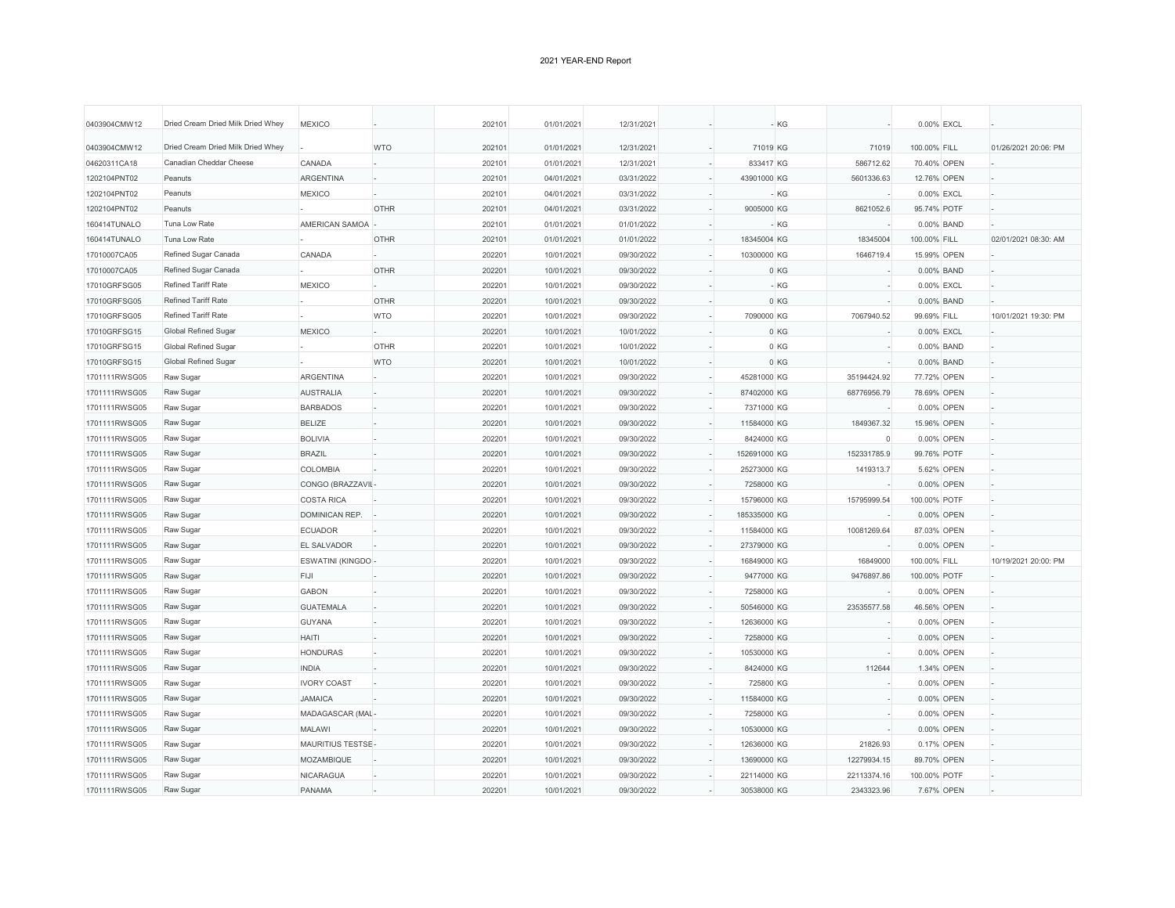| 0403904CMW12<br>Dried Cream Dried Milk Dried Whey<br><b>WTO</b><br>202101<br>01/01/2021<br>12/31/2021<br>71019 KG<br>100.00% FILL<br>01/26/2021 20:06: PM<br>71019<br>04620311CA18<br>Canadian Cheddar Cheese<br>CANADA<br>202101<br>01/01/2021<br>12/31/2021<br>833417 KG<br>586712.62<br>70.40% OPEN<br>Peanuts<br>1202104PNT02<br><b>ARGENTINA</b><br>202101<br>04/01/2021<br>03/31/2022<br>43901000 KG<br>5601336.63<br>12.76% OPEN<br>1202104PNT02<br>Peanuts<br><b>MEXICO</b><br>202101<br>04/01/2021<br>03/31/2022<br>- KG<br>0.00% EXCL<br>1202104PNT02<br>Peanuts<br><b>OTHR</b><br>202101<br>04/01/2021<br>9005000 KG<br>8621052.6<br>03/31/2022<br>95.74% POTF<br>160414TUNALO<br>Tuna Low Rate<br>AMERICAN SAMOA<br>202101<br>01/01/2021<br>01/01/2022<br>- KG<br>0.00% BAND<br>160414TUNALO<br>Tuna Low Rate<br><b>OTHR</b><br>202101<br>01/01/2021<br>01/01/2022<br>18345004 KG<br>18345004<br>100.00% FILL<br>02/01/2021 08:30: AM<br>17010007CA05<br>Refined Sugar Canada<br>CANADA<br>202201<br>10/01/2021<br>09/30/2022<br>10300000 KG<br>1646719.4<br>15.99% OPEN<br><b>OTHR</b><br>202201<br>17010007CA05<br>Refined Sugar Canada<br>10/01/2021<br>09/30/2022<br>0 KG<br>0.00% BAND<br>17010GRFSG05<br>MEXICO<br>10/01/2021<br>09/30/2022<br><b>Refined Tariff Rate</b><br>202201<br>$-KG$<br>0.00% EXCL |  |
|------------------------------------------------------------------------------------------------------------------------------------------------------------------------------------------------------------------------------------------------------------------------------------------------------------------------------------------------------------------------------------------------------------------------------------------------------------------------------------------------------------------------------------------------------------------------------------------------------------------------------------------------------------------------------------------------------------------------------------------------------------------------------------------------------------------------------------------------------------------------------------------------------------------------------------------------------------------------------------------------------------------------------------------------------------------------------------------------------------------------------------------------------------------------------------------------------------------------------------------------------------------------------------------------------------------------------|--|
|                                                                                                                                                                                                                                                                                                                                                                                                                                                                                                                                                                                                                                                                                                                                                                                                                                                                                                                                                                                                                                                                                                                                                                                                                                                                                                                              |  |
|                                                                                                                                                                                                                                                                                                                                                                                                                                                                                                                                                                                                                                                                                                                                                                                                                                                                                                                                                                                                                                                                                                                                                                                                                                                                                                                              |  |
|                                                                                                                                                                                                                                                                                                                                                                                                                                                                                                                                                                                                                                                                                                                                                                                                                                                                                                                                                                                                                                                                                                                                                                                                                                                                                                                              |  |
|                                                                                                                                                                                                                                                                                                                                                                                                                                                                                                                                                                                                                                                                                                                                                                                                                                                                                                                                                                                                                                                                                                                                                                                                                                                                                                                              |  |
|                                                                                                                                                                                                                                                                                                                                                                                                                                                                                                                                                                                                                                                                                                                                                                                                                                                                                                                                                                                                                                                                                                                                                                                                                                                                                                                              |  |
|                                                                                                                                                                                                                                                                                                                                                                                                                                                                                                                                                                                                                                                                                                                                                                                                                                                                                                                                                                                                                                                                                                                                                                                                                                                                                                                              |  |
|                                                                                                                                                                                                                                                                                                                                                                                                                                                                                                                                                                                                                                                                                                                                                                                                                                                                                                                                                                                                                                                                                                                                                                                                                                                                                                                              |  |
|                                                                                                                                                                                                                                                                                                                                                                                                                                                                                                                                                                                                                                                                                                                                                                                                                                                                                                                                                                                                                                                                                                                                                                                                                                                                                                                              |  |
|                                                                                                                                                                                                                                                                                                                                                                                                                                                                                                                                                                                                                                                                                                                                                                                                                                                                                                                                                                                                                                                                                                                                                                                                                                                                                                                              |  |
|                                                                                                                                                                                                                                                                                                                                                                                                                                                                                                                                                                                                                                                                                                                                                                                                                                                                                                                                                                                                                                                                                                                                                                                                                                                                                                                              |  |
| Refined Tariff Rate<br><b>OTHR</b><br>17010GRFSG05<br>202201<br>10/01/2021<br>09/30/2022<br>0 KG<br>0.00% BAND                                                                                                                                                                                                                                                                                                                                                                                                                                                                                                                                                                                                                                                                                                                                                                                                                                                                                                                                                                                                                                                                                                                                                                                                               |  |
| 17010GRFSG05<br><b>Refined Tariff Rate</b><br><b>WTO</b><br>202201<br>10/01/2021<br>09/30/2022<br>7090000 KG<br>7067940.52<br>99.69% FILL<br>10/01/2021 19:30: PM                                                                                                                                                                                                                                                                                                                                                                                                                                                                                                                                                                                                                                                                                                                                                                                                                                                                                                                                                                                                                                                                                                                                                            |  |
| <b>MEXICO</b><br>17010GRFSG15<br><b>Global Refined Sugar</b><br>202201<br>10/01/2021<br>10/01/2022<br>0 KG<br>0.00% EXCL                                                                                                                                                                                                                                                                                                                                                                                                                                                                                                                                                                                                                                                                                                                                                                                                                                                                                                                                                                                                                                                                                                                                                                                                     |  |
| 17010GRFSG15<br><b>Global Refined Sugar</b><br><b>OTHR</b><br>10/01/2021<br>0 KG<br>202201<br>10/01/2022<br>0.00% BAND                                                                                                                                                                                                                                                                                                                                                                                                                                                                                                                                                                                                                                                                                                                                                                                                                                                                                                                                                                                                                                                                                                                                                                                                       |  |
| 17010GRFSG15<br><b>Global Refined Sugar</b><br><b>WTO</b><br>202201<br>10/01/2021<br>10/01/2022<br>0 KG<br>0.00% BAND                                                                                                                                                                                                                                                                                                                                                                                                                                                                                                                                                                                                                                                                                                                                                                                                                                                                                                                                                                                                                                                                                                                                                                                                        |  |
| Raw Sugar<br><b>ARGENTINA</b><br>45281000 KG<br>35194424.92<br>1701111RWSG05<br>202201<br>10/01/2021<br>09/30/2022<br>77.72% OPEN                                                                                                                                                                                                                                                                                                                                                                                                                                                                                                                                                                                                                                                                                                                                                                                                                                                                                                                                                                                                                                                                                                                                                                                            |  |
| Raw Sugar<br><b>AUSTRALIA</b><br>202201<br>10/01/2021<br>09/30/2022<br>87402000 KG<br>78.69% OPEN<br>1701111RWSG05<br>68776956.79                                                                                                                                                                                                                                                                                                                                                                                                                                                                                                                                                                                                                                                                                                                                                                                                                                                                                                                                                                                                                                                                                                                                                                                            |  |
| 1701111RWSG05<br>Raw Sugar<br><b>BARBADOS</b><br>202201<br>10/01/2021<br>09/30/2022<br>7371000 KG<br>0.00% OPEN                                                                                                                                                                                                                                                                                                                                                                                                                                                                                                                                                                                                                                                                                                                                                                                                                                                                                                                                                                                                                                                                                                                                                                                                              |  |
| <b>BELIZE</b><br>1701111RWSG05<br>Raw Sugar<br>202201<br>10/01/2021<br>09/30/2022<br>11584000 KG<br>1849367.32<br>15.96% OPEN                                                                                                                                                                                                                                                                                                                                                                                                                                                                                                                                                                                                                                                                                                                                                                                                                                                                                                                                                                                                                                                                                                                                                                                                |  |
| <b>BOLIVIA</b><br>09/30/2022<br>8424000 KG<br>1701111RWSG05<br>Raw Sugar<br>202201<br>10/01/2021<br>$\Omega$<br>0.00% OPEN                                                                                                                                                                                                                                                                                                                                                                                                                                                                                                                                                                                                                                                                                                                                                                                                                                                                                                                                                                                                                                                                                                                                                                                                   |  |
| 1701111RWSG05<br>Raw Sugar<br><b>BRAZIL</b><br>202201<br>10/01/2021<br>09/30/2022<br>152691000 KG<br>152331785.9<br>99.76% POTF                                                                                                                                                                                                                                                                                                                                                                                                                                                                                                                                                                                                                                                                                                                                                                                                                                                                                                                                                                                                                                                                                                                                                                                              |  |
| COLOMBIA<br>202201<br>1701111RWSG05<br>Raw Sugar<br>10/01/2021<br>09/30/2022<br>25273000 KG<br>1419313.7<br>5.62% OPEN                                                                                                                                                                                                                                                                                                                                                                                                                                                                                                                                                                                                                                                                                                                                                                                                                                                                                                                                                                                                                                                                                                                                                                                                       |  |
| Raw Sugar<br>CONGO (BRAZZAVII<br>202201<br>10/01/2021<br>09/30/2022<br>7258000 KG<br>1701111RWSG05<br>0.00% OPEN                                                                                                                                                                                                                                                                                                                                                                                                                                                                                                                                                                                                                                                                                                                                                                                                                                                                                                                                                                                                                                                                                                                                                                                                             |  |
| Raw Sugar<br><b>COSTA RICA</b><br>10/01/2021<br>09/30/2022<br>15796000 KG<br>15795999.54<br>1701111RWSG05<br>202201<br>100.00% POTF                                                                                                                                                                                                                                                                                                                                                                                                                                                                                                                                                                                                                                                                                                                                                                                                                                                                                                                                                                                                                                                                                                                                                                                          |  |
| 1701111RWSG05<br>Raw Sugar<br><b>DOMINICAN REP.</b><br>202201<br>10/01/2021<br>09/30/2022<br>185335000 KG<br>0.00% OPEN                                                                                                                                                                                                                                                                                                                                                                                                                                                                                                                                                                                                                                                                                                                                                                                                                                                                                                                                                                                                                                                                                                                                                                                                      |  |
| Raw Sugar<br><b>ECUADOR</b><br>202201<br>10081269.64<br>1701111RWSG05<br>10/01/2021<br>09/30/2022<br>11584000 KG<br>87.03% OPEN                                                                                                                                                                                                                                                                                                                                                                                                                                                                                                                                                                                                                                                                                                                                                                                                                                                                                                                                                                                                                                                                                                                                                                                              |  |
| Raw Sugar<br><b>EL SALVADOR</b><br>202201<br>10/01/2021<br>09/30/2022<br>27379000 KG<br>1701111RWSG05<br>0.00% OPEN                                                                                                                                                                                                                                                                                                                                                                                                                                                                                                                                                                                                                                                                                                                                                                                                                                                                                                                                                                                                                                                                                                                                                                                                          |  |
| 1701111RWSG05<br>Raw Sugar<br><b>ESWATINI (KINGDO)</b><br>202201<br>10/01/2021<br>09/30/2022<br>16849000 KG<br>16849000<br>100.00% FILL<br>10/19/2021 20:00: PM                                                                                                                                                                                                                                                                                                                                                                                                                                                                                                                                                                                                                                                                                                                                                                                                                                                                                                                                                                                                                                                                                                                                                              |  |
| FIJI<br>Raw Sugar<br>202201<br>10/01/2021<br>09/30/2022<br>9477000 KG<br>9476897.86<br>1701111RWSG05<br>100.00% POTF                                                                                                                                                                                                                                                                                                                                                                                                                                                                                                                                                                                                                                                                                                                                                                                                                                                                                                                                                                                                                                                                                                                                                                                                         |  |
| <b>GABON</b><br>7258000 KG<br>1701111RWSG05<br>Raw Sugar<br>202201<br>10/01/2021<br>09/30/2022<br>0.00% OPEN                                                                                                                                                                                                                                                                                                                                                                                                                                                                                                                                                                                                                                                                                                                                                                                                                                                                                                                                                                                                                                                                                                                                                                                                                 |  |
| 1701111RWSG05<br>Raw Sugar<br><b>GUATEMALA</b><br>202201<br>10/01/2021<br>09/30/2022<br>50546000 KG<br>23535577.58<br>46.56% OPEN                                                                                                                                                                                                                                                                                                                                                                                                                                                                                                                                                                                                                                                                                                                                                                                                                                                                                                                                                                                                                                                                                                                                                                                            |  |
| 1701111RWSG05<br>Raw Sugar<br>GUYANA<br>202201<br>10/01/2021<br>12636000 KG<br>0.00% OPEN<br>09/30/2022                                                                                                                                                                                                                                                                                                                                                                                                                                                                                                                                                                                                                                                                                                                                                                                                                                                                                                                                                                                                                                                                                                                                                                                                                      |  |
| <b>HAITI</b><br>202201<br>10/01/2021<br>09/30/2022<br>7258000 KG<br>1701111RWSG05<br>Raw Sugar<br>0.00% OPEN                                                                                                                                                                                                                                                                                                                                                                                                                                                                                                                                                                                                                                                                                                                                                                                                                                                                                                                                                                                                                                                                                                                                                                                                                 |  |
| Raw Sugar<br><b>HONDURAS</b><br>1701111RWSG05<br>202201<br>10/01/2021<br>09/30/2022<br>10530000 KG<br>0.00% OPEN                                                                                                                                                                                                                                                                                                                                                                                                                                                                                                                                                                                                                                                                                                                                                                                                                                                                                                                                                                                                                                                                                                                                                                                                             |  |
| 1701111RWSG05<br>Raw Sugar<br><b>INDIA</b><br>202201<br>10/01/2021<br>09/30/2022<br>8424000 KG<br>112644<br>1.34% OPEN                                                                                                                                                                                                                                                                                                                                                                                                                                                                                                                                                                                                                                                                                                                                                                                                                                                                                                                                                                                                                                                                                                                                                                                                       |  |
| <b>IVORY COAST</b><br>1701111RWSG05<br>Raw Sugar<br>202201<br>10/01/2021<br>09/30/2022<br>725800 KG<br>0.00% OPEN                                                                                                                                                                                                                                                                                                                                                                                                                                                                                                                                                                                                                                                                                                                                                                                                                                                                                                                                                                                                                                                                                                                                                                                                            |  |
| 1701111RWSG05<br>Raw Sugar<br><b>JAMAICA</b><br>202201<br>10/01/2021<br>09/30/2022<br>11584000 KG<br>0.00% OPEN                                                                                                                                                                                                                                                                                                                                                                                                                                                                                                                                                                                                                                                                                                                                                                                                                                                                                                                                                                                                                                                                                                                                                                                                              |  |
| 1701111RWSG05<br>MADAGASCAR (MAL<br>202201<br>10/01/2021<br>09/30/2022<br>7258000 KG<br>0.00% OPEN<br>Raw Sugar                                                                                                                                                                                                                                                                                                                                                                                                                                                                                                                                                                                                                                                                                                                                                                                                                                                                                                                                                                                                                                                                                                                                                                                                              |  |
| Raw Sugar<br><b>MALAWI</b><br>202201<br>09/30/2022<br>1701111RWSG05<br>10/01/2021<br>10530000 KG<br>0.00% OPEN                                                                                                                                                                                                                                                                                                                                                                                                                                                                                                                                                                                                                                                                                                                                                                                                                                                                                                                                                                                                                                                                                                                                                                                                               |  |
| MAURITIUS TESTSE<br>202201<br>10/01/2021<br>09/30/2022<br>12636000 KG<br>21826.93<br>1701111RWSG05<br>Raw Sugar<br>0.17% OPEN                                                                                                                                                                                                                                                                                                                                                                                                                                                                                                                                                                                                                                                                                                                                                                                                                                                                                                                                                                                                                                                                                                                                                                                                |  |
| 1701111RWSG05<br>Raw Sugar<br>MOZAMBIQUE<br>202201<br>10/01/2021<br>09/30/2022<br>13690000 KG<br>12279934.15<br>89.70% OPEN                                                                                                                                                                                                                                                                                                                                                                                                                                                                                                                                                                                                                                                                                                                                                                                                                                                                                                                                                                                                                                                                                                                                                                                                  |  |
| 1701111RWSG05<br>Raw Sugar<br><b>NICARAGUA</b><br>202201<br>10/01/2021<br>09/30/2022<br>22114000 KG<br>22113374.16<br>100.00% POTF                                                                                                                                                                                                                                                                                                                                                                                                                                                                                                                                                                                                                                                                                                                                                                                                                                                                                                                                                                                                                                                                                                                                                                                           |  |
| 1701111RWSG05<br>Raw Sugar<br>PANAMA<br>202201<br>10/01/2021<br>09/30/2022<br>30538000 KG<br>2343323.96<br>7.67% OPEN                                                                                                                                                                                                                                                                                                                                                                                                                                                                                                                                                                                                                                                                                                                                                                                                                                                                                                                                                                                                                                                                                                                                                                                                        |  |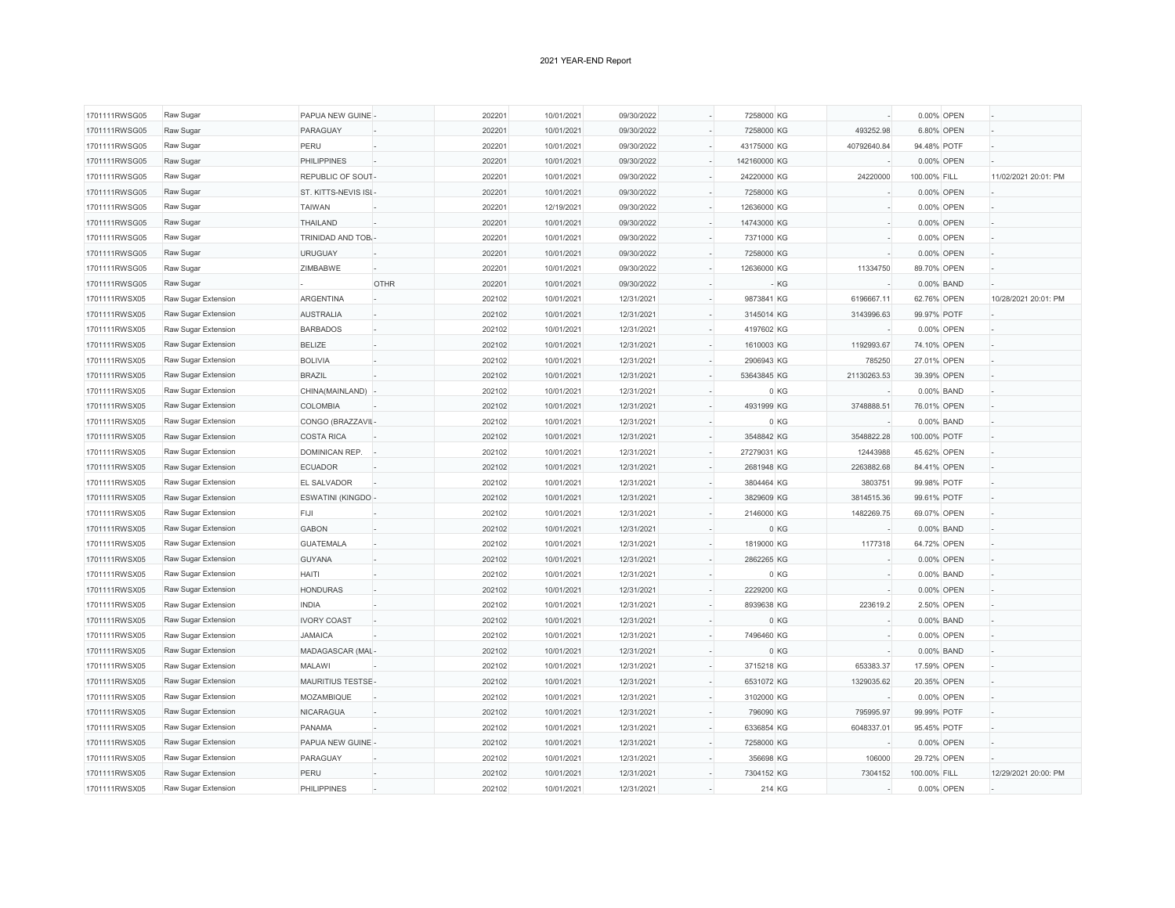| 1701111RWSG05 | Raw Sugar           | PAPUA NEW GUINE      |      | 202201 | 10/01/2021 | 09/30/2022 | 7258000 KG   |             |              | 0.00% OPEN |                      |
|---------------|---------------------|----------------------|------|--------|------------|------------|--------------|-------------|--------------|------------|----------------------|
| 1701111RWSG05 | Raw Sugar           | PARAGUAY             |      | 202201 | 10/01/2021 | 09/30/2022 | 7258000 KG   | 493252.98   |              | 6.80% OPEN |                      |
| 1701111RWSG05 | Raw Sugar           | PERU                 |      | 202201 | 10/01/2021 | 09/30/2022 | 43175000 KG  | 40792640.84 | 94.48% POTF  |            |                      |
| 1701111RWSG05 | Raw Sugar           | <b>PHILIPPINES</b>   |      | 202201 | 10/01/2021 | 09/30/2022 | 142160000 KG |             |              | 0.00% OPEN |                      |
| 1701111RWSG05 | Raw Sugar           | REPUBLIC OF SOUT     |      | 202201 | 10/01/2021 | 09/30/2022 | 24220000 KG  | 24220000    | 100.00% FILL |            | 11/02/2021 20:01: PM |
| 1701111RWSG05 | Raw Sugar           | ST. KITTS-NEVIS ISL  |      | 202201 | 10/01/2021 | 09/30/2022 | 7258000 KG   |             |              | 0.00% OPEN |                      |
| 1701111RWSG05 | Raw Sugar           | <b>TAIWAN</b>        |      | 202201 | 12/19/2021 | 09/30/2022 | 12636000 KG  |             |              | 0.00% OPEN |                      |
| 1701111RWSG05 | Raw Sugar           | THAILAND             |      | 202201 | 10/01/2021 | 09/30/2022 | 14743000 KG  |             |              | 0.00% OPEN |                      |
| 1701111RWSG05 | Raw Sugar           | TRINIDAD AND TOB.    |      | 202201 | 10/01/2021 | 09/30/2022 | 7371000 KG   |             |              | 0.00% OPEN |                      |
| 1701111RWSG05 | Raw Sugar           | <b>URUGUAY</b>       |      | 202201 | 10/01/2021 | 09/30/2022 | 7258000 KG   |             |              | 0.00% OPEN |                      |
| 1701111RWSG05 | Raw Sugar           | ZIMBABWE             |      | 202201 | 10/01/2021 | 09/30/2022 | 12636000 KG  | 11334750    | 89.70% OPEN  |            |                      |
| 1701111RWSG05 | Raw Sugar           |                      | OTHR | 202201 | 10/01/2021 | 09/30/2022 |              | $-KG$       |              | 0.00% BAND |                      |
| 1701111RWSX05 | Raw Sugar Extension | <b>ARGENTINA</b>     |      | 202102 | 10/01/2021 | 12/31/2021 | 9873841 KG   | 6196667.11  | 62.76% OPEN  |            | 10/28/2021 20:01: PM |
| 1701111RWSX05 | Raw Sugar Extension | <b>AUSTRALIA</b>     |      | 202102 | 10/01/2021 | 12/31/2021 | 3145014 KG   | 3143996.63  | 99.97% POTF  |            |                      |
| 1701111RWSX05 | Raw Sugar Extension | <b>BARBADOS</b>      |      | 202102 | 10/01/2021 | 12/31/2021 | 4197602 KG   |             |              | 0.00% OPEN |                      |
| 1701111RWSX05 | Raw Sugar Extension | <b>BELIZE</b>        |      | 202102 | 10/01/2021 | 12/31/2021 | 1610003 KG   | 1192993.67  | 74.10% OPEN  |            |                      |
| 1701111RWSX05 | Raw Sugar Extension | <b>BOLIVIA</b>       |      | 202102 | 10/01/2021 | 12/31/2021 | 2906943 KG   | 785250      | 27.01% OPEN  |            |                      |
| 1701111RWSX05 | Raw Sugar Extension | <b>BRAZIL</b>        |      | 202102 | 10/01/2021 | 12/31/2021 | 53643845 KG  | 21130263.53 | 39.39% OPEN  |            |                      |
| 1701111RWSX05 | Raw Sugar Extension | CHINA(MAINLAND)      |      | 202102 | 10/01/2021 | 12/31/2021 |              | 0 KG        |              | 0.00% BAND |                      |
| 1701111RWSX05 | Raw Sugar Extension | <b>COLOMBIA</b>      |      | 202102 | 10/01/2021 | 12/31/2021 | 4931999 KG   | 3748888.51  | 76.01% OPEN  |            |                      |
| 1701111RWSX05 | Raw Sugar Extension | CONGO (BRAZZAVII-    |      | 202102 | 10/01/2021 | 12/31/2021 |              | 0 KG        |              | 0.00% BAND |                      |
| 1701111RWSX05 | Raw Sugar Extension | <b>COSTA RICA</b>    |      | 202102 | 10/01/2021 | 12/31/2021 | 3548842 KG   | 3548822.28  | 100.00% POTF |            |                      |
| 1701111RWSX05 | Raw Sugar Extension | <b>DOMINICAN REP</b> |      | 202102 | 10/01/2021 | 12/31/2021 | 27279031 KG  | 12443988    | 45.62% OPEN  |            |                      |
| 1701111RWSX05 | Raw Sugar Extension | <b>ECUADOR</b>       |      | 202102 | 10/01/2021 | 12/31/2021 | 2681948 KG   | 2263882.68  | 84.41% OPEN  |            |                      |
| 1701111RWSX05 | Raw Sugar Extension | EL SALVADOR          |      | 202102 | 10/01/2021 | 12/31/2021 | 3804464 KG   | 3803751     | 99.98% POTF  |            |                      |
| 1701111RWSX05 | Raw Sugar Extension | ESWATINI (KINGDO-    |      | 202102 | 10/01/2021 | 12/31/2021 | 3829609 KG   | 3814515.36  | 99.61% POTF  |            |                      |
| 1701111RWSX05 | Raw Sugar Extension | FIJI                 |      | 202102 | 10/01/2021 | 12/31/2021 | 2146000 KG   | 1482269.75  | 69.07% OPEN  |            |                      |
| 1701111RWSX05 | Raw Sugar Extension | <b>GABON</b>         |      | 202102 | 10/01/2021 | 12/31/2021 |              | 0 KG        |              | 0.00% BAND |                      |
| 1701111RWSX05 | Raw Sugar Extension | <b>GUATEMALA</b>     |      | 202102 | 10/01/2021 | 12/31/2021 | 1819000 KG   | 1177318     | 64.72% OPEN  |            |                      |
| 1701111RWSX05 | Raw Sugar Extension | <b>GUYANA</b>        |      | 202102 | 10/01/2021 | 12/31/2021 | 2862265 KG   |             |              | 0.00% OPEN |                      |
| 1701111RWSX05 | Raw Sugar Extension | <b>HAITI</b>         |      | 202102 | 10/01/2021 | 12/31/2021 |              | 0 KG        |              | 0.00% BAND |                      |
| 1701111RWSX05 | Raw Sugar Extension | <b>HONDURAS</b>      |      | 202102 | 10/01/2021 | 12/31/2021 | 2229200 KG   |             |              | 0.00% OPEN |                      |
| 1701111RWSX05 | Raw Sugar Extension | <b>INDIA</b>         |      | 202102 | 10/01/2021 | 12/31/2021 | 8939638 KG   | 223619.2    |              | 2.50% OPEN |                      |
| 1701111RWSX05 | Raw Sugar Extension | <b>IVORY COAST</b>   |      | 202102 | 10/01/2021 | 12/31/2021 |              | 0 KG        |              | 0.00% BAND |                      |
| 1701111RWSX05 | Raw Sugar Extension | <b>JAMAICA</b>       |      | 202102 | 10/01/2021 | 12/31/2021 | 7496460 KG   |             |              | 0.00% OPEN |                      |
| 1701111RWSX05 | Raw Sugar Extension | MADAGASCAR (MAL      |      | 202102 | 10/01/2021 | 12/31/2021 |              | 0 KG        |              | 0.00% BAND |                      |
| 1701111RWSX05 | Raw Sugar Extension | <b>MALAWI</b>        |      | 202102 | 10/01/2021 | 12/31/2021 | 3715218 KG   | 653383.37   | 17.59% OPEN  |            |                      |
| 1701111RWSX05 | Raw Sugar Extension | MAURITIUS TESTSE-    |      | 202102 | 10/01/2021 | 12/31/2021 | 6531072 KG   | 1329035.62  | 20.35% OPEN  |            |                      |
| 1701111RWSX05 | Raw Sugar Extension | MOZAMBIQUE           |      | 202102 | 10/01/2021 | 12/31/2021 | 3102000 KG   |             |              | 0.00% OPEN |                      |
| 1701111RWSX05 | Raw Sugar Extension | <b>NICARAGUA</b>     |      | 202102 | 10/01/2021 | 12/31/2021 | 796090 KG    | 795995.97   | 99.99% POTF  |            |                      |
| 1701111RWSX05 | Raw Sugar Extension | <b>PANAMA</b>        |      | 202102 | 10/01/2021 | 12/31/2021 | 6336854 KG   | 6048337.01  | 95.45% POTF  |            |                      |
| 1701111RWSX05 | Raw Sugar Extension | PAPUA NEW GUINE      |      | 202102 | 10/01/2021 | 12/31/2021 | 7258000 KG   |             |              | 0.00% OPEN |                      |
| 1701111RWSX05 | Raw Sugar Extension | PARAGUAY             |      | 202102 | 10/01/2021 | 12/31/2021 | 356698 KG    | 106000      | 29.72% OPEN  |            |                      |
| 1701111RWSX05 | Raw Sugar Extension | PERU                 |      | 202102 | 10/01/2021 | 12/31/2021 | 7304152 KG   | 7304152     | 100.00% FILL |            | 12/29/2021 20:00: PM |
| 1701111RWSX05 | Raw Sugar Extension | <b>PHILIPPINES</b>   |      | 202102 | 10/01/2021 | 12/31/2021 | 214 KG       |             |              | 0.00% OPEN |                      |
|               |                     |                      |      |        |            |            |              |             |              |            |                      |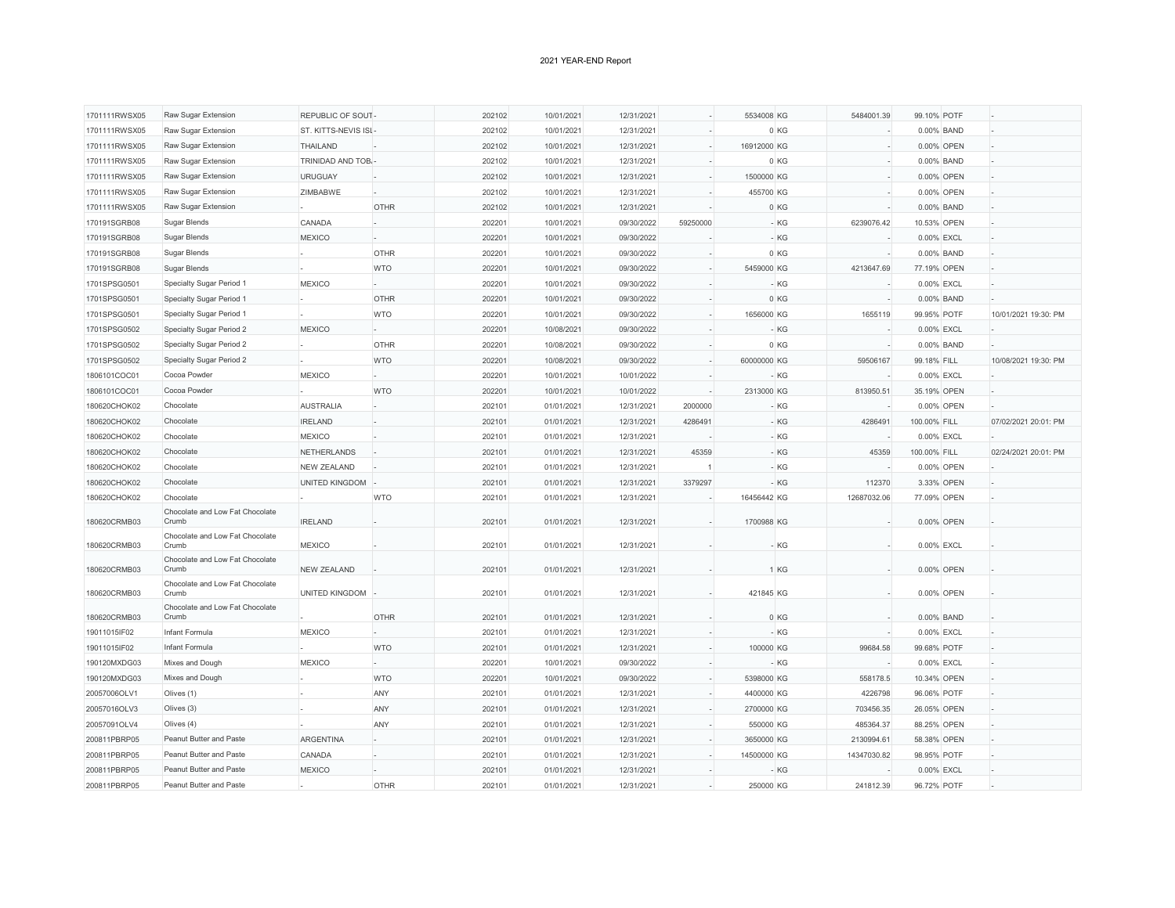| 1701111RWSX05 | Raw Sugar Extension                      | REPUBLIC OF SOUT-   |             | 202102 | 10/01/2021 | 12/31/2021 |          | 5534008 KG  | 5484001.39         | 99.10% POTF  |            |                      |
|---------------|------------------------------------------|---------------------|-------------|--------|------------|------------|----------|-------------|--------------------|--------------|------------|----------------------|
| 1701111RWSX05 | Raw Sugar Extension                      | ST. KITTS-NEVIS ISI |             | 202102 | 10/01/2021 | 12/31/2021 |          | 0 KG        |                    |              | 0.00% BAND |                      |
| 1701111RWSX05 | Raw Sugar Extension                      | THAILAND            |             | 202102 | 10/01/2021 | 12/31/2021 |          | 16912000 KG |                    |              | 0.00% OPEN |                      |
| 1701111RWSX05 | Raw Sugar Extension                      | TRINIDAD AND TOB.   |             | 202102 | 10/01/2021 | 12/31/2021 |          | 0 KG        |                    |              | 0.00% BAND |                      |
| 1701111RWSX05 | Raw Sugar Extension                      | <b>URUGUAY</b>      |             | 202102 | 10/01/2021 | 12/31/2021 |          | 1500000 KG  |                    |              | 0.00% OPEN |                      |
| 1701111RWSX05 | Raw Sugar Extension                      | ZIMBABWE            |             | 202102 | 10/01/2021 | 12/31/2021 |          | 455700 KG   |                    |              | 0.00% OPEN |                      |
| 1701111RWSX05 | Raw Sugar Extension                      |                     | <b>OTHR</b> | 202102 | 10/01/2021 | 12/31/2021 |          | 0 KG        |                    |              | 0.00% BAND |                      |
| 170191SGRB08  | Sugar Blends                             | CANADA              |             | 202201 | 10/01/2021 | 09/30/2022 | 59250000 |             | 6239076.42<br>- KG | 10.53% OPEN  |            |                      |
| 170191SGRB08  | Sugar Blends                             | MEXICO              |             | 202201 | 10/01/2021 | 09/30/2022 |          |             | - KG               | 0.00% EXCL   |            |                      |
| 170191SGRB08  | Sugar Blends                             |                     | <b>OTHR</b> | 202201 | 10/01/2021 | 09/30/2022 |          | 0 KG        |                    |              | 0.00% BAND |                      |
| 170191SGRB08  | Sugar Blends                             |                     | <b>WTO</b>  | 202201 | 10/01/2021 | 09/30/2022 |          | 5459000 KG  | 4213647.69         | 77.19% OPEN  |            |                      |
| 1701SPSG0501  | Specialty Sugar Period 1                 | MEXICO              |             | 202201 | 10/01/2021 | 09/30/2022 |          |             | - KG               | 0.00% EXCL   |            |                      |
| 1701SPSG0501  | Specialty Sugar Period 1                 |                     | <b>OTHR</b> | 202201 | 10/01/2021 | 09/30/2022 |          | 0 KG        |                    |              | 0.00% BAND |                      |
| 1701SPSG0501  | Specialty Sugar Period 1                 |                     | <b>WTO</b>  | 202201 | 10/01/2021 | 09/30/2022 |          | 1656000 KG  | 1655119            | 99.95% POTF  |            | 10/01/2021 19:30: PM |
| 1701SPSG0502  | Specialty Sugar Period 2                 | <b>MEXICO</b>       |             | 202201 | 10/08/2021 | 09/30/2022 |          |             | - KG               | 0.00% EXCL   |            |                      |
| 1701SPSG0502  | Specialty Sugar Period 2                 |                     | <b>OTHR</b> | 202201 | 10/08/2021 | 09/30/2022 |          | 0 KG        |                    |              | 0.00% BAND |                      |
| 1701SPSG0502  | Specialty Sugar Period 2                 |                     | <b>WTO</b>  | 202201 | 10/08/2021 | 09/30/2022 |          | 60000000 KG | 59506167           | 99.18% FILL  |            | 10/08/2021 19:30: PM |
| 1806101COC01  | Cocoa Powder                             | <b>MEXICO</b>       |             | 202201 | 10/01/2021 | 10/01/2022 |          |             | - KG               | 0.00% EXCL   |            |                      |
| 1806101COC01  | Cocoa Powder                             |                     | <b>WTO</b>  | 202201 | 10/01/2021 | 10/01/2022 |          | 2313000 KG  | 813950.51          | 35.19% OPEN  |            |                      |
| 180620CHOK02  | Chocolate                                | <b>AUSTRALIA</b>    |             | 202101 | 01/01/2021 | 12/31/2021 | 2000000  |             | - KG               |              | 0.00% OPEN |                      |
| 180620CHOK02  | Chocolate                                | <b>IRELAND</b>      |             | 202101 | 01/01/2021 | 12/31/2021 | 4286491  |             | - KG<br>4286491    | 100.00% FILL |            | 07/02/2021 20:01: PM |
| 180620CHOK02  | Chocolate                                | <b>MEXICO</b>       |             | 202101 | 01/01/2021 | 12/31/2021 |          |             | - KG               | 0.00% EXCL   |            |                      |
| 180620CHOK02  | Chocolate                                | <b>NETHERLANDS</b>  |             | 202101 | 01/01/2021 | 12/31/2021 | 45359    |             | - KG<br>45359      | 100.00% FILL |            | 02/24/2021 20:01: PM |
| 180620CHOK02  | Chocolate                                | <b>NEW ZEALAND</b>  |             | 202101 | 01/01/2021 | 12/31/2021 |          |             | - KG               |              | 0.00% OPEN |                      |
| 180620CHOK02  | Chocolate                                | UNITED KINGDOM      |             | 202101 | 01/01/2021 | 12/31/2021 | 3379297  |             | - KG<br>112370     |              | 3.33% OPEN |                      |
| 180620CHOK02  | Chocolate                                |                     | <b>WTO</b>  | 202101 | 01/01/2021 | 12/31/2021 |          | 16456442 KG | 12687032.06        | 77.09% OPEN  |            |                      |
| 180620CRMB03  | Chocolate and Low Fat Chocolate<br>Crumb | <b>IRELAND</b>      |             | 202101 | 01/01/2021 | 12/31/2021 |          | 1700988 KG  |                    |              | 0.00% OPEN |                      |
| 180620CRMB03  | Chocolate and Low Fat Chocolate<br>Crumb | <b>MEXICO</b>       |             | 202101 | 01/01/2021 | 12/31/2021 |          |             | - KG               | 0.00% EXCL   |            |                      |
|               | Chocolate and Low Fat Chocolate          |                     |             |        |            |            |          |             |                    |              |            |                      |
| 180620CRMB03  | Crumb<br>Chocolate and Low Fat Chocolate | <b>NEW ZEALAND</b>  |             | 202101 | 01/01/2021 | 12/31/2021 |          | 1 KG        |                    |              | 0.00% OPEN |                      |
| 180620CRMB03  | Crumb<br>Chocolate and Low Fat Chocolate | UNITED KINGDOM      |             | 202101 | 01/01/2021 | 12/31/2021 |          | 421845 KG   |                    |              | 0.00% OPEN |                      |
| 180620CRMB03  | Crumb                                    |                     | <b>OTHR</b> | 202101 | 01/01/2021 | 12/31/2021 |          | 0 KG        |                    |              | 0.00% BAND |                      |
| 19011015IF02  | Infant Formula                           | <b>MEXICO</b>       |             | 202101 | 01/01/2021 | 12/31/2021 |          |             | - KG               | 0.00% EXCL   |            |                      |
| 19011015IF02  | Infant Formula                           |                     | <b>WTO</b>  | 202101 | 01/01/2021 | 12/31/2021 |          | 100000 KG   | 99684.58           | 99.68% POTF  |            |                      |
| 190120MXDG03  | Mixes and Dough                          | <b>MEXICO</b>       |             | 202201 | 10/01/2021 | 09/30/2022 |          |             | - KG               | 0.00% EXCL   |            |                      |
| 190120MXDG03  | Mixes and Dough                          |                     | <b>WTO</b>  | 202201 | 10/01/2021 | 09/30/2022 |          | 5398000 KG  | 558178.5           | 10.34% OPEN  |            |                      |
| 20057006OLV1  | Olives (1)                               |                     | ANY         | 202101 | 01/01/2021 | 12/31/2021 |          | 4400000 KG  | 4226798            | 96.06% POTF  |            |                      |
| 20057016OLV3  | Olives (3)                               |                     | ANY         | 202101 | 01/01/2021 | 12/31/2021 |          | 2700000 KG  | 703456.35          | 26.05% OPEN  |            |                      |
| 20057091OLV4  | Olives (4)                               |                     | ANY         | 202101 | 01/01/2021 | 12/31/2021 |          | 550000 KG   | 485364.37          | 88.25% OPEN  |            |                      |
| 200811PBRP05  | Peanut Butter and Paste                  | <b>ARGENTINA</b>    |             | 202101 | 01/01/2021 | 12/31/2021 |          | 3650000 KG  | 2130994.61         | 58.38% OPEN  |            |                      |
| 200811PBRP05  | Peanut Butter and Paste                  | CANADA              |             | 202101 | 01/01/2021 | 12/31/2021 |          | 14500000 KG | 14347030.82        | 98.95% POTF  |            |                      |
| 200811PBRP05  | Peanut Butter and Paste                  | <b>MEXICO</b>       |             | 202101 | 01/01/2021 | 12/31/2021 |          |             | - KG               | 0.00% EXCL   |            |                      |
| 200811PBRP05  | Peanut Butter and Paste                  |                     | <b>OTHR</b> | 202101 | 01/01/2021 | 12/31/2021 |          | 250000 KG   | 241812.39          | 96.72% POTF  |            |                      |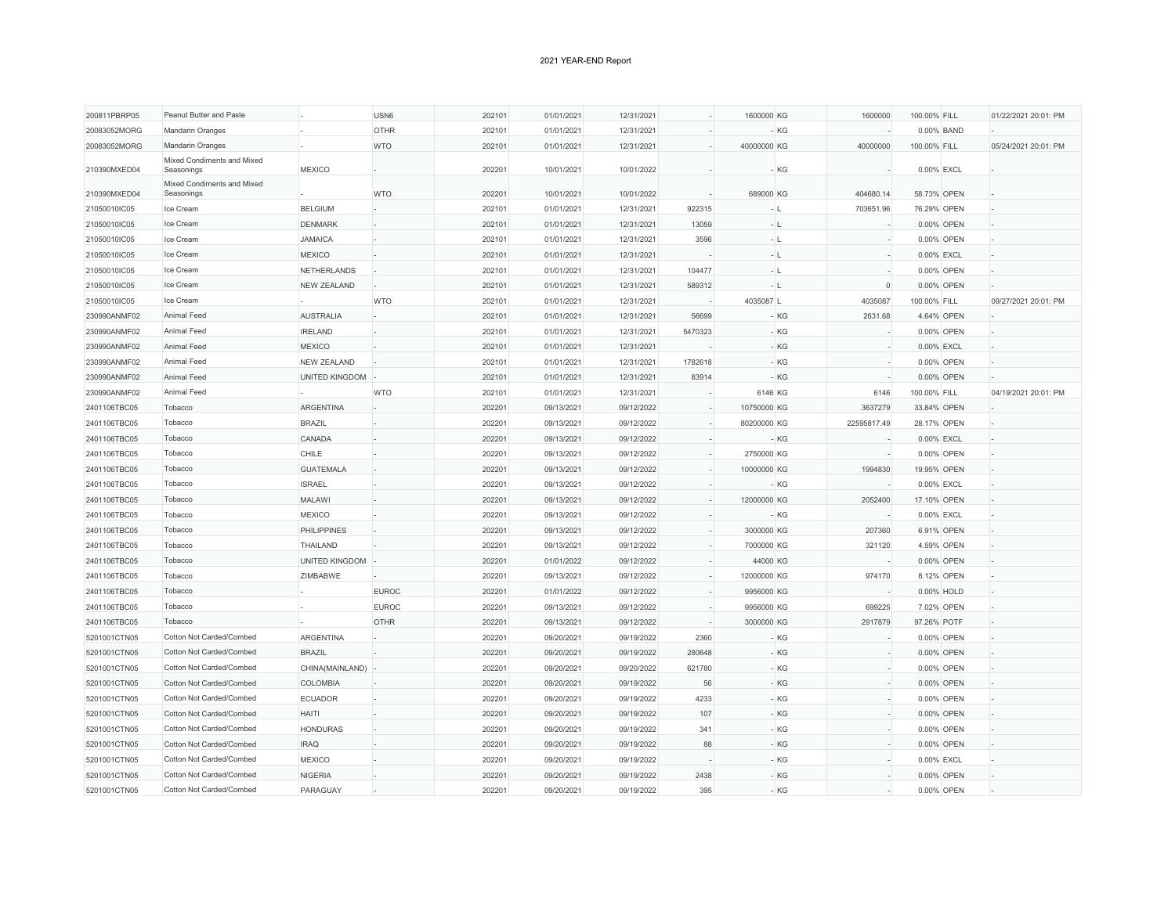| 200811PBRP05 | Peanut Butter and Paste                  |                    | USN6         | 202101 | 01/01/2021 | 12/31/2021 |         | 1600000 KG  |       | 1600000     | 100.00% FILL |            | 01/22/2021 20:01: PM |
|--------------|------------------------------------------|--------------------|--------------|--------|------------|------------|---------|-------------|-------|-------------|--------------|------------|----------------------|
| 20083052MORG | Mandarin Oranges                         |                    | <b>OTHR</b>  | 202101 | 01/01/2021 | 12/31/2021 |         |             | - KG  |             |              | 0.00% BAND |                      |
| 20083052MORG | Mandarin Oranges                         |                    | <b>WTO</b>   | 202101 | 01/01/2021 | 12/31/2021 |         | 40000000 KG |       | 40000000    | 100.00% FILL |            | 05/24/2021 20:01: PM |
|              | Mixed Condiments and Mixed               |                    |              |        |            |            |         |             |       |             |              |            |                      |
| 210390MXED04 | Seasonings                               | <b>MEXICO</b>      |              | 202201 | 10/01/2021 | 10/01/2022 |         |             | - KG  |             | 0.00% EXCL   |            |                      |
| 210390MXED04 | Mixed Condiments and Mixed<br>Seasonings |                    | <b>WTO</b>   | 202201 | 10/01/2021 | 10/01/2022 |         | 689000 KG   |       | 404680.14   | 58.73% OPEN  |            |                      |
| 21050010IC05 | Ice Cream                                | <b>BELGIUM</b>     |              | 202101 | 01/01/2021 | 12/31/2021 | 922315  | $-$ L       |       | 703651.96   | 76.29% OPEN  |            |                      |
| 21050010IC05 | Ice Cream                                | <b>DENMARK</b>     |              | 202101 | 01/01/2021 | 12/31/2021 | 13059   | $-1$        |       |             |              | 0.00% OPEN |                      |
| 21050010IC05 | Ice Cream                                | <b>JAMAICA</b>     |              | 202101 | 01/01/2021 | 12/31/2021 | 3596    | $-1$        |       |             |              | 0.00% OPEN |                      |
| 21050010IC05 | Ice Cream                                | <b>MEXICO</b>      |              | 202101 | 01/01/2021 | 12/31/2021 |         | $-1$        |       |             |              | 0.00% EXCL |                      |
| 21050010IC05 | Ice Cream                                | <b>NETHERLANDS</b> |              | 202101 | 01/01/2021 | 12/31/2021 | 104477  | $-$ L       |       |             |              | 0.00% OPEN |                      |
| 21050010IC05 | Ice Cream                                | <b>NEW ZEALAND</b> |              | 202101 | 01/01/2021 | 12/31/2021 | 589312  | $-1$        |       | $\Omega$    |              | 0.00% OPEN |                      |
| 21050010IC05 | Ice Cream                                |                    | <b>WTO</b>   | 202101 | 01/01/2021 | 12/31/2021 |         | 4035087 L   |       | 4035087     | 100.00% FILL |            | 09/27/2021 20:01: PM |
| 230990ANMF02 | Animal Feed                              | <b>AUSTRALIA</b>   |              | 202101 | 01/01/2021 | 12/31/2021 | 56699   |             | - KG  | 2631.68     |              | 4.64% OPEN |                      |
| 230990ANMF02 | Animal Feed                              | <b>IRELAND</b>     |              | 202101 | 01/01/2021 | 12/31/2021 | 5470323 |             | $-KG$ |             |              | 0.00% OPEN |                      |
| 230990ANMF02 | Animal Feed                              | <b>MEXICO</b>      |              | 202101 | 01/01/2021 | 12/31/2021 |         |             | $-KG$ |             |              | 0.00% EXCL |                      |
| 230990ANMF02 | Animal Feed                              | <b>NEW ZEALAND</b> |              | 202101 | 01/01/2021 | 12/31/2021 | 1782618 |             | - KG  |             |              | 0.00% OPEN |                      |
| 230990ANMF02 | Animal Feed                              | UNITED KINGDOM     |              | 202101 | 01/01/2021 | 12/31/2021 | 83914   |             | - KG  |             |              | 0.00% OPEN |                      |
| 230990ANMF02 | Animal Feed                              |                    | <b>WTO</b>   | 202101 | 01/01/2021 | 12/31/2021 |         | 6146 KG     |       | 6146        | 100.00% FILL |            | 04/19/2021 20:01: PM |
| 2401106TBC05 | Tobacco                                  | <b>ARGENTINA</b>   |              | 202201 | 09/13/2021 | 09/12/2022 |         | 10750000 KG |       | 3637279     | 33.84% OPEN  |            |                      |
| 2401106TBC05 | Tobacco                                  | <b>BRAZIL</b>      |              | 202201 | 09/13/2021 | 09/12/2022 |         | 80200000 KG |       | 22595817.49 | 28.17% OPEN  |            |                      |
| 2401106TBC05 | Tobacco                                  | CANADA             |              | 202201 | 09/13/2021 | 09/12/2022 |         |             | $-KG$ |             | 0.00% EXCL   |            |                      |
| 2401106TBC05 | Tobacco                                  | CHILE              |              | 202201 | 09/13/2021 | 09/12/2022 |         | 2750000 KG  |       |             |              | 0.00% OPEN |                      |
| 2401106TBC05 | Tobacco                                  | <b>GUATEMALA</b>   |              | 202201 | 09/13/2021 | 09/12/2022 |         | 10000000 KG |       | 1994830     | 19.95% OPEN  |            |                      |
| 2401106TBC05 | Tobacco                                  | <b>ISRAEL</b>      |              | 202201 | 09/13/2021 | 09/12/2022 |         |             | $-KG$ |             | 0.00% EXCL   |            |                      |
| 2401106TBC05 | Tobacco                                  | <b>MALAWI</b>      |              | 202201 | 09/13/2021 | 09/12/2022 |         | 12000000 KG |       | 2052400     | 17.10% OPEN  |            |                      |
| 2401106TBC05 | Tobacco                                  | <b>MEXICO</b>      |              | 202201 | 09/13/2021 | 09/12/2022 |         |             | - KG  |             | 0.00% EXCL   |            |                      |
| 2401106TBC05 | Tobacco                                  | <b>PHILIPPINES</b> |              | 202201 | 09/13/2021 | 09/12/2022 |         | 3000000 KG  |       | 207360      |              | 6.91% OPEN |                      |
| 2401106TBC05 | Tobacco                                  | THAILAND           |              | 202201 | 09/13/2021 | 09/12/2022 |         | 7000000 KG  |       | 321120      |              | 4.59% OPEN |                      |
| 2401106TBC05 | Tobacco                                  | UNITED KINGDOM     |              | 202201 | 01/01/2022 | 09/12/2022 |         | 44000 KG    |       |             |              | 0.00% OPEN |                      |
| 2401106TBC05 | Tobacco                                  | ZIMBABWE           |              | 202201 | 09/13/2021 | 09/12/2022 |         | 12000000 KG |       | 974170      |              | 8.12% OPEN |                      |
| 2401106TBC05 | Tobacco                                  |                    | <b>EUROC</b> | 202201 | 01/01/2022 | 09/12/2022 |         | 9956000 KG  |       |             |              | 0.00% HOLD |                      |
| 2401106TBC05 | Tobacco                                  |                    | <b>EUROC</b> | 202201 | 09/13/2021 | 09/12/2022 |         | 9956000 KG  |       | 699225      |              | 7.02% OPEN |                      |
| 2401106TBC05 | Tobacco                                  |                    | <b>OTHR</b>  | 202201 | 09/13/2021 | 09/12/2022 |         | 3000000 KG  |       | 2917879     | 97.26% POTF  |            |                      |
| 5201001CTN05 | Cotton Not Carded/Combed                 | <b>ARGENTINA</b>   |              | 202201 | 09/20/2021 | 09/19/2022 | 2360    |             | $-KG$ |             |              | 0.00% OPEN |                      |
| 5201001CTN05 | Cotton Not Carded/Combed                 | <b>BRAZIL</b>      |              | 202201 | 09/20/2021 | 09/19/2022 | 280648  |             | $-KG$ |             |              | 0.00% OPEN |                      |
| 5201001CTN05 | Cotton Not Carded/Combed                 | CHINA(MAINLAND)    |              | 202201 | 09/20/2021 | 09/20/2022 | 621780  |             | $-KG$ |             |              | 0.00% OPEN |                      |
| 5201001CTN05 | Cotton Not Carded/Combed                 | <b>COLOMBIA</b>    |              | 202201 | 09/20/2021 | 09/19/2022 | 56      |             | $-KG$ |             |              | 0.00% OPEN |                      |
| 5201001CTN05 | Cotton Not Carded/Combed                 | <b>ECUADOR</b>     |              | 202201 | 09/20/2021 | 09/19/2022 | 4233    |             | $-KG$ |             |              | 0.00% OPEN |                      |
| 5201001CTN05 | Cotton Not Carded/Combed                 | <b>HAITI</b>       |              | 202201 | 09/20/2021 | 09/19/2022 | 107     |             | - KG  |             |              | 0.00% OPEN |                      |
| 5201001CTN05 | Cotton Not Carded/Combed                 | <b>HONDURAS</b>    |              | 202201 | 09/20/2021 | 09/19/2022 | 341     |             | - KG  |             |              | 0.00% OPEN |                      |
| 5201001CTN05 | Cotton Not Carded/Combed                 | <b>IRAQ</b>        |              | 202201 | 09/20/2021 | 09/19/2022 | 88      |             | $-KG$ |             |              | 0.00% OPEN |                      |
| 5201001CTN05 | Cotton Not Carded/Combed                 | <b>MEXICO</b>      |              | 202201 | 09/20/2021 | 09/19/2022 |         |             | - KG  |             |              | 0.00% EXCL |                      |
| 5201001CTN05 | Cotton Not Carded/Combed                 | <b>NIGERIA</b>     |              | 202201 | 09/20/2021 | 09/19/2022 | 2438    |             | - KG  |             |              | 0.00% OPEN |                      |
| 5201001CTN05 | Cotton Not Carded/Combed                 | PARAGUAY           |              | 202201 | 09/20/2021 | 09/19/2022 | 395     |             | - KG  |             |              | 0.00% OPEN |                      |
|              |                                          |                    |              |        |            |            |         |             |       |             |              |            |                      |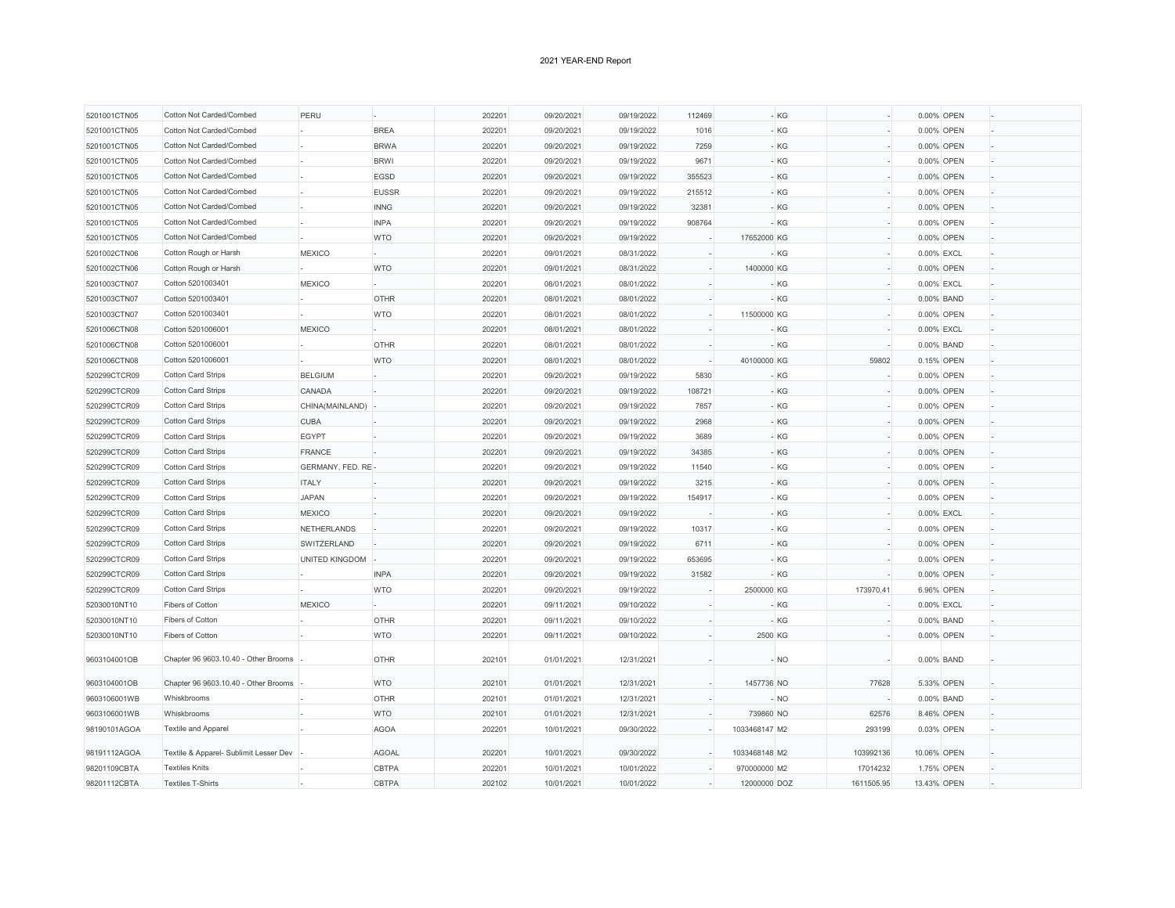| 5201001CTN05 | Cotton Not Carded/Combed               | PERU               |              | 202201 | 09/20/2021 | 09/19/2022 | 112469 | - KG          |            |             | 0.00% OPEN |  |
|--------------|----------------------------------------|--------------------|--------------|--------|------------|------------|--------|---------------|------------|-------------|------------|--|
| 5201001CTN05 | Cotton Not Carded/Combed               |                    | <b>BREA</b>  | 202201 | 09/20/2021 | 09/19/2022 | 1016   | - KG          |            |             | 0.00% OPEN |  |
| 5201001CTN05 | Cotton Not Carded/Combed               |                    | <b>BRWA</b>  | 202201 | 09/20/2021 | 09/19/2022 | 7259   | $-KG$         |            |             | 0.00% OPEN |  |
| 5201001CTN05 | Cotton Not Carded/Combed               |                    | <b>BRWI</b>  | 202201 | 09/20/2021 | 09/19/2022 | 9671   | - KG          |            |             | 0.00% OPEN |  |
| 5201001CTN05 | Cotton Not Carded/Combed               |                    | EGSD         | 202201 | 09/20/2021 | 09/19/2022 | 355523 | - KG          |            |             | 0.00% OPEN |  |
| 5201001CTN05 | Cotton Not Carded/Combed               |                    | <b>EUSSR</b> | 202201 | 09/20/2021 | 09/19/2022 | 215512 | - KG          |            |             | 0.00% OPEN |  |
| 5201001CTN05 | Cotton Not Carded/Combed               |                    | <b>INNG</b>  | 202201 | 09/20/2021 | 09/19/2022 | 32381  | - KG          |            |             | 0.00% OPEN |  |
| 5201001CTN05 | Cotton Not Carded/Combed               |                    | <b>INPA</b>  | 202201 | 09/20/2021 | 09/19/2022 | 908764 | - KG          |            |             | 0.00% OPEN |  |
| 5201001CTN05 | Cotton Not Carded/Combed               |                    | <b>WTO</b>   | 202201 | 09/20/2021 | 09/19/2022 |        | 17652000 KG   |            |             | 0.00% OPEN |  |
| 5201002CTN06 | Cotton Rough or Harsh                  | <b>MEXICO</b>      |              | 202201 | 09/01/2021 | 08/31/2022 |        | - KG          |            | 0.00% EXCL  |            |  |
| 5201002CTN06 | Cotton Rough or Harsh                  |                    | <b>WTO</b>   | 202201 | 09/01/2021 | 08/31/2022 |        | 1400000 KG    |            |             | 0.00% OPEN |  |
| 5201003CTN07 | Cotton 5201003401                      | <b>MEXICO</b>      |              | 202201 | 08/01/2021 | 08/01/2022 |        | $-KG$         |            | 0.00% EXCL  |            |  |
| 5201003CTN07 | Cotton 5201003401                      |                    | <b>OTHR</b>  | 202201 | 08/01/2021 | 08/01/2022 |        | - KG          |            |             | 0.00% BAND |  |
|              |                                        |                    |              |        |            |            |        |               |            |             |            |  |
| 5201003CTN07 | Cotton 5201003401<br>Cotton 5201006001 |                    | <b>WTO</b>   | 202201 | 08/01/2021 | 08/01/2022 |        | 11500000 KG   |            |             | 0.00% OPEN |  |
| 5201006CTN08 |                                        | <b>MEXICO</b>      |              | 202201 | 08/01/2021 | 08/01/2022 |        | - KG          |            | 0.00% EXCL  |            |  |
| 5201006CTN08 | Cotton 5201006001                      |                    | <b>OTHR</b>  | 202201 | 08/01/2021 | 08/01/2022 |        | - KG          |            |             | 0.00% BAND |  |
| 5201006CTN08 | Cotton 5201006001                      |                    | <b>WTO</b>   | 202201 | 08/01/2021 | 08/01/2022 |        | 40100000 KG   | 59802      |             | 0.15% OPEN |  |
| 520299CTCR09 | Cotton Card Strips                     | <b>BELGIUM</b>     |              | 202201 | 09/20/2021 | 09/19/2022 | 5830   | - KG          |            |             | 0.00% OPEN |  |
| 520299CTCR09 | Cotton Card Strips                     | CANADA             |              | 202201 | 09/20/2021 | 09/19/2022 | 108721 | - KG          |            |             | 0.00% OPEN |  |
| 520299CTCR09 | <b>Cotton Card Strips</b>              | CHINA(MAINLAND)    |              | 202201 | 09/20/2021 | 09/19/2022 | 7857   | $-KG$         |            |             | 0.00% OPEN |  |
| 520299CTCR09 | <b>Cotton Card Strips</b>              | <b>CUBA</b>        |              | 202201 | 09/20/2021 | 09/19/2022 | 2968   | $-KG$         |            |             | 0.00% OPEN |  |
| 520299CTCR09 | Cotton Card Strips                     | EGYPT              |              | 202201 | 09/20/2021 | 09/19/2022 | 3689   | - KG          |            |             | 0.00% OPEN |  |
| 520299CTCR09 | <b>Cotton Card Strips</b>              | <b>FRANCE</b>      |              | 202201 | 09/20/2021 | 09/19/2022 | 34385  | - KG          |            |             | 0.00% OPEN |  |
| 520299CTCR09 | Cotton Card Strips                     | GERMANY, FED. RE-  |              | 202201 | 09/20/2021 | 09/19/2022 | 11540  | - KG          |            |             | 0.00% OPEN |  |
| 520299CTCR09 | Cotton Card Strips                     | <b>ITALY</b>       |              | 202201 | 09/20/2021 | 09/19/2022 | 3215   | $-KG$         |            |             | 0.00% OPEN |  |
| 520299CTCR09 | Cotton Card Strips                     | <b>JAPAN</b>       |              | 202201 | 09/20/2021 | 09/19/2022 | 154917 | $-KG$         |            |             | 0.00% OPEN |  |
| 520299CTCR09 | Cotton Card Strips                     | <b>MEXICO</b>      |              | 202201 | 09/20/2021 | 09/19/2022 |        | - KG          |            | 0.00% EXCL  |            |  |
| 520299CTCR09 | Cotton Card Strips                     | <b>NETHERLANDS</b> |              | 202201 | 09/20/2021 | 09/19/2022 | 10317  | - KG          |            |             | 0.00% OPEN |  |
| 520299CTCR09 | <b>Cotton Card Strips</b>              | SWITZERLAND        |              | 202201 | 09/20/2021 | 09/19/2022 | 6711   | - KG          |            |             | 0.00% OPEN |  |
| 520299CTCR09 | Cotton Card Strips                     | UNITED KINGDOM     |              | 202201 | 09/20/2021 | 09/19/2022 | 653695 | - KG          |            |             | 0.00% OPEN |  |
| 520299CTCR09 | <b>Cotton Card Strips</b>              |                    | <b>INPA</b>  | 202201 | 09/20/2021 | 09/19/2022 | 31582  | - KG          |            |             | 0.00% OPEN |  |
| 520299CTCR09 | Cotton Card Strips                     |                    | <b>WTO</b>   | 202201 | 09/20/2021 | 09/19/2022 |        | 2500000 KG    | 173970.41  |             | 6.96% OPEN |  |
| 52030010NT10 | Fibers of Cotton                       | <b>MEXICO</b>      |              | 202201 | 09/11/2021 | 09/10/2022 |        | - KG          |            | 0.00% EXCL  |            |  |
| 52030010NT10 | Fibers of Cotton                       |                    | <b>OTHR</b>  | 202201 | 09/11/2021 | 09/10/2022 |        | - KG          |            |             | 0.00% BAND |  |
| 52030010NT10 | Fibers of Cotton                       |                    | <b>WTO</b>   | 202201 | 09/11/2021 | 09/10/2022 |        | 2500 KG       |            |             | 0.00% OPEN |  |
| 9603104001OB | Chapter 96 9603.10.40 - Other Brooms   |                    | <b>OTHR</b>  | 202101 | 01/01/2021 | 12/31/2021 |        | - NO          |            |             | 0.00% BAND |  |
| 9603104001OB | Chapter 96 9603.10.40 - Other Brooms   |                    | <b>WTO</b>   | 202101 | 01/01/2021 | 12/31/2021 |        | 1457736 NO    | 77628      |             | 5.33% OPEN |  |
| 9603106001WB | Whiskbrooms                            |                    | OTHR         | 202101 | 01/01/2021 | 12/31/2021 |        | - NO          |            |             | 0.00% BAND |  |
| 9603106001WB | Whiskbrooms                            |                    | <b>WTO</b>   | 202101 | 01/01/2021 | 12/31/2021 |        | 739860 NO     | 62576      |             | 8.46% OPEN |  |
| 98190101AGOA | Textile and Apparel                    |                    | <b>AGOA</b>  | 202201 | 10/01/2021 | 09/30/2022 |        | 1033468147 M2 | 293199     |             | 0.03% OPEN |  |
|              |                                        |                    |              |        |            |            |        |               |            |             |            |  |
| 98191112AGOA | Textile & Apparel- Sublimit Lesser Dev |                    | AGOAL        | 202201 | 10/01/2021 | 09/30/2022 |        | 1033468148 M2 | 103992136  | 10.06% OPEN |            |  |
| 98201109CBTA | <b>Textiles Knits</b>                  |                    | CBTPA        | 202201 | 10/01/2021 | 10/01/2022 |        | 970000000 M2  | 17014232   |             | 1.75% OPEN |  |
| 98201112CBTA | <b>Textiles T-Shirts</b>               |                    | CBTPA        | 202102 | 10/01/2021 | 10/01/2022 |        | 12000000 DOZ  | 1611505.95 | 13.43% OPEN |            |  |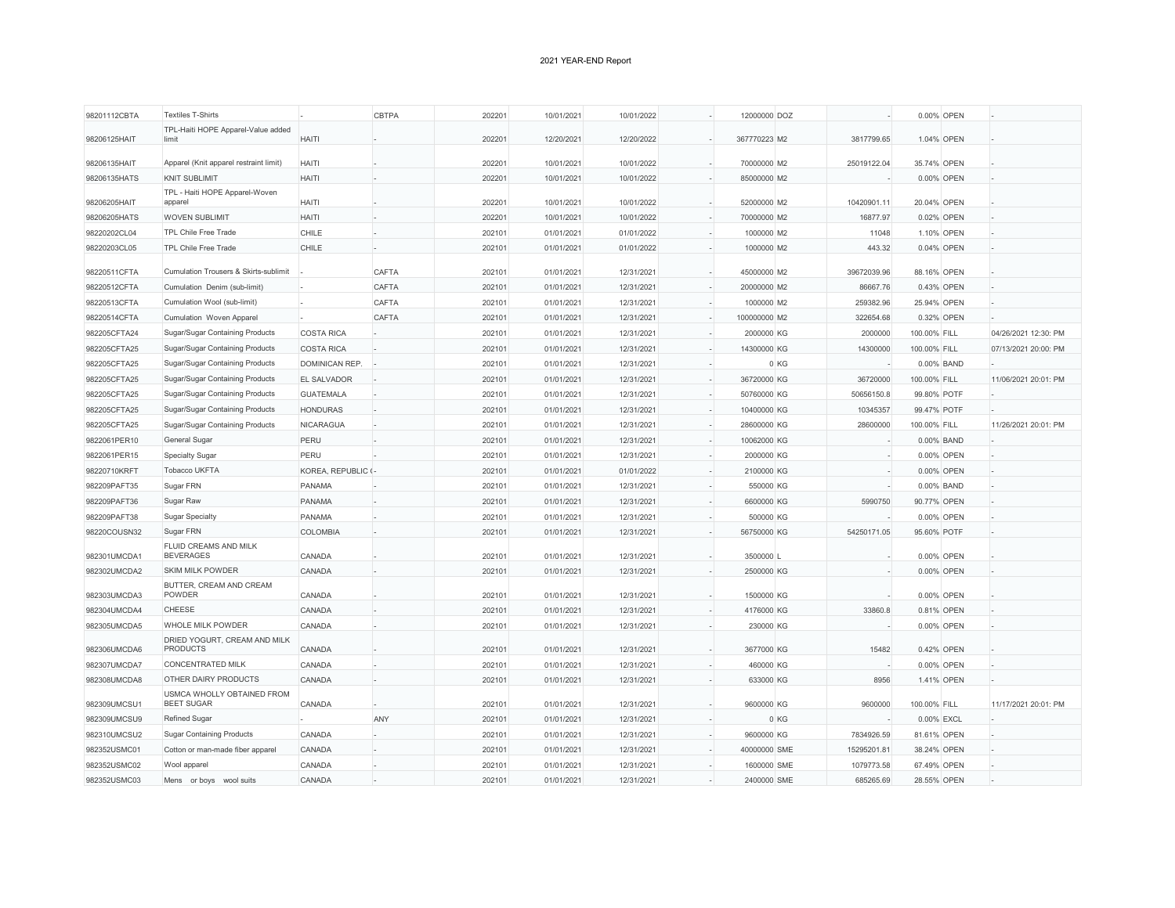| 98201112CBTA | <b>Textiles T-Shirts</b>                        |                    | <b>CBTPA</b> | 202201 | 10/01/2021 | 10/01/2022 | 12000000 DOZ |      |             | 0.00% OPEN   |                      |
|--------------|-------------------------------------------------|--------------------|--------------|--------|------------|------------|--------------|------|-------------|--------------|----------------------|
| 98206125HAIT | TPL-Haiti HOPE Apparel-Value added<br>limit     | <b>HAITI</b>       |              | 202201 | 12/20/2021 | 12/20/2022 | 367770223 M2 |      | 3817799.65  | 1.04% OPEN   |                      |
|              |                                                 |                    |              |        |            |            |              |      |             |              |                      |
| 98206135HAIT | Apparel (Knit apparel restraint limit)          | <b>HAITI</b>       |              | 202201 | 10/01/2021 | 10/01/2022 | 70000000 M2  |      | 25019122.04 | 35.74% OPEN  |                      |
| 98206135HATS | <b>KNIT SUBLIMIT</b>                            | <b>HAITI</b>       |              | 202201 | 10/01/2021 | 10/01/2022 | 85000000 M2  |      |             | 0.00% OPEN   |                      |
| 98206205HAIT | TPL - Haiti HOPE Apparel-Woven<br>apparel       | <b>HAITI</b>       |              | 202201 | 10/01/2021 | 10/01/2022 | 52000000 M2  |      | 10420901.11 | 20.04% OPEN  |                      |
| 98206205HATS | <b>WOVEN SUBLIMIT</b>                           | <b>HAITI</b>       |              | 202201 | 10/01/2021 | 10/01/2022 | 70000000 M2  |      | 16877.97    | 0.02% OPEN   |                      |
| 98220202CL04 | <b>TPL Chile Free Trade</b>                     | CHILE              |              | 202101 | 01/01/2021 | 01/01/2022 | 1000000 M2   |      | 11048       | 1.10% OPEN   |                      |
| 98220203CL05 | <b>TPL Chile Free Trade</b>                     | CHILE              |              | 202101 | 01/01/2021 | 01/01/2022 | 1000000 M2   |      | 443.32      | 0.04% OPEN   |                      |
| 98220511CFTA | Cumulation Trousers & Skirts-sublimit           |                    | CAFTA        | 202101 | 01/01/2021 | 12/31/2021 | 45000000 M2  |      | 39672039.96 | 88.16% OPEN  |                      |
| 98220512CFTA | Cumulation Denim (sub-limit)                    |                    | CAFTA        | 202101 | 01/01/2021 | 12/31/2021 | 20000000 M2  |      | 86667.76    | 0.43% OPEN   |                      |
| 98220513CFTA | Cumulation Wool (sub-limit)                     |                    | CAFTA        | 202101 | 01/01/2021 | 12/31/2021 | 1000000 M2   |      | 259382.96   | 25.94% OPEN  |                      |
| 98220514CFTA | Cumulation Woven Apparel                        |                    | <b>CAFTA</b> | 202101 | 01/01/2021 | 12/31/2021 | 100000000 M2 |      | 322654.68   | 0.32% OPEN   |                      |
| 982205CFTA24 | Sugar/Sugar Containing Products                 | <b>COSTA RICA</b>  |              | 202101 | 01/01/2021 | 12/31/2021 | 2000000 KG   |      | 2000000     | 100.00% FILL | 04/26/2021 12:30: PM |
| 982205CFTA25 | Sugar/Sugar Containing Products                 | <b>COSTA RICA</b>  |              | 202101 | 01/01/2021 | 12/31/2021 | 14300000 KG  |      | 14300000    | 100.00% FILL | 07/13/2021 20:00: PM |
| 982205CFTA25 | Sugar/Sugar Containing Products                 | DOMINICAN REP.     |              | 202101 | 01/01/2021 | 12/31/2021 |              | 0 KG |             | 0.00% BAND   |                      |
| 982205CFTA25 | Sugar/Sugar Containing Products                 | EL SALVADOR        |              | 202101 | 01/01/2021 | 12/31/2021 | 36720000 KG  |      | 36720000    | 100.00% FILL | 11/06/2021 20:01: PM |
| 982205CFTA25 | Sugar/Sugar Containing Products                 | <b>GUATEMALA</b>   |              | 202101 | 01/01/2021 | 12/31/2021 | 50760000 KG  |      | 50656150.8  | 99.80% POTF  |                      |
| 982205CFTA25 | Sugar/Sugar Containing Products                 | <b>HONDURAS</b>    |              | 202101 | 01/01/2021 | 12/31/2021 | 10400000 KG  |      | 10345357    | 99.47% POTF  |                      |
| 982205CFTA25 | Sugar/Sugar Containing Products                 | NICARAGUA          |              | 202101 | 01/01/2021 | 12/31/2021 | 28600000 KG  |      | 28600000    | 100.00% FILL | 11/26/2021 20:01: PM |
| 9822061PER10 | General Sugar                                   | PERU               |              | 202101 | 01/01/2021 | 12/31/2021 | 10062000 KG  |      |             | 0.00% BAND   |                      |
| 9822061PER15 | Specialty Sugar                                 | PERU               |              | 202101 | 01/01/2021 | 12/31/2021 | 2000000 KG   |      |             | 0.00% OPEN   |                      |
| 98220710KRFT | Tobacco UKFTA                                   | KOREA, REPUBLIC (- |              | 202101 | 01/01/2021 | 01/01/2022 | 2100000 KG   |      |             | 0.00% OPEN   |                      |
| 982209PAFT35 | Sugar FRN                                       | PANAMA             |              | 202101 | 01/01/2021 | 12/31/2021 | 550000 KG    |      |             | 0.00% BAND   |                      |
| 982209PAFT36 | Sugar Raw                                       | PANAMA             |              | 202101 | 01/01/2021 | 12/31/2021 | 6600000 KG   |      | 5990750     | 90.77% OPEN  |                      |
| 982209PAFT38 | <b>Sugar Specialty</b>                          | <b>PANAMA</b>      |              | 202101 | 01/01/2021 | 12/31/2021 | 500000 KG    |      |             | 0.00% OPEN   |                      |
| 98220COUSN32 | Sugar FRN                                       | <b>COLOMBIA</b>    |              | 202101 | 01/01/2021 | 12/31/2021 | 56750000 KG  |      | 54250171.05 | 95.60% POTF  |                      |
| 982301UMCDA1 | FLUID CREAMS AND MILK<br><b>BEVERAGES</b>       | CANADA             |              | 202101 | 01/01/2021 | 12/31/2021 | 3500000 L    |      |             | 0.00% OPEN   |                      |
| 982302UMCDA2 | SKIM MILK POWDER                                | CANADA             |              | 202101 | 01/01/2021 | 12/31/2021 | 2500000 KG   |      |             | 0.00% OPEN   |                      |
| 982303UMCDA3 | BUTTER, CREAM AND CREAM<br>POWDER               | CANADA             |              | 202101 | 01/01/2021 | 12/31/2021 | 1500000 KG   |      |             | 0.00% OPEN   |                      |
| 982304UMCDA4 | <b>CHEESE</b>                                   | CANADA             |              | 202101 | 01/01/2021 | 12/31/2021 | 4176000 KG   |      | 33860.8     | 0.81% OPEN   |                      |
|              | WHOLE MILK POWDER                               |                    |              |        |            |            |              |      |             |              |                      |
| 982305UMCDA5 | DRIED YOGURT, CREAM AND MILK                    | CANADA             |              | 202101 | 01/01/2021 | 12/31/2021 | 230000 KG    |      |             | 0.00% OPEN   |                      |
| 982306UMCDA6 | <b>PRODUCTS</b>                                 | CANADA             |              | 202101 | 01/01/2021 | 12/31/2021 | 3677000 KG   |      | 15482       | 0.42% OPEN   |                      |
| 982307UMCDA7 | <b>CONCENTRATED MILK</b>                        | CANADA             |              | 202101 | 01/01/2021 | 12/31/2021 | 460000 KG    |      |             | 0.00% OPEN   |                      |
| 982308UMCDA8 | OTHER DAIRY PRODUCTS                            | CANADA             |              | 202101 | 01/01/2021 | 12/31/2021 | 633000 KG    |      | 8956        | 1.41% OPEN   |                      |
| 982309UMCSU1 | USMCA WHOLLY OBTAINED FROM<br><b>BEET SUGAR</b> | CANADA             |              | 202101 | 01/01/2021 | 12/31/2021 | 9600000 KG   |      | 9600000     | 100.00% FILL | 11/17/2021 20:01: PM |
| 982309UMCSU9 | <b>Refined Sugar</b>                            |                    | ANY          | 202101 | 01/01/2021 | 12/31/2021 |              | 0 KG |             | 0.00% EXCL   |                      |
| 982310UMCSU2 | <b>Sugar Containing Products</b>                | CANADA             |              | 202101 | 01/01/2021 | 12/31/2021 | 9600000 KG   |      | 7834926.59  | 81.61% OPEN  |                      |
| 982352USMC01 | Cotton or man-made fiber apparel                | CANADA             |              | 202101 | 01/01/2021 | 12/31/2021 | 40000000 SME |      | 15295201.81 | 38.24% OPEN  |                      |
| 982352USMC02 | Wool apparel                                    | CANADA             |              | 202101 | 01/01/2021 | 12/31/2021 | 1600000 SME  |      | 1079773.58  | 67.49% OPEN  |                      |
|              | Mens or boys wool suits                         | CANADA             |              | 202101 | 01/01/2021 | 12/31/2021 | 2400000 SME  |      | 685265.69   | 28.55% OPEN  |                      |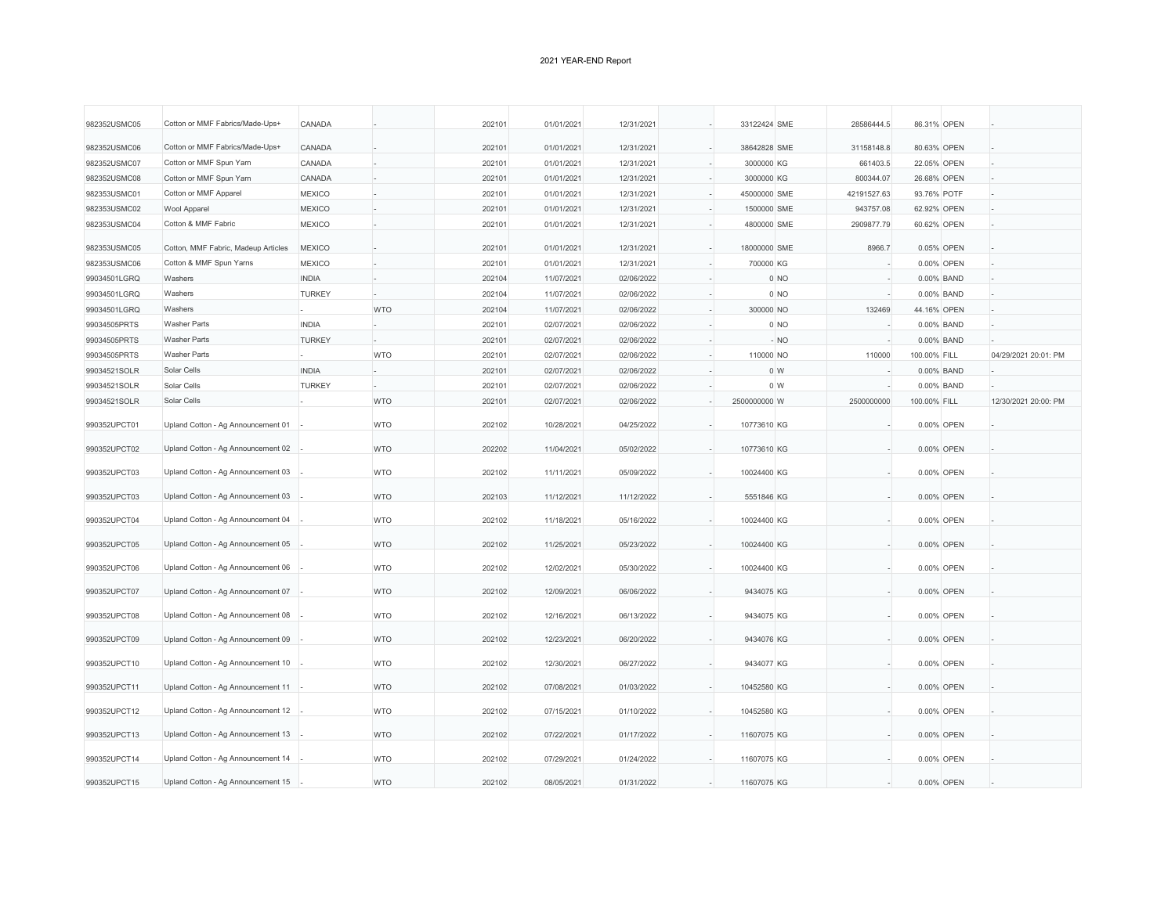| 982352USMC05 | Cotton or MMF Fabrics/Made-Ups+     | CANADA        |            | 202101 | 01/01/2021 | 12/31/2021 | 33122424 SME | 28586444.5     | 86.31% OPEN  |            |                      |
|--------------|-------------------------------------|---------------|------------|--------|------------|------------|--------------|----------------|--------------|------------|----------------------|
| 982352USMC06 | Cotton or MMF Fabrics/Made-Ups+     | CANADA        |            | 202101 | 01/01/2021 | 12/31/2021 | 38642828 SME | 31158148.8     | 80.63% OPEN  |            |                      |
| 982352USMC07 | Cotton or MMF Spun Yarn             | CANADA        |            | 202101 | 01/01/2021 | 12/31/2021 | 3000000 KG   | 661403.5       | 22.05% OPEN  |            |                      |
| 982352USMC08 | Cotton or MMF Spun Yarn             | CANADA        |            | 202101 | 01/01/2021 | 12/31/2021 | 3000000 KG   | 800344.07      | 26.68% OPEN  |            |                      |
| 982353USMC01 | Cotton or MMF Apparel               | <b>MEXICO</b> |            | 202101 | 01/01/2021 | 12/31/2021 | 45000000 SME | 42191527.63    | 93.76% POTF  |            |                      |
| 982353USMC02 | Wool Apparel                        | <b>MEXICO</b> |            | 202101 | 01/01/2021 | 12/31/2021 | 1500000 SME  | 943757.08      | 62.92% OPEN  |            |                      |
| 982353USMC04 | Cotton & MMF Fabric                 | <b>MEXICO</b> |            | 202101 | 01/01/2021 | 12/31/2021 | 4800000 SME  | 2909877.79     | 60.62% OPEN  |            |                      |
| 982353USMC05 | Cotton, MMF Fabric, Madeup Articles | <b>MEXICO</b> |            | 202101 | 01/01/2021 | 12/31/2021 | 18000000 SME | 8966.7         |              | 0.05% OPEN |                      |
| 982353USMC06 | Cotton & MMF Spun Yarns             | <b>MEXICO</b> |            | 202101 | 01/01/2021 | 12/31/2021 | 700000 KG    |                |              | 0.00% OPEN |                      |
| 99034501LGRQ | Washers                             | <b>INDIA</b>  |            | 202104 | 11/07/2021 | 02/06/2022 |              | $0$ NO         |              | 0.00% BAND |                      |
| 99034501LGRQ | Washers                             | <b>TURKEY</b> |            | 202104 | 11/07/2021 | 02/06/2022 |              | 0 NO           |              | 0.00% BAND |                      |
| 99034501LGRQ | Washers                             |               | <b>WTO</b> | 202104 | 11/07/2021 | 02/06/2022 | 300000 NO    | 132469         | 44.16% OPEN  |            |                      |
| 99034505PRTS | <b>Washer Parts</b>                 | <b>INDIA</b>  |            | 202101 | 02/07/2021 | 02/06/2022 |              | 0 NO           |              | 0.00% BAND |                      |
| 99034505PRTS | <b>Washer Parts</b>                 | <b>TURKEY</b> |            | 202101 | 02/07/2021 | 02/06/2022 |              | $-NO$          |              | 0.00% BAND |                      |
| 99034505PRTS | <b>Washer Parts</b>                 |               | <b>WTO</b> | 202101 | 02/07/2021 | 02/06/2022 | 110000 NO    | 110000         | 100.00% FILL |            | 04/29/2021 20:01: PM |
| 99034521SOLR | Solar Cells                         | <b>INDIA</b>  |            | 202101 | 02/07/2021 | 02/06/2022 |              | 0 <sub>W</sub> |              | 0.00% BAND |                      |
| 99034521SOLR | Solar Cells                         | <b>TURKEY</b> |            | 202101 | 02/07/2021 | 02/06/2022 |              | 0 <sub>W</sub> |              | 0.00% BAND |                      |
| 99034521SOLR | Solar Cells                         |               | <b>WTO</b> | 202101 | 02/07/2021 | 02/06/2022 | 2500000000 W | 2500000000     | 100.00% FILL |            | 12/30/2021 20:00: PM |
|              |                                     |               |            |        |            |            |              |                |              |            |                      |
| 990352UPCT01 | Upland Cotton - Ag Announcement 01  |               | <b>WTO</b> | 202102 | 10/28/2021 | 04/25/2022 | 10773610 KG  |                |              | 0.00% OPEN |                      |
| 990352UPCT02 | Upland Cotton - Ag Announcement 02  |               | <b>WTO</b> | 202202 | 11/04/2021 | 05/02/2022 | 10773610 KG  |                |              | 0.00% OPEN |                      |
| 990352UPCT03 | Upland Cotton - Ag Announcement 03  |               | <b>WTO</b> | 202102 | 11/11/2021 | 05/09/2022 | 10024400 KG  |                |              | 0.00% OPEN |                      |
| 990352UPCT03 | Upland Cotton - Ag Announcement 03  |               | <b>WTO</b> | 202103 | 11/12/2021 | 11/12/2022 | 5551846 KG   |                |              | 0.00% OPEN |                      |
| 990352UPCT04 | Upland Cotton - Ag Announcement 04  |               | <b>WTO</b> | 202102 | 11/18/2021 | 05/16/2022 | 10024400 KG  |                |              | 0.00% OPEN |                      |
| 990352UPCT05 | Upland Cotton - Ag Announcement 05  |               | <b>WTO</b> | 202102 | 11/25/2021 | 05/23/2022 | 10024400 KG  |                |              | 0.00% OPEN |                      |
| 990352UPCT06 | Upland Cotton - Ag Announcement 06  |               | <b>WTO</b> | 202102 | 12/02/2021 | 05/30/2022 | 10024400 KG  |                |              | 0.00% OPEN |                      |
| 990352UPCT07 | Upland Cotton - Ag Announcement 07  |               | <b>WTO</b> | 202102 | 12/09/2021 | 06/06/2022 | 9434075 KG   |                |              | 0.00% OPEN |                      |
| 990352UPCT08 | Upland Cotton - Ag Announcement 08  |               | <b>WTO</b> | 202102 | 12/16/2021 | 06/13/2022 | 9434075 KG   |                |              | 0.00% OPEN |                      |
| 990352UPCT09 | Upland Cotton - Ag Announcement 09  |               | <b>WTO</b> | 202102 | 12/23/2021 | 06/20/2022 | 9434076 KG   |                |              | 0.00% OPEN |                      |
| 990352UPCT10 | Upland Cotton - Ag Announcement 10  |               | <b>WTO</b> | 202102 | 12/30/2021 | 06/27/2022 | 9434077 KG   |                |              | 0.00% OPEN |                      |
| 990352UPCT11 | Upland Cotton - Ag Announcement 11  |               | <b>WTO</b> | 202102 | 07/08/2021 | 01/03/2022 | 10452580 KG  |                |              | 0.00% OPEN |                      |
| 990352UPCT12 | Upland Cotton - Ag Announcement 12  |               | <b>WTO</b> | 202102 | 07/15/2021 | 01/10/2022 | 10452580 KG  |                |              | 0.00% OPEN |                      |
| 990352UPCT13 | Upland Cotton - Ag Announcement 13  |               | <b>WTO</b> | 202102 | 07/22/2021 | 01/17/2022 | 11607075 KG  |                |              | 0.00% OPEN |                      |
| 990352UPCT14 | Upland Cotton - Ag Announcement 14  |               | <b>WTO</b> | 202102 | 07/29/2021 | 01/24/2022 | 11607075 KG  |                |              | 0.00% OPEN |                      |
| 990352UPCT15 | Upland Cotton - Ag Announcement 15  |               | <b>WTO</b> | 202102 | 08/05/2021 | 01/31/2022 | 11607075 KG  |                |              | 0.00% OPEN |                      |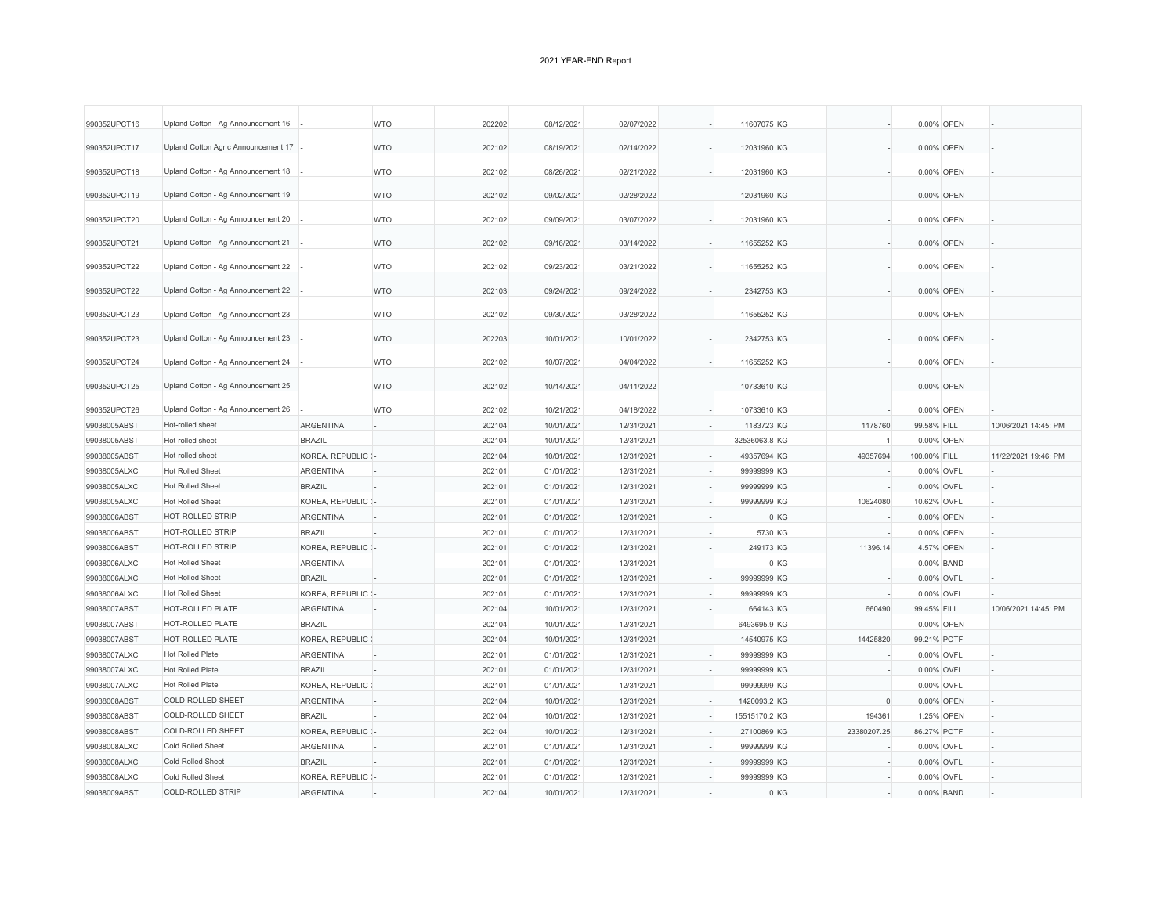| 990352UPCT16 | Upland Cotton - Ag Announcement 16  |                    | <b>WTO</b> | 202202 | 08/12/2021 | 02/07/2022 | 11607075 KG       |      |                | 0.00% OPEN   |                      |
|--------------|-------------------------------------|--------------------|------------|--------|------------|------------|-------------------|------|----------------|--------------|----------------------|
| 990352UPCT17 | Upland Cotton Agric Announcement 17 |                    | <b>WTO</b> | 202102 | 08/19/2021 | 02/14/2022 | 12031960 KG       |      |                | 0.00% OPEN   |                      |
| 990352UPCT18 | Upland Cotton - Ag Announcement 18  |                    | <b>WTO</b> | 202102 | 08/26/2021 | 02/21/2022 | 12031960 KG       |      |                | 0.00% OPEN   |                      |
| 990352UPCT19 | Upland Cotton - Ag Announcement 19  |                    | <b>WTO</b> | 202102 | 09/02/2021 | 02/28/2022 | 12031960 KG       |      |                | 0.00% OPEN   |                      |
| 990352UPCT20 | Upland Cotton - Ag Announcement 20  |                    | <b>WTO</b> | 202102 | 09/09/2021 | 03/07/2022 | 12031960 KG       |      |                | 0.00% OPEN   |                      |
| 990352UPCT21 | Upland Cotton - Ag Announcement 21  |                    | <b>WTO</b> | 202102 | 09/16/2021 | 03/14/2022 | 11655252 KG       |      |                | 0.00% OPEN   |                      |
| 990352UPCT22 | Upland Cotton - Ag Announcement 22  |                    | <b>WTO</b> | 202102 | 09/23/2021 | 03/21/2022 | 11655252 KG       |      |                | 0.00% OPEN   |                      |
| 990352UPCT22 | Upland Cotton - Ag Announcement 22  |                    | <b>WTO</b> | 202103 | 09/24/2021 | 09/24/2022 | 2342753 KG        |      |                | 0.00% OPEN   |                      |
| 990352UPCT23 | Upland Cotton - Ag Announcement 23  |                    | <b>WTO</b> | 202102 | 09/30/2021 | 03/28/2022 | 11655252 KG       |      |                | 0.00% OPEN   |                      |
| 990352UPCT23 | Upland Cotton - Ag Announcement 23  |                    | <b>WTO</b> | 202203 | 10/01/2021 | 10/01/2022 | 2342753 KG        |      |                | 0.00% OPEN   |                      |
| 990352UPCT24 | Upland Cotton - Ag Announcement 24  |                    | <b>WTO</b> | 202102 | 10/07/2021 | 04/04/2022 | 11655252 KG       |      |                | 0.00% OPEN   |                      |
| 990352UPCT25 | Upland Cotton - Ag Announcement 25  |                    | <b>WTO</b> | 202102 | 10/14/2021 | 04/11/2022 | 10733610 KG       |      |                | 0.00% OPEN   |                      |
| 990352UPCT26 | Upland Cotton - Ag Announcement 26  |                    | <b>WTO</b> | 202102 | 10/21/2021 | 04/18/2022 | 10733610 KG       |      |                | 0.00% OPEN   |                      |
| 99038005ABST | Hot-rolled sheet                    | <b>ARGENTINA</b>   |            | 202104 | 10/01/2021 | 12/31/2021 | 1183723 KG        |      | 1178760        | 99.58% FILL  | 10/06/2021 14:45: PM |
| 99038005ABST | Hot-rolled sheet                    | <b>BRAZIL</b>      |            | 202104 | 10/01/2021 | 12/31/2021 | 32536063.8 KG     |      | $\overline{1}$ | 0.00% OPEN   |                      |
| 99038005ABST | Hot-rolled sheet                    | KOREA, REPUBLIC (- |            | 202104 | 10/01/2021 | 12/31/2021 | 49357694 KG       |      | 49357694       | 100.00% FILL | 11/22/2021 19:46: PM |
| 99038005ALXC | <b>Hot Rolled Sheet</b>             | ARGENTINA          |            | 202101 | 01/01/2021 | 12/31/2021 | 99999999 KG       |      |                | 0.00% OVFL   |                      |
| 99038005ALXC | <b>Hot Rolled Sheet</b>             | <b>BRAZIL</b>      |            | 202101 | 01/01/2021 | 12/31/2021 | 99999999 KG       |      |                | 0.00% OVFL   |                      |
| 99038005ALXC | <b>Hot Rolled Sheet</b>             | KOREA, REPUBLIC (- |            | 202101 | 01/01/2021 | 12/31/2021 | 99999999 KG       |      | 10624080       | 10.62% OVFL  |                      |
| 99038006ABST | HOT-ROLLED STRIP                    | ARGENTINA          |            | 202101 | 01/01/2021 | 12/31/2021 |                   | 0 KG |                | 0.00% OPEN   |                      |
| 99038006ABST | HOT-ROLLED STRIP                    | <b>BRAZIL</b>      |            | 202101 | 01/01/2021 | 12/31/2021 | 5730 KG           |      |                | 0.00% OPEN   |                      |
| 99038006ABST | HOT-ROLLED STRIP                    | KOREA, REPUBLIC (- |            | 202101 | 01/01/2021 | 12/31/2021 | 249173 KG         |      | 11396.14       | 4.57% OPEN   |                      |
| 99038006ALXC | <b>Hot Rolled Sheet</b>             | <b>ARGENTINA</b>   |            | 202101 | 01/01/2021 | 12/31/2021 | ÷,                | 0 KG |                | 0.00% BAND   |                      |
| 99038006ALXC | <b>Hot Rolled Sheet</b>             | <b>BRAZIL</b>      |            | 202101 | 01/01/2021 | 12/31/2021 | 99999999 KG       |      |                | 0.00% OVFL   |                      |
| 99038006ALXC | <b>Hot Rolled Sheet</b>             | KOREA, REPUBLIC (- |            | 202101 | 01/01/2021 | 12/31/2021 | 99999999 KG       |      |                | 0.00% OVFL   |                      |
| 99038007ABST | HOT-ROLLED PLATE                    | ARGENTINA          |            | 202104 | 10/01/2021 | 12/31/2021 | 664143 KG         |      | 660490         | 99.45% FILL  | 10/06/2021 14:45: PM |
| 99038007ABST | HOT-ROLLED PLATE                    | <b>BRAZIL</b>      |            | 202104 | 10/01/2021 | 12/31/2021 | 6493695.9 KG      |      |                | 0.00% OPEN   |                      |
| 99038007ABST | HOT-ROLLED PLATE                    | KOREA, REPUBLIC (- |            | 202104 | 10/01/2021 | 12/31/2021 | 14540975 KG       |      | 14425820       | 99.21% POTF  |                      |
| 99038007ALXC | <b>Hot Rolled Plate</b>             | <b>ARGENTINA</b>   |            | 202101 | 01/01/2021 | 12/31/2021 | 99999999 KG<br>×, |      |                | 0.00% OVFL   |                      |
| 99038007ALXC | <b>Hot Rolled Plate</b>             | <b>BRAZIL</b>      |            | 202101 | 01/01/2021 | 12/31/2021 | 99999999 KG       |      |                | 0.00% OVFL   |                      |
| 99038007ALXC | <b>Hot Rolled Plate</b>             | KOREA, REPUBLIC (- |            | 202101 | 01/01/2021 | 12/31/2021 | 99999999 KG       |      |                | 0.00% OVFL   |                      |
| 99038008ABST | <b>COLD-ROLLED SHEET</b>            | <b>ARGENTINA</b>   |            | 202104 | 10/01/2021 | 12/31/2021 | 1420093.2 KG      |      | $\Omega$       | 0.00% OPEN   |                      |
| 99038008ABST | <b>COLD-ROLLED SHEET</b>            | <b>BRAZIL</b>      |            | 202104 | 10/01/2021 | 12/31/2021 | 15515170.2 KG     |      | 194361         | 1.25% OPEN   |                      |
| 99038008ABST | <b>COLD-ROLLED SHEET</b>            | KOREA, REPUBLIC (- |            | 202104 | 10/01/2021 | 12/31/2021 | 27100869 KG       |      | 23380207.25    | 86.27% POTF  |                      |
| 99038008ALXC | <b>Cold Rolled Sheet</b>            | <b>ARGENTINA</b>   |            | 202101 | 01/01/2021 | 12/31/2021 | 99999999 KG       |      |                | 0.00% OVFL   |                      |
| 99038008ALXC | Cold Rolled Sheet                   | <b>BRAZIL</b>      |            | 202101 | 01/01/2021 | 12/31/2021 | 99999999 KG       |      |                | 0.00% OVFL   |                      |
| 99038008ALXC | <b>Cold Rolled Sheet</b>            | KOREA, REPUBLIC (- |            | 202101 | 01/01/2021 | 12/31/2021 | 99999999 KG       |      |                | 0.00% OVFL   |                      |
| 99038009ABST | COLD-ROLLED STRIP                   | <b>ARGENTINA</b>   |            | 202104 | 10/01/2021 | 12/31/2021 |                   | 0 KG |                | 0.00% BAND   |                      |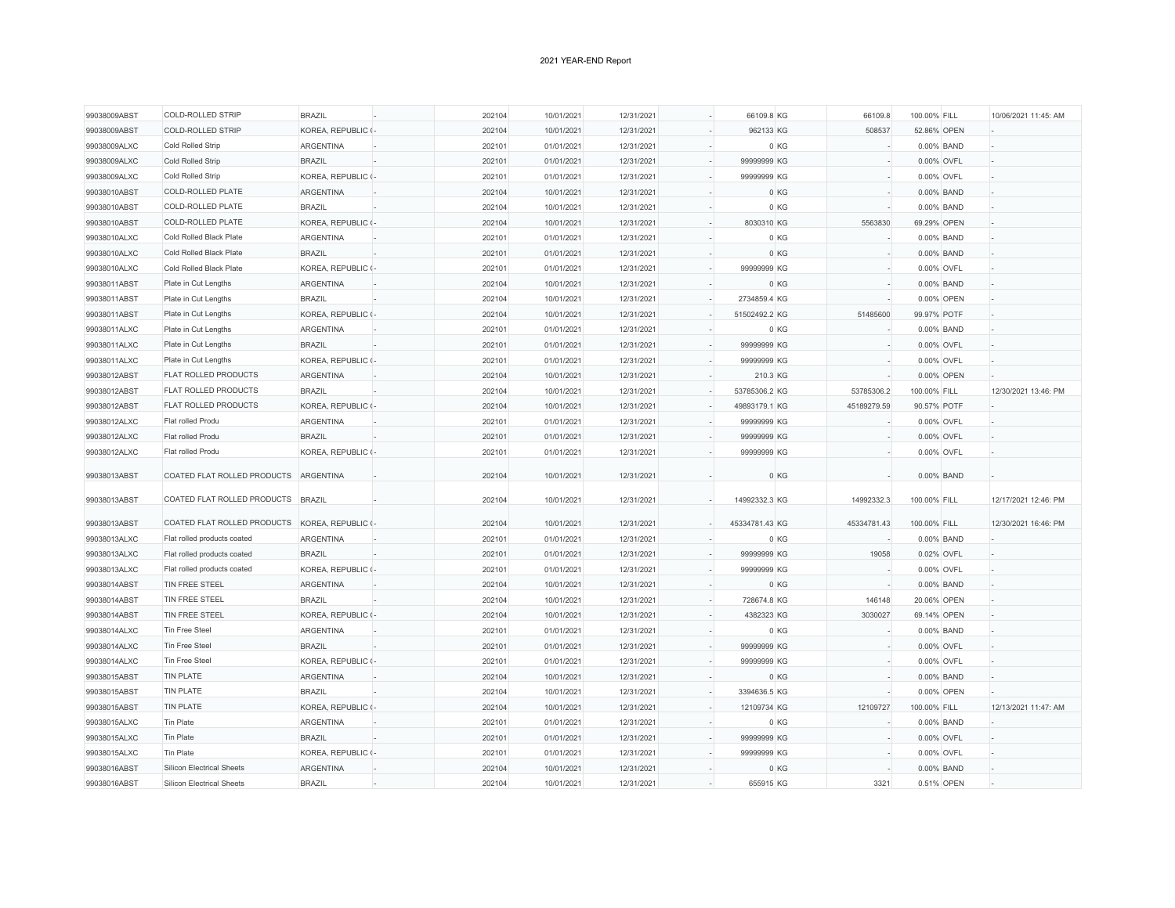| 99038009ABST<br><b>COLD-ROLLED STRIP</b><br>KOREA, REPUBLIC (-<br>202104<br>10/01/2021<br>12/31/2021<br>962133 KG<br>508537<br>52.86% OPEN<br>99038009ALXC<br>Cold Rolled Strip<br><b>ARGENTINA</b><br>01/01/2021<br>12/31/2021<br>0 KG<br>0.00% BAND<br>202101<br>99038009ALXC<br>Cold Rolled Strip<br><b>BRAZIL</b><br>202101<br>01/01/2021<br>12/31/2021<br>99999999 KG<br>0.00% OVFL<br>99038009ALXC<br>Cold Rolled Strip<br>KOREA, REPUBLIC (-<br>202101<br>99999999 KG<br>01/01/2021<br>12/31/2021<br>0.00% OVFL<br>COLD-ROLLED PLATE<br><b>ARGENTINA</b><br>99038010ABST<br>202104<br>10/01/2021<br>12/31/2021<br>0 KG<br>0.00% BAND<br>COLD-ROLLED PLATE<br>0 KG<br>99038010ABST<br><b>BRAZIL</b><br>202104<br>10/01/2021<br>12/31/2021<br>0.00% BAND<br>99038010ABST<br><b>COLD-ROLLED PLATE</b><br>KOREA, REPUBLIC (-<br>202104<br>10/01/2021<br>12/31/2021<br>8030310 KG<br>5563830<br>69.29% OPEN<br>99038010ALXC<br>Cold Rolled Black Plate<br>ARGENTINA<br>202101<br>01/01/2021<br>12/31/2021<br>0 KG<br>0.00% BAND<br>99038010ALXC<br>Cold Rolled Black Plate<br><b>BRAZIL</b><br>202101<br>01/01/2021<br>12/31/2021<br>0 KG<br>0.00% BAND<br>KOREA, REPUBLIC (-<br>99038010ALXC<br>Cold Rolled Black Plate<br>202101<br>01/01/2021<br>12/31/2021<br>99999999 KG<br>0.00% OVFL<br>99038011ABST<br>Plate in Cut Lengths<br><b>ARGENTINA</b><br>202104<br>10/01/2021<br>12/31/2021<br>0 KG<br>0.00% BAND |  |
|-----------------------------------------------------------------------------------------------------------------------------------------------------------------------------------------------------------------------------------------------------------------------------------------------------------------------------------------------------------------------------------------------------------------------------------------------------------------------------------------------------------------------------------------------------------------------------------------------------------------------------------------------------------------------------------------------------------------------------------------------------------------------------------------------------------------------------------------------------------------------------------------------------------------------------------------------------------------------------------------------------------------------------------------------------------------------------------------------------------------------------------------------------------------------------------------------------------------------------------------------------------------------------------------------------------------------------------------------------------------------------------------------------------------------|--|
|                                                                                                                                                                                                                                                                                                                                                                                                                                                                                                                                                                                                                                                                                                                                                                                                                                                                                                                                                                                                                                                                                                                                                                                                                                                                                                                                                                                                                       |  |
|                                                                                                                                                                                                                                                                                                                                                                                                                                                                                                                                                                                                                                                                                                                                                                                                                                                                                                                                                                                                                                                                                                                                                                                                                                                                                                                                                                                                                       |  |
|                                                                                                                                                                                                                                                                                                                                                                                                                                                                                                                                                                                                                                                                                                                                                                                                                                                                                                                                                                                                                                                                                                                                                                                                                                                                                                                                                                                                                       |  |
|                                                                                                                                                                                                                                                                                                                                                                                                                                                                                                                                                                                                                                                                                                                                                                                                                                                                                                                                                                                                                                                                                                                                                                                                                                                                                                                                                                                                                       |  |
|                                                                                                                                                                                                                                                                                                                                                                                                                                                                                                                                                                                                                                                                                                                                                                                                                                                                                                                                                                                                                                                                                                                                                                                                                                                                                                                                                                                                                       |  |
|                                                                                                                                                                                                                                                                                                                                                                                                                                                                                                                                                                                                                                                                                                                                                                                                                                                                                                                                                                                                                                                                                                                                                                                                                                                                                                                                                                                                                       |  |
|                                                                                                                                                                                                                                                                                                                                                                                                                                                                                                                                                                                                                                                                                                                                                                                                                                                                                                                                                                                                                                                                                                                                                                                                                                                                                                                                                                                                                       |  |
|                                                                                                                                                                                                                                                                                                                                                                                                                                                                                                                                                                                                                                                                                                                                                                                                                                                                                                                                                                                                                                                                                                                                                                                                                                                                                                                                                                                                                       |  |
|                                                                                                                                                                                                                                                                                                                                                                                                                                                                                                                                                                                                                                                                                                                                                                                                                                                                                                                                                                                                                                                                                                                                                                                                                                                                                                                                                                                                                       |  |
|                                                                                                                                                                                                                                                                                                                                                                                                                                                                                                                                                                                                                                                                                                                                                                                                                                                                                                                                                                                                                                                                                                                                                                                                                                                                                                                                                                                                                       |  |
|                                                                                                                                                                                                                                                                                                                                                                                                                                                                                                                                                                                                                                                                                                                                                                                                                                                                                                                                                                                                                                                                                                                                                                                                                                                                                                                                                                                                                       |  |
| 99038011ABST<br>Plate in Cut Lengths<br><b>BRAZIL</b><br>202104<br>10/01/2021<br>12/31/2021<br>2734859.4 KG<br>0.00% OPEN                                                                                                                                                                                                                                                                                                                                                                                                                                                                                                                                                                                                                                                                                                                                                                                                                                                                                                                                                                                                                                                                                                                                                                                                                                                                                             |  |
| KOREA, REPUBLIC (-<br>10/01/2021<br>51502492.2 KG<br>51485600<br>99038011ABST<br>Plate in Cut Lengths<br>202104<br>12/31/2021<br>99.97% POTF                                                                                                                                                                                                                                                                                                                                                                                                                                                                                                                                                                                                                                                                                                                                                                                                                                                                                                                                                                                                                                                                                                                                                                                                                                                                          |  |
| 99038011ALXC<br>Plate in Cut Lengths<br>ARGENTINA<br>202101<br>01/01/2021<br>12/31/2021<br>0 KG<br>0.00% BAND                                                                                                                                                                                                                                                                                                                                                                                                                                                                                                                                                                                                                                                                                                                                                                                                                                                                                                                                                                                                                                                                                                                                                                                                                                                                                                         |  |
| 99038011ALXC<br><b>BRAZIL</b><br>202101<br>99999999 KG<br>Plate in Cut Lengths<br>01/01/2021<br>12/31/2021<br>0.00% OVFL                                                                                                                                                                                                                                                                                                                                                                                                                                                                                                                                                                                                                                                                                                                                                                                                                                                                                                                                                                                                                                                                                                                                                                                                                                                                                              |  |
| KOREA, REPUBLIC (-<br>99038011ALXC<br>Plate in Cut Lengths<br>202101<br>01/01/2021<br>12/31/2021<br>99999999 KG<br>0.00% OVFL                                                                                                                                                                                                                                                                                                                                                                                                                                                                                                                                                                                                                                                                                                                                                                                                                                                                                                                                                                                                                                                                                                                                                                                                                                                                                         |  |
| <b>FLAT ROLLED PRODUCTS</b><br>99038012ABST<br><b>ARGENTINA</b><br>202104<br>10/01/2021<br>12/31/2021<br>210.3 KG<br>0.00% OPEN                                                                                                                                                                                                                                                                                                                                                                                                                                                                                                                                                                                                                                                                                                                                                                                                                                                                                                                                                                                                                                                                                                                                                                                                                                                                                       |  |
| 99038012ABST<br><b>FLAT ROLLED PRODUCTS</b><br><b>BRAZIL</b><br>202104<br>10/01/2021<br>12/31/2021<br>53785306.2 KG<br>53785306.2<br>100.00% FILL<br>12/30/2021 13:46: PM                                                                                                                                                                                                                                                                                                                                                                                                                                                                                                                                                                                                                                                                                                                                                                                                                                                                                                                                                                                                                                                                                                                                                                                                                                             |  |
| FLAT ROLLED PRODUCTS<br>99038012ABST<br>KOREA, REPUBLIC (-<br>202104<br>10/01/2021<br>12/31/2021<br>49893179.1 KG<br>45189279.59<br>90.57% POTF                                                                                                                                                                                                                                                                                                                                                                                                                                                                                                                                                                                                                                                                                                                                                                                                                                                                                                                                                                                                                                                                                                                                                                                                                                                                       |  |
| 99038012ALXC<br>Flat rolled Produ<br><b>ARGENTINA</b><br>202101<br>01/01/2021<br>12/31/2021<br>99999999 KG<br>0.00% OVFL                                                                                                                                                                                                                                                                                                                                                                                                                                                                                                                                                                                                                                                                                                                                                                                                                                                                                                                                                                                                                                                                                                                                                                                                                                                                                              |  |
| 99038012ALXC<br>Flat rolled Produ<br><b>BRAZIL</b><br>202101<br>01/01/2021<br>12/31/2021<br>99999999 KG<br>0.00% OVFL                                                                                                                                                                                                                                                                                                                                                                                                                                                                                                                                                                                                                                                                                                                                                                                                                                                                                                                                                                                                                                                                                                                                                                                                                                                                                                 |  |
| KOREA, REPUBLIC (-<br>99038012ALXC<br>Flat rolled Produ<br>202101<br>01/01/2021<br>12/31/2021<br>99999999 KG<br>0.00% OVFL                                                                                                                                                                                                                                                                                                                                                                                                                                                                                                                                                                                                                                                                                                                                                                                                                                                                                                                                                                                                                                                                                                                                                                                                                                                                                            |  |
|                                                                                                                                                                                                                                                                                                                                                                                                                                                                                                                                                                                                                                                                                                                                                                                                                                                                                                                                                                                                                                                                                                                                                                                                                                                                                                                                                                                                                       |  |
| COATED FLAT ROLLED PRODUCTS<br>99038013ABST<br><b>ARGENTINA</b><br>202104<br>10/01/2021<br>12/31/2021<br>0 KG<br>0.00% BAND                                                                                                                                                                                                                                                                                                                                                                                                                                                                                                                                                                                                                                                                                                                                                                                                                                                                                                                                                                                                                                                                                                                                                                                                                                                                                           |  |
| COATED FLAT ROLLED PRODUCTS<br><b>BRAZIL</b><br>202104<br>12/31/2021<br>14992332.3 KG<br>14992332.3<br>12/17/2021 12:46: PM<br>99038013ABST<br>10/01/2021<br>100.00% FILL                                                                                                                                                                                                                                                                                                                                                                                                                                                                                                                                                                                                                                                                                                                                                                                                                                                                                                                                                                                                                                                                                                                                                                                                                                             |  |
| COATED FLAT ROLLED PRODUCTS<br>KOREA, REPUBLIC (-<br>45334781.43 KG<br>99038013ABST<br>202104<br>10/01/2021<br>12/31/2021<br>45334781.43<br>100.00% FILL<br>12/30/2021 16:46: PM                                                                                                                                                                                                                                                                                                                                                                                                                                                                                                                                                                                                                                                                                                                                                                                                                                                                                                                                                                                                                                                                                                                                                                                                                                      |  |
| 202101<br>0 KG<br>99038013ALXC<br>Flat rolled products coated<br><b>ARGENTINA</b><br>01/01/2021<br>12/31/2021<br>0.00% BAND                                                                                                                                                                                                                                                                                                                                                                                                                                                                                                                                                                                                                                                                                                                                                                                                                                                                                                                                                                                                                                                                                                                                                                                                                                                                                           |  |
| 99038013ALXC<br><b>BRAZIL</b><br>202101<br>01/01/2021<br>12/31/2021<br>99999999 KG<br>19058<br>Flat rolled products coated<br>0.02% OVFL                                                                                                                                                                                                                                                                                                                                                                                                                                                                                                                                                                                                                                                                                                                                                                                                                                                                                                                                                                                                                                                                                                                                                                                                                                                                              |  |
| 99038013ALXC<br>Flat rolled products coated<br>KOREA, REPUBLIC (-<br>202101<br>01/01/2021<br>12/31/2021<br>99999999 KG<br>0.00% OVFL                                                                                                                                                                                                                                                                                                                                                                                                                                                                                                                                                                                                                                                                                                                                                                                                                                                                                                                                                                                                                                                                                                                                                                                                                                                                                  |  |
| TIN FREE STEEL<br>202104<br>12/31/2021<br>0 KG<br>99038014ABST<br><b>ARGENTINA</b><br>10/01/2021<br>0.00% BAND                                                                                                                                                                                                                                                                                                                                                                                                                                                                                                                                                                                                                                                                                                                                                                                                                                                                                                                                                                                                                                                                                                                                                                                                                                                                                                        |  |
| TIN FREE STEEL<br><b>BRAZIL</b><br>146148<br>99038014ABST<br>202104<br>10/01/2021<br>12/31/2021<br>728674.8 KG<br>20.06% OPEN                                                                                                                                                                                                                                                                                                                                                                                                                                                                                                                                                                                                                                                                                                                                                                                                                                                                                                                                                                                                                                                                                                                                                                                                                                                                                         |  |
| 99038014ABST<br>TIN FREE STEEL<br>KOREA, REPUBLIC (-<br>10/01/2021<br>4382323 KG<br>202104<br>12/31/2021<br>3030027<br>69.14% OPEN                                                                                                                                                                                                                                                                                                                                                                                                                                                                                                                                                                                                                                                                                                                                                                                                                                                                                                                                                                                                                                                                                                                                                                                                                                                                                    |  |
| 99038014ALXC<br>Tin Free Steel<br><b>ARGENTINA</b><br>202101<br>01/01/2021<br>12/31/2021<br>0 KG<br>0.00% BAND                                                                                                                                                                                                                                                                                                                                                                                                                                                                                                                                                                                                                                                                                                                                                                                                                                                                                                                                                                                                                                                                                                                                                                                                                                                                                                        |  |
| 99038014ALXC<br>Tin Free Steel<br><b>BRAZIL</b><br>202101<br>01/01/2021<br>12/31/2021<br>99999999 KG<br>0.00% OVFL                                                                                                                                                                                                                                                                                                                                                                                                                                                                                                                                                                                                                                                                                                                                                                                                                                                                                                                                                                                                                                                                                                                                                                                                                                                                                                    |  |
| 99038014ALXC<br>Tin Free Steel<br>KOREA, REPUBLIC (-<br>202101<br>01/01/2021<br>12/31/2021<br>99999999 KG<br>0.00% OVFL                                                                                                                                                                                                                                                                                                                                                                                                                                                                                                                                                                                                                                                                                                                                                                                                                                                                                                                                                                                                                                                                                                                                                                                                                                                                                               |  |
| 99038015ABST<br><b>TIN PLATE</b><br><b>ARGENTINA</b><br>202104<br>10/01/2021<br>12/31/2021<br>0 KG<br>0.00% BAND                                                                                                                                                                                                                                                                                                                                                                                                                                                                                                                                                                                                                                                                                                                                                                                                                                                                                                                                                                                                                                                                                                                                                                                                                                                                                                      |  |
| 99038015ABST<br><b>TIN PLATE</b><br><b>BRAZIL</b><br>202104<br>10/01/2021<br>12/31/2021<br>3394636.5 KG<br>0.00% OPEN                                                                                                                                                                                                                                                                                                                                                                                                                                                                                                                                                                                                                                                                                                                                                                                                                                                                                                                                                                                                                                                                                                                                                                                                                                                                                                 |  |
| <b>TIN PLATE</b><br>KOREA, REPUBLIC (-<br>99038015ABST<br>202104<br>10/01/2021<br>12/31/2021<br>12109734 KG<br>12109727<br>100.00% FILL<br>12/13/2021 11:47: AM                                                                                                                                                                                                                                                                                                                                                                                                                                                                                                                                                                                                                                                                                                                                                                                                                                                                                                                                                                                                                                                                                                                                                                                                                                                       |  |
| Tin Plate<br>202101<br>0 KG<br>99038015ALXC<br><b>ARGENTINA</b><br>01/01/2021<br>12/31/2021<br>0.00% BAND                                                                                                                                                                                                                                                                                                                                                                                                                                                                                                                                                                                                                                                                                                                                                                                                                                                                                                                                                                                                                                                                                                                                                                                                                                                                                                             |  |
| Tin Plate<br>99038015ALXC<br><b>BRAZIL</b><br>202101<br>01/01/2021<br>12/31/2021<br>99999999 KG<br>0.00% OVFL                                                                                                                                                                                                                                                                                                                                                                                                                                                                                                                                                                                                                                                                                                                                                                                                                                                                                                                                                                                                                                                                                                                                                                                                                                                                                                         |  |
| Tin Plate<br>99038015ALXC<br>KOREA, REPUBLIC (-<br>01/01/2021<br>12/31/2021<br>99999999 KG<br>0.00% OVFL<br>202101                                                                                                                                                                                                                                                                                                                                                                                                                                                                                                                                                                                                                                                                                                                                                                                                                                                                                                                                                                                                                                                                                                                                                                                                                                                                                                    |  |
| 99038016ABST<br><b>Silicon Electrical Sheets</b><br><b>ARGENTINA</b><br>202104<br>10/01/2021<br>12/31/2021<br>0 KG<br>0.00% BAND                                                                                                                                                                                                                                                                                                                                                                                                                                                                                                                                                                                                                                                                                                                                                                                                                                                                                                                                                                                                                                                                                                                                                                                                                                                                                      |  |
| 99038016ABST<br><b>Silicon Electrical Sheets</b><br><b>BRAZIL</b><br>202104<br>10/01/2021<br>12/31/2021<br>655915 KG<br>3321<br>0.51% OPEN                                                                                                                                                                                                                                                                                                                                                                                                                                                                                                                                                                                                                                                                                                                                                                                                                                                                                                                                                                                                                                                                                                                                                                                                                                                                            |  |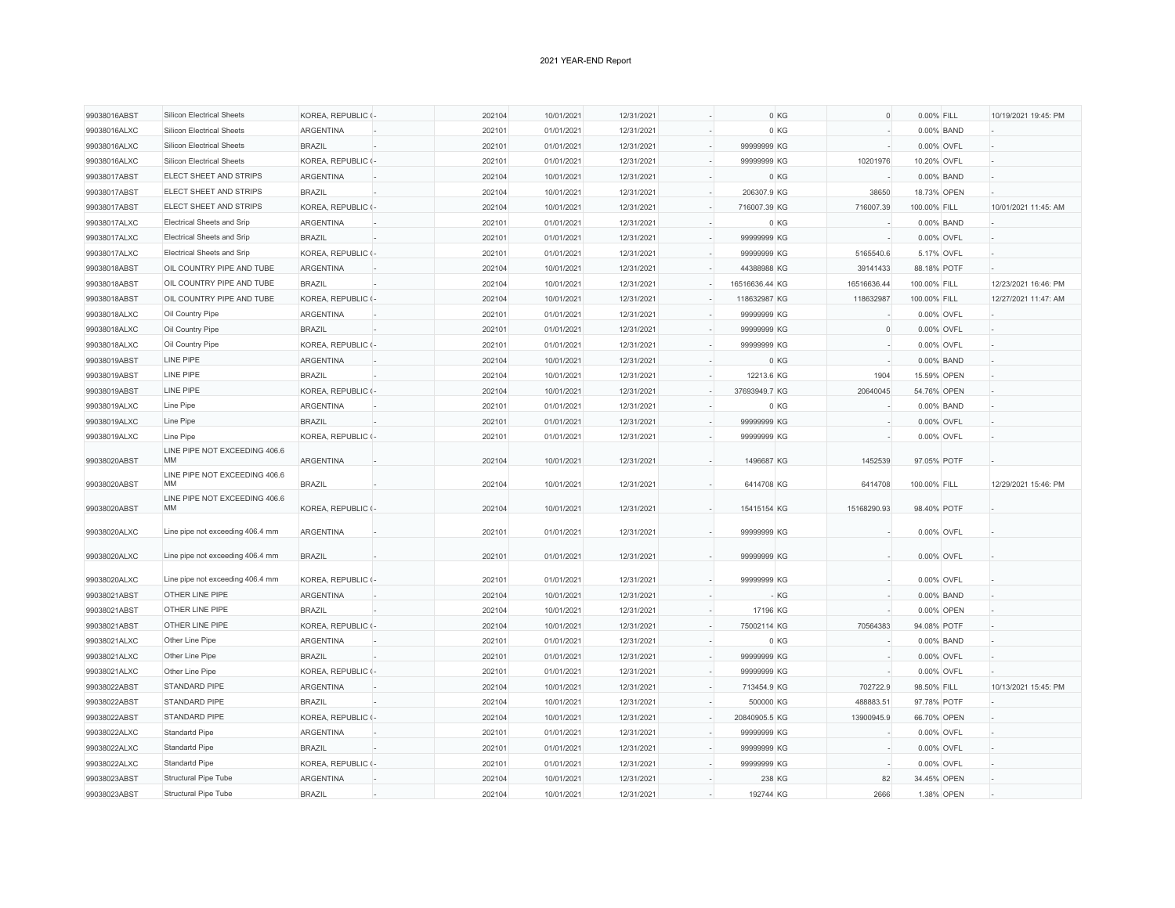| 99038016ABST | <b>Silicon Electrical Sheets</b>           | KOREA, REPUBLIC (- | 202104 | 10/01/2021 | 12/31/2021 | 0 KG           | $\circ$     | 0.00% FILL   |             | 10/19/2021 19:45: PM |
|--------------|--------------------------------------------|--------------------|--------|------------|------------|----------------|-------------|--------------|-------------|----------------------|
| 99038016ALXC | <b>Silicon Electrical Sheets</b>           | ARGENTINA          | 202101 | 01/01/2021 | 12/31/2021 | 0 KG           |             |              | 0.00% BAND  |                      |
| 99038016ALXC | <b>Silicon Electrical Sheets</b>           | <b>BRAZIL</b>      | 202101 | 01/01/2021 | 12/31/2021 | 99999999 KG    |             |              | 0.00% OVFL  |                      |
| 99038016ALXC | <b>Silicon Electrical Sheets</b>           | KOREA, REPUBLIC (- | 202101 | 01/01/2021 | 12/31/2021 | 99999999 KG    | 10201976    | 10.20% OVFL  |             |                      |
| 99038017ABST | ELECT SHEET AND STRIPS                     | <b>ARGENTINA</b>   | 202104 | 10/01/2021 | 12/31/2021 | 0 KG           |             |              | 0.00% BAND  |                      |
| 99038017ABST | ELECT SHEET AND STRIPS                     | <b>BRAZIL</b>      | 202104 | 10/01/2021 | 12/31/2021 | 206307.9 KG    | 38650       | 18.73% OPEN  |             |                      |
| 99038017ABST | <b>ELECT SHEET AND STRIPS</b>              | KOREA, REPUBLIC (- | 202104 | 10/01/2021 | 12/31/2021 | 716007.39 KG   | 716007.39   | 100.00% FILL |             | 10/01/2021 11:45: AM |
| 99038017ALXC | <b>Electrical Sheets and Srip</b>          | <b>ARGENTINA</b>   | 202101 | 01/01/2021 | 12/31/2021 | $0$ KG         |             |              | 0.00% BAND  |                      |
| 99038017ALXC | <b>Electrical Sheets and Srip</b>          | <b>BRAZIL</b>      | 202101 | 01/01/2021 | 12/31/2021 | 99999999 KG    |             |              | 0.00% OVFL  |                      |
| 99038017ALXC | <b>Electrical Sheets and Srip</b>          | KOREA, REPUBLIC (- | 202101 | 01/01/2021 | 12/31/2021 | 99999999 KG    | 5165540.6   |              | 5.17% OVFL  |                      |
| 99038018ABST | OIL COUNTRY PIPE AND TUBE                  | <b>ARGENTINA</b>   | 202104 | 10/01/2021 | 12/31/2021 | 44388988 KG    | 39141433    | 88.18% POTF  |             |                      |
| 99038018ABST | OIL COUNTRY PIPE AND TUBE                  | <b>BRAZIL</b>      | 202104 | 10/01/2021 | 12/31/2021 | 16516636.44 KG | 16516636.44 | 100.00% FILL |             | 12/23/2021 16:46: PM |
| 99038018ABST | OIL COUNTRY PIPE AND TUBE                  | KOREA, REPUBLIC (- | 202104 | 10/01/2021 | 12/31/2021 | 118632987 KG   | 118632987   | 100.00% FILL |             | 12/27/2021 11:47: AM |
|              |                                            |                    |        |            |            |                |             |              |             |                      |
| 99038018ALXC | Oil Country Pipe                           | ARGENTINA          | 202101 | 01/01/2021 | 12/31/2021 | 99999999 KG    |             |              | 0.00% OVFL  |                      |
| 99038018ALXC | Oil Country Pipe                           | <b>BRAZIL</b>      | 202101 | 01/01/2021 | 12/31/2021 | 99999999 KG    | $\mathbf 0$ |              | 0.00% OVFL  |                      |
| 99038018ALXC | Oil Country Pipe                           | KOREA, REPUBLIC (- | 202101 | 01/01/2021 | 12/31/2021 | 99999999 KG    |             |              | 0.00% OVFL  |                      |
| 99038019ABST | LINE PIPE                                  | <b>ARGENTINA</b>   | 202104 | 10/01/2021 | 12/31/2021 | 0 KG           |             |              | 0.00% BAND  |                      |
| 99038019ABST | LINE PIPE                                  | <b>BRAZIL</b>      | 202104 | 10/01/2021 | 12/31/2021 | 12213.6 KG     | 1904        |              | 15.59% OPEN |                      |
| 99038019ABST | LINE PIPE                                  | KOREA, REPUBLIC (- | 202104 | 10/01/2021 | 12/31/2021 | 37693949.7 KG  | 20640045    | 54.76% OPEN  |             |                      |
| 99038019ALXC | Line Pipe                                  | <b>ARGENTINA</b>   | 202101 | 01/01/2021 | 12/31/2021 | $0$ KG         |             |              | 0.00% BAND  |                      |
| 99038019ALXC | Line Pipe                                  | <b>BRAZIL</b>      | 202101 | 01/01/2021 | 12/31/2021 | 99999999 KG    |             |              | 0.00% OVFL  |                      |
| 99038019ALXC | Line Pipe                                  | KOREA, REPUBLIC (- | 202101 | 01/01/2021 | 12/31/2021 | 99999999 KG    |             |              | 0.00% OVFL  |                      |
| 99038020ABST | LINE PIPE NOT EXCEEDING 406.6<br><b>MM</b> | <b>ARGENTINA</b>   | 202104 | 10/01/2021 | 12/31/2021 | 1496687 KG     | 1452539     | 97.05% POTF  |             |                      |
|              | LINE PIPE NOT EXCEEDING 406.6              |                    |        |            |            |                |             |              |             |                      |
| 99038020ABST | <b>MM</b>                                  | <b>BRAZIL</b>      | 202104 | 10/01/2021 | 12/31/2021 | 6414708 KG     | 6414708     | 100.00% FILL |             | 12/29/2021 15:46: PM |
| 99038020ABST | LINE PIPE NOT EXCEEDING 406.6<br><b>MM</b> | KOREA, REPUBLIC (- | 202104 | 10/01/2021 | 12/31/2021 | 15415154 KG    | 15168290.93 | 98.40% POTF  |             |                      |
| 99038020ALXC | Line pipe not exceeding 406.4 mm           | <b>ARGENTINA</b>   | 202101 | 01/01/2021 | 12/31/2021 | 99999999 KG    |             |              | 0.00% OVFL  |                      |
| 99038020ALXC | Line pipe not exceeding 406.4 mm           | <b>BRAZIL</b>      | 202101 | 01/01/2021 | 12/31/2021 | 99999999 KG    |             |              | 0.00% OVFL  |                      |
|              |                                            |                    |        |            |            |                |             |              |             |                      |
| 99038020ALXC | Line pipe not exceeding 406.4 mm           | KOREA, REPUBLIC (- | 202101 | 01/01/2021 | 12/31/2021 | 99999999 KG    |             |              | 0.00% OVFL  |                      |
| 99038021ABST | OTHER LINE PIPE                            | <b>ARGENTINA</b>   | 202104 | 10/01/2021 | 12/31/2021 |                | - KG        |              | 0.00% BAND  |                      |
| 99038021ABST | OTHER LINE PIPE                            | <b>BRAZIL</b>      | 202104 | 10/01/2021 | 12/31/2021 | 17196 KG       |             |              | 0.00% OPEN  |                      |
| 99038021ABST | OTHER LINE PIPE                            | KOREA, REPUBLIC (- | 202104 | 10/01/2021 | 12/31/2021 | 75002114 KG    | 70564383    | 94.08% POTF  |             |                      |
| 99038021ALXC | Other Line Pipe                            | ARGENTINA          | 202101 | 01/01/2021 | 12/31/2021 | $0$ KG         |             |              | 0.00% BAND  |                      |
| 99038021ALXC | Other Line Pipe                            | <b>BRAZIL</b>      | 202101 | 01/01/2021 | 12/31/2021 | 99999999 KG    |             |              | 0.00% OVFL  |                      |
| 99038021ALXC | Other Line Pipe                            | KOREA, REPUBLIC (- | 202101 | 01/01/2021 | 12/31/2021 | 99999999 KG    |             |              | 0.00% OVFL  |                      |
| 99038022ABST | <b>STANDARD PIPE</b>                       | <b>ARGENTINA</b>   | 202104 | 10/01/2021 | 12/31/2021 | 713454.9 KG    | 702722.9    | 98.50% FILL  |             | 10/13/2021 15:45: PM |
| 99038022ABST | <b>STANDARD PIPE</b>                       | <b>BRAZIL</b>      | 202104 | 10/01/2021 | 12/31/2021 | 500000 KG      | 488883.51   | 97.78% POTF  |             |                      |
| 99038022ABST | STANDARD PIPE                              | KOREA, REPUBLIC (- | 202104 | 10/01/2021 | 12/31/2021 | 20840905.5 KG  | 13900945.9  | 66.70% OPEN  |             |                      |
| 99038022ALXC | Standartd Pipe                             | ARGENTINA          | 202101 | 01/01/2021 | 12/31/2021 | 99999999 KG    |             |              | 0.00% OVFL  |                      |
| 99038022ALXC | <b>Standartd Pipe</b>                      | <b>BRAZIL</b>      | 202101 | 01/01/2021 | 12/31/2021 | 99999999 KG    |             |              | 0.00% OVFL  |                      |
| 99038022ALXC | <b>Standartd Pipe</b>                      | KOREA, REPUBLIC (- | 202101 | 01/01/2021 | 12/31/2021 | 99999999 KG    |             |              | 0.00% OVFL  |                      |
| 99038023ABST | Structural Pipe Tube                       | <b>ARGENTINA</b>   | 202104 | 10/01/2021 | 12/31/2021 | 238 KG         | 82          | 34.45% OPEN  |             |                      |
| 99038023ABST | Structural Pipe Tube                       | <b>BRAZIL</b>      | 202104 | 10/01/2021 | 12/31/2021 | 192744 KG      | 2666        |              | 1.38% OPEN  |                      |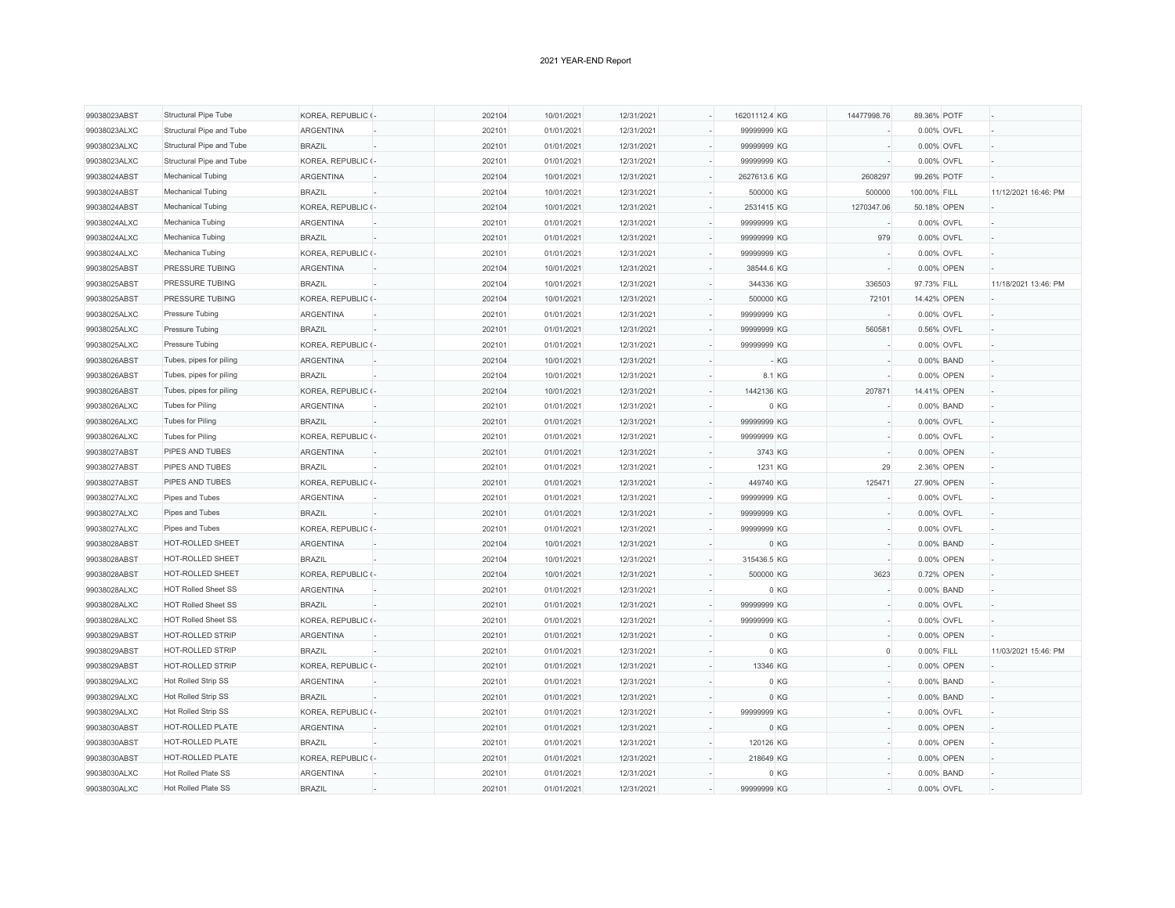| 99038023ABST                 | <b>Structural Pipe Tube</b>                | KOREA, REPUBLIC (-         | 202104           | 10/01/2021               | 12/31/2021               |        | 16201112.4 KG |       | 14477998.76 | 89.36% POTF              |                      |
|------------------------------|--------------------------------------------|----------------------------|------------------|--------------------------|--------------------------|--------|---------------|-------|-------------|--------------------------|----------------------|
| 99038023ALXC                 | Structural Pipe and Tube                   | <b>ARGENTINA</b>           | 202101           | 01/01/2021               | 12/31/2021               |        | 99999999 KG   |       |             | 0.00% OVFL               |                      |
| 99038023ALXC                 | Structural Pipe and Tube                   | <b>BRAZIL</b>              | 202101           | 01/01/2021               | 12/31/2021               |        | 99999999 KG   |       |             | 0.00% OVFL               |                      |
| 99038023ALXC                 | Structural Pipe and Tube                   | KOREA, REPUBLIC (-         | 202101           | 01/01/2021               | 12/31/2021               |        | 99999999 KG   |       |             | 0.00% OVFL               |                      |
| 99038024ABST                 | Mechanical Tubing                          | <b>ARGENTINA</b>           | 202104           | 10/01/2021               | 12/31/2021               |        | 2627613.6 KG  |       | 2608297     | 99.26% POTF              |                      |
| 99038024ABST                 | Mechanical Tubing                          | <b>BRAZIL</b>              | 202104           | 10/01/2021               | 12/31/2021               |        | 500000 KG     |       | 500000      | 100.00% FILL             | 11/12/2021 16:46: PM |
| 99038024ABST                 | <b>Mechanical Tubing</b>                   | KOREA, REPUBLIC (-         | 202104           | 10/01/2021               | 12/31/2021               | ÷,     | 2531415 KG    |       | 1270347.06  | 50.18% OPEN              |                      |
| 99038024ALXC                 | Mechanica Tubing                           | <b>ARGENTINA</b>           | 202101           | 01/01/2021               | 12/31/2021               |        | 99999999 KG   |       |             | 0.00% OVFL               |                      |
| 99038024ALXC                 | Mechanica Tubing                           | <b>BRAZIL</b>              | 202101           | 01/01/2021               | 12/31/2021               |        | 99999999 KG   |       | 979         | 0.00% OVFL               |                      |
| 99038024ALXC                 | Mechanica Tubing                           | KOREA, REPUBLIC (-         | 202101           | 01/01/2021               | 12/31/2021               |        | 99999999 KG   |       |             | 0.00% OVFL               |                      |
| 99038025ABST                 | PRESSURE TUBING                            | <b>ARGENTINA</b>           | 202104           | 10/01/2021               | 12/31/2021               |        | 38544.6 KG    |       |             | 0.00% OPEN               |                      |
| 99038025ABST                 | <b>PRESSURE TUBING</b>                     | <b>BRAZIL</b>              | 202104           | 10/01/2021               | 12/31/2021               |        | 344336 KG     |       | 336503      | 97.73% FILL              | 11/18/2021 13:46: PM |
| 99038025ABST                 | PRESSURE TUBING                            | KOREA, REPUBLIC (-         | 202104           | 10/01/2021               | 12/31/2021               | ÷,     | 500000 KG     |       | 72101       | 14.42% OPEN              |                      |
| 99038025ALXC                 | Pressure Tubing                            | <b>ARGENTINA</b>           | 202101           | 01/01/2021               | 12/31/2021               | ÷,     | 99999999 KG   |       |             | 0.00% OVFL               |                      |
| 99038025ALXC                 | Pressure Tubing                            | <b>BRAZIL</b>              | 202101           | 01/01/2021               | 12/31/2021               |        | 99999999 KG   |       | 560581      | 0.56% OVFL               |                      |
| 99038025ALXC                 | Pressure Tubing                            | KOREA, REPUBLIC (-         | 202101           | 01/01/2021               | 12/31/2021               | L.     | 99999999 KG   |       |             | 0.00% OVFL               |                      |
| 99038026ABST                 | Tubes, pipes for piling                    | <b>ARGENTINA</b>           | 202104           | 10/01/2021               | 12/31/2021               |        |               | $-KG$ |             | 0.00% BAND               |                      |
| 99038026ABST                 | Tubes, pipes for piling                    | <b>BRAZIL</b>              | 202104           | 10/01/2021               | 12/31/2021               |        | 8.1 KG        |       |             | 0.00% OPEN               |                      |
| 99038026ABST                 | Tubes, pipes for piling                    | KOREA, REPUBLIC (-         | 202104           | 10/01/2021               | 12/31/2021               |        | 1442136 KG    |       | 207871      | 14.41% OPEN              |                      |
| 99038026ALXC                 | Tubes for Piling                           | <b>ARGENTINA</b>           | 202101           | 01/01/2021               | 12/31/2021               |        |               | 0KG   |             | 0.00% BAND               |                      |
| 99038026ALXC                 | Tubes for Piling                           | <b>BRAZIL</b>              | 202101           | 01/01/2021               | 12/31/2021               |        | 99999999 KG   |       |             | 0.00% OVFL               |                      |
| 99038026ALXC                 | Tubes for Piling                           | KOREA, REPUBLIC (-         | 202101           | 01/01/2021               | 12/31/2021               | ÷,     | 99999999 KG   |       |             | 0.00% OVFL               |                      |
| 99038027ABST                 | PIPES AND TUBES                            | <b>ARGENTINA</b>           | 202101           | 01/01/2021               | 12/31/2021               |        | 3743 KG       |       |             | 0.00% OPEN               |                      |
| 99038027ABST                 | PIPES AND TUBES                            | <b>BRAZIL</b>              | 202101           | 01/01/2021               | 12/31/2021               |        | 1231 KG       |       | 29          | 2.36% OPEN               |                      |
| 99038027ABST                 | PIPES AND TUBES                            | KOREA, REPUBLIC (-         | 202101           | 01/01/2021               | 12/31/2021               | ÷,     | 449740 KG     |       | 125471      | 27.90% OPEN              |                      |
| 99038027ALXC                 | Pipes and Tubes                            | <b>ARGENTINA</b>           | 202101           | 01/01/2021               | 12/31/2021               |        | 99999999 KG   |       |             | 0.00% OVFL               |                      |
| 99038027ALXC                 | Pipes and Tubes                            | <b>BRAZIL</b>              | 202101           | 01/01/2021               | 12/31/2021               |        | 99999999 KG   |       |             | 0.00% OVFL               |                      |
| 99038027ALXC                 | Pipes and Tubes                            | KOREA, REPUBLIC (-         | 202101           | 01/01/2021               | 12/31/2021               |        | 99999999 KG   |       |             | 0.00% OVFL               |                      |
| 99038028ABST                 | HOT-ROLLED SHEET                           | <b>ARGENTINA</b>           | 202104           | 10/01/2021               | 12/31/2021               |        |               | 0 KG  |             | 0.00% BAND               |                      |
| 99038028ABST                 | HOT-ROLLED SHEET                           | <b>BRAZIL</b>              | 202104           | 10/01/2021               | 12/31/2021               | ÷,     | 315436.5 KG   |       |             | 0.00% OPEN               |                      |
| 99038028ABST                 | HOT-ROLLED SHEET                           | KOREA, REPUBLIC (-         | 202104           | 10/01/2021               | 12/31/2021               |        | 500000 KG     |       | 3623        | 0.72% OPEN               |                      |
| 99038028ALXC                 | <b>HOT Rolled Sheet SS</b>                 | <b>ARGENTINA</b>           | 202101           | 01/01/2021               | 12/31/2021               | $\sim$ |               | 0 KG  |             | 0.00% BAND               |                      |
| 99038028ALXC                 | HOT Rolled Sheet SS                        | <b>BRAZIL</b>              | 202101           | 01/01/2021               | 12/31/2021               |        | 99999999 KG   |       |             | 0.00% OVFL               |                      |
| 99038028ALXC                 | <b>HOT Rolled Sheet SS</b>                 | KOREA, REPUBLIC (-         | 202101           | 01/01/2021               | 12/31/2021               |        | 99999999 KG   |       |             | 0.00% OVFL               |                      |
| 99038029ABST                 | HOT-ROLLED STRIP                           | <b>ARGENTINA</b>           | 202101           | 01/01/2021               | 12/31/2021               | ä,     |               | 0 KG  |             | 0.00% OPEN               |                      |
| 99038029ABST                 | HOT-ROLLED STRIP                           | <b>BRAZIL</b>              | 202101           | 01/01/2021               | 12/31/2021               | L.     |               | 0 KG  | $\circ$     | 0.00% FILL               | 11/03/2021 15:46: PM |
| 99038029ABST                 | <b>HOT-ROLLED STRIP</b>                    | KOREA, REPUBLIC (-         | 202101           | 01/01/2021               | 12/31/2021               |        | 13346 KG      |       |             | 0.00% OPEN               |                      |
| 99038029ALXC                 | <b>Hot Rolled Strip SS</b>                 | <b>ARGENTINA</b>           | 202101           | 01/01/2021               | 12/31/2021               | ÷,     |               | 0KG   |             | 0.00% BAND               |                      |
|                              | Hot Rolled Strip SS                        | <b>BRAZIL</b>              |                  |                          | 12/31/2021               |        |               | 0 KG  |             |                          |                      |
| 99038029ALXC<br>99038029ALXC | Hot Rolled Strip SS                        | KOREA, REPUBLIC (-         | 202101<br>202101 | 01/01/2021<br>01/01/2021 | 12/31/2021               |        | 99999999 KG   |       |             | 0.00% BAND<br>0.00% OVFL |                      |
|                              | HOT-ROLLED PLATE                           |                            |                  |                          |                          | ÷,     |               |       |             |                          |                      |
| 99038030ABST                 |                                            | <b>ARGENTINA</b>           | 202101           | 01/01/2021               | 12/31/2021               |        |               | 0 KG  |             | 0.00% OPEN               |                      |
| 99038030ABST                 | HOT-ROLLED PLATE                           | <b>BRAZIL</b>              | 202101           | 01/01/2021               | 12/31/2021               |        | 120126 KG     |       |             | 0.00% OPEN               |                      |
| 99038030ABST                 | HOT-ROLLED PLATE                           | KOREA, REPUBLIC (-         | 202101           | 01/01/2021               | 12/31/2021               |        | 218649 KG     |       |             | 0.00% OPEN               |                      |
| 99038030ALXC                 | Hot Rolled Plate SS<br>Hot Rolled Plate SS | ARGENTINA<br><b>BRAZIL</b> | 202101<br>202101 | 01/01/2021<br>01/01/2021 | 12/31/2021<br>12/31/2021 |        | 99999999 KG   | 0 KG  |             | 0.00% BAND<br>0.00% OVFL |                      |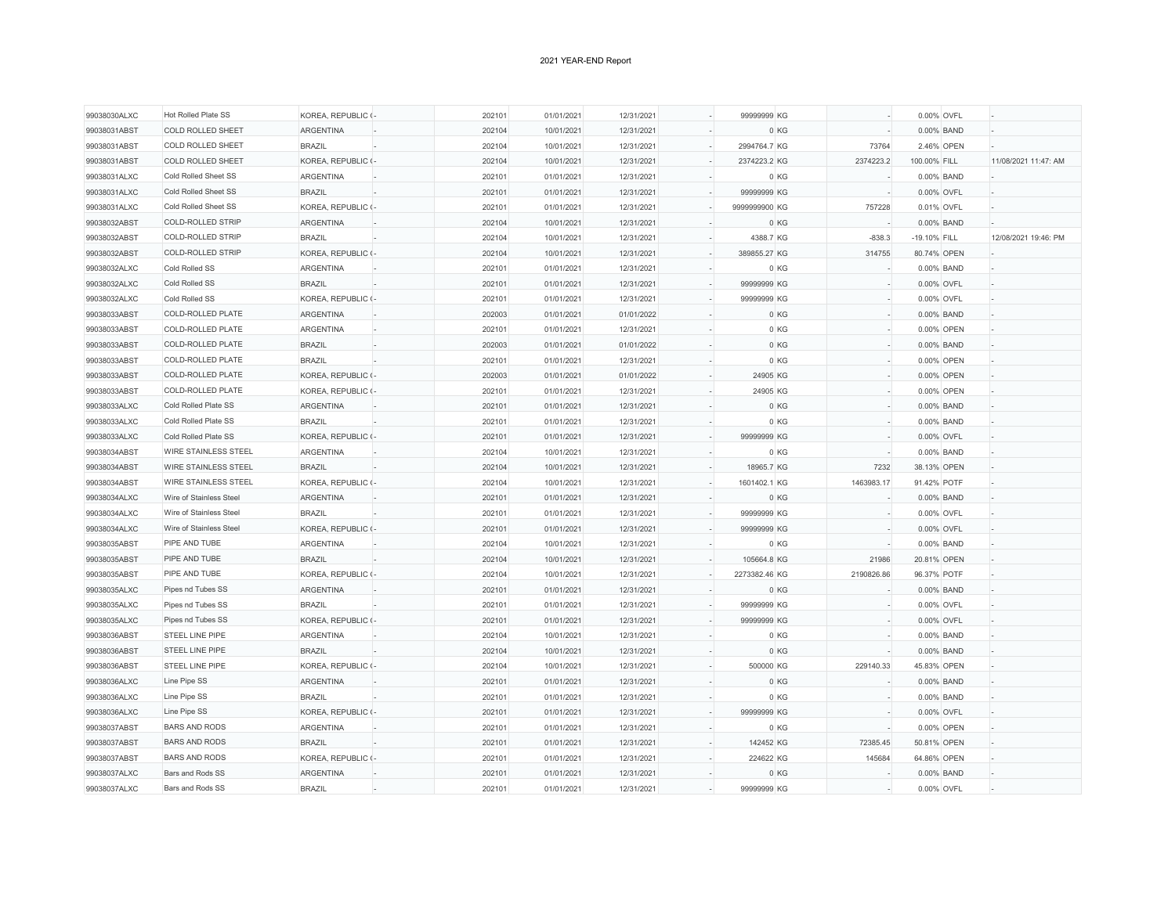| 99038030ALXC | <b>Hot Rolled Plate SS</b>  | KOREA, REPUBLIC (- | 202101 | 01/01/2021 | 12/31/2021 | 99999999 KG   |            | 0.00% OVFL   |                      |
|--------------|-----------------------------|--------------------|--------|------------|------------|---------------|------------|--------------|----------------------|
| 99038031ABST | <b>COLD ROLLED SHEET</b>    | <b>ARGENTINA</b>   | 202104 | 10/01/2021 | 12/31/2021 |               | 0 KG       | 0.00% BAND   |                      |
| 99038031ABST | <b>COLD ROLLED SHEET</b>    | <b>BRAZIL</b>      | 202104 | 10/01/2021 | 12/31/2021 | 2994764.7 KG  | 73764      | 2.46% OPEN   |                      |
| 99038031ABST | <b>COLD ROLLED SHEET</b>    | KOREA, REPUBLIC (- | 202104 | 10/01/2021 | 12/31/2021 | 2374223.2 KG  | 2374223.2  | 100.00% FILL | 11/08/2021 11:47: AM |
| 99038031ALXC | Cold Rolled Sheet SS        | <b>ARGENTINA</b>   | 202101 | 01/01/2021 | 12/31/2021 |               | 0 KG       | 0.00% BAND   |                      |
| 99038031ALXC | Cold Rolled Sheet SS        | <b>BRAZIL</b>      | 202101 | 01/01/2021 | 12/31/2021 | 99999999 KG   |            | 0.00% OVFL   |                      |
| 99038031ALXC | Cold Rolled Sheet SS        | KOREA, REPUBLIC (- | 202101 | 01/01/2021 | 12/31/2021 | 9999999900 KG | 757228     | 0.01% OVFL   |                      |
| 99038032ABST | COLD-ROLLED STRIP           | <b>ARGENTINA</b>   | 202104 | 10/01/2021 | 12/31/2021 |               | 0 KG       | 0.00% BAND   |                      |
| 99038032ABST | <b>COLD-ROLLED STRIP</b>    | <b>BRAZIL</b>      | 202104 | 10/01/2021 | 12/31/2021 | 4388.7 KG     | $-838.3$   | -19.10% FILL | 12/08/2021 19:46: PM |
| 99038032ABST | <b>COLD-ROLLED STRIP</b>    | KOREA, REPUBLIC (- | 202104 | 10/01/2021 | 12/31/2021 | 389855.27 KG  | 314755     | 80.74% OPEN  |                      |
| 99038032ALXC | Cold Rolled SS              | ARGENTINA          | 202101 | 01/01/2021 | 12/31/2021 |               | 0 KG       | 0.00% BAND   |                      |
| 99038032ALXC | Cold Rolled SS              | <b>BRAZIL</b>      | 202101 | 01/01/2021 | 12/31/2021 | 99999999 KG   |            | 0.00% OVFL   |                      |
| 99038032ALXC | Cold Rolled SS              | KOREA, REPUBLIC (- | 202101 | 01/01/2021 | 12/31/2021 | 99999999 KG   |            | 0.00% OVFL   |                      |
| 99038033ABST | <b>COLD-ROLLED PLATE</b>    | <b>ARGENTINA</b>   | 202003 | 01/01/2021 | 01/01/2022 |               | 0 KG       | 0.00% BAND   |                      |
| 99038033ABST | COLD-ROLLED PLATE           | ARGENTINA          | 202101 | 01/01/2021 | 12/31/2021 |               | 0 KG       | 0.00% OPEN   |                      |
| 99038033ABST | <b>COLD-ROLLED PLATE</b>    | <b>BRAZIL</b>      | 202003 | 01/01/2021 | 01/01/2022 |               | 0 KG       | 0.00% BAND   |                      |
| 99038033ABST | COLD-ROLLED PLATE           | <b>BRAZIL</b>      | 202101 | 01/01/2021 | 12/31/2021 |               | 0 KG       | 0.00% OPEN   |                      |
| 99038033ABST | <b>COLD-ROLLED PLATE</b>    | KOREA, REPUBLIC (- | 202003 | 01/01/2021 | 01/01/2022 | 24905 KG      |            | 0.00% OPEN   |                      |
| 99038033ABST | COLD-ROLLED PLATE           | KOREA, REPUBLIC (- | 202101 | 01/01/2021 | 12/31/2021 | 24905 KG      |            | 0.00% OPEN   |                      |
| 99038033ALXC | Cold Rolled Plate SS        | <b>ARGENTINA</b>   | 202101 | 01/01/2021 | 12/31/2021 |               | 0 KG       | 0.00% BAND   |                      |
| 99038033ALXC | Cold Rolled Plate SS        | <b>BRAZIL</b>      | 202101 | 01/01/2021 | 12/31/2021 |               | 0 KG       | 0.00% BAND   |                      |
| 99038033ALXC | Cold Rolled Plate SS        | KOREA, REPUBLIC (- | 202101 | 01/01/2021 | 12/31/2021 | 99999999 KG   |            | 0.00% OVFL   |                      |
| 99038034ABST | <b>WIRE STAINLESS STEEL</b> | <b>ARGENTINA</b>   | 202104 | 10/01/2021 | 12/31/2021 |               | 0 KG       | 0.00% BAND   |                      |
| 99038034ABST | <b>WIRE STAINLESS STEEL</b> | <b>BRAZIL</b>      | 202104 | 10/01/2021 | 12/31/2021 | 18965.7 KG    | 7232       | 38.13% OPEN  |                      |
| 99038034ABST | <b>WIRE STAINLESS STEEL</b> | KOREA, REPUBLIC (- | 202104 | 10/01/2021 | 12/31/2021 | 1601402.1 KG  | 1463983.17 | 91.42% POTF  |                      |
| 99038034ALXC | Wire of Stainless Steel     | <b>ARGENTINA</b>   | 202101 | 01/01/2021 | 12/31/2021 |               | 0 KG       | 0.00% BAND   |                      |
| 99038034ALXC | Wire of Stainless Steel     | <b>BRAZIL</b>      | 202101 | 01/01/2021 | 12/31/2021 | 99999999 KG   |            | 0.00% OVFL   |                      |
| 99038034ALXC | Wire of Stainless Steel     | KOREA, REPUBLIC (- | 202101 | 01/01/2021 | 12/31/2021 | 99999999 KG   |            | 0.00% OVFL   |                      |
| 99038035ABST | PIPE AND TUBE               | ARGENTINA          | 202104 | 10/01/2021 | 12/31/2021 |               | 0 KG       | 0.00% BAND   |                      |
| 99038035ABST | PIPE AND TUBE               | <b>BRAZIL</b>      | 202104 | 10/01/2021 | 12/31/2021 | 105664.8 KG   | 21986      | 20.81% OPEN  |                      |
| 99038035ABST | PIPE AND TUBE               | KOREA, REPUBLIC (- | 202104 | 10/01/2021 | 12/31/2021 | 2273382.46 KG | 2190826.86 | 96.37% POTF  |                      |
| 99038035ALXC | Pipes nd Tubes SS           | <b>ARGENTINA</b>   | 202101 | 01/01/2021 | 12/31/2021 |               | 0 KG       | 0.00% BAND   |                      |
| 99038035ALXC | Pipes nd Tubes SS           | <b>BRAZIL</b>      | 202101 | 01/01/2021 | 12/31/2021 | 99999999 KG   |            | 0.00% OVFL   |                      |
| 99038035ALXC | Pipes nd Tubes SS           | KOREA, REPUBLIC (- | 202101 | 01/01/2021 | 12/31/2021 | 99999999 KG   |            | 0.00% OVFL   |                      |
| 99038036ABST | STEEL LINE PIPE             | <b>ARGENTINA</b>   | 202104 | 10/01/2021 | 12/31/2021 |               | 0 KG       | 0.00% BAND   |                      |
| 99038036ABST | STEEL LINE PIPE             | <b>BRAZIL</b>      | 202104 | 10/01/2021 | 12/31/2021 |               | 0 KG       | 0.00% BAND   |                      |
| 99038036ABST | STEEL LINE PIPE             | KOREA, REPUBLIC (- | 202104 | 10/01/2021 | 12/31/2021 | 500000 KG     | 229140.33  | 45.83% OPEN  |                      |
| 99038036ALXC | Line Pipe SS                | <b>ARGENTINA</b>   | 202101 | 01/01/2021 | 12/31/2021 |               | 0 KG       | 0.00% BAND   |                      |
| 99038036ALXC | Line Pipe SS                | <b>BRAZIL</b>      | 202101 | 01/01/2021 | 12/31/2021 |               | 0 KG       | 0.00% BAND   |                      |
| 99038036ALXC | Line Pipe SS                | KOREA, REPUBLIC (- | 202101 | 01/01/2021 | 12/31/2021 | 99999999 KG   |            | 0.00% OVFL   |                      |
| 99038037ABST | <b>BARS AND RODS</b>        | <b>ARGENTINA</b>   | 202101 | 01/01/2021 | 12/31/2021 |               | 0 KG       | 0.00% OPEN   |                      |
| 99038037ABST | <b>BARS AND RODS</b>        | <b>BRAZIL</b>      | 202101 | 01/01/2021 | 12/31/2021 | 142452 KG     | 72385.45   | 50.81% OPEN  |                      |
| 99038037ABST | <b>BARS AND RODS</b>        | KOREA, REPUBLIC (- | 202101 | 01/01/2021 | 12/31/2021 | 224622 KG     | 145684     | 64.86% OPEN  |                      |
| 99038037ALXC | Bars and Rods SS            | <b>ARGENTINA</b>   | 202101 | 01/01/2021 | 12/31/2021 |               | 0 KG       | 0.00% BAND   |                      |
| 99038037ALXC | Bars and Rods SS            | <b>BRAZIL</b>      | 202101 | 01/01/2021 | 12/31/2021 | 99999999 KG   |            | 0.00% OVFL   |                      |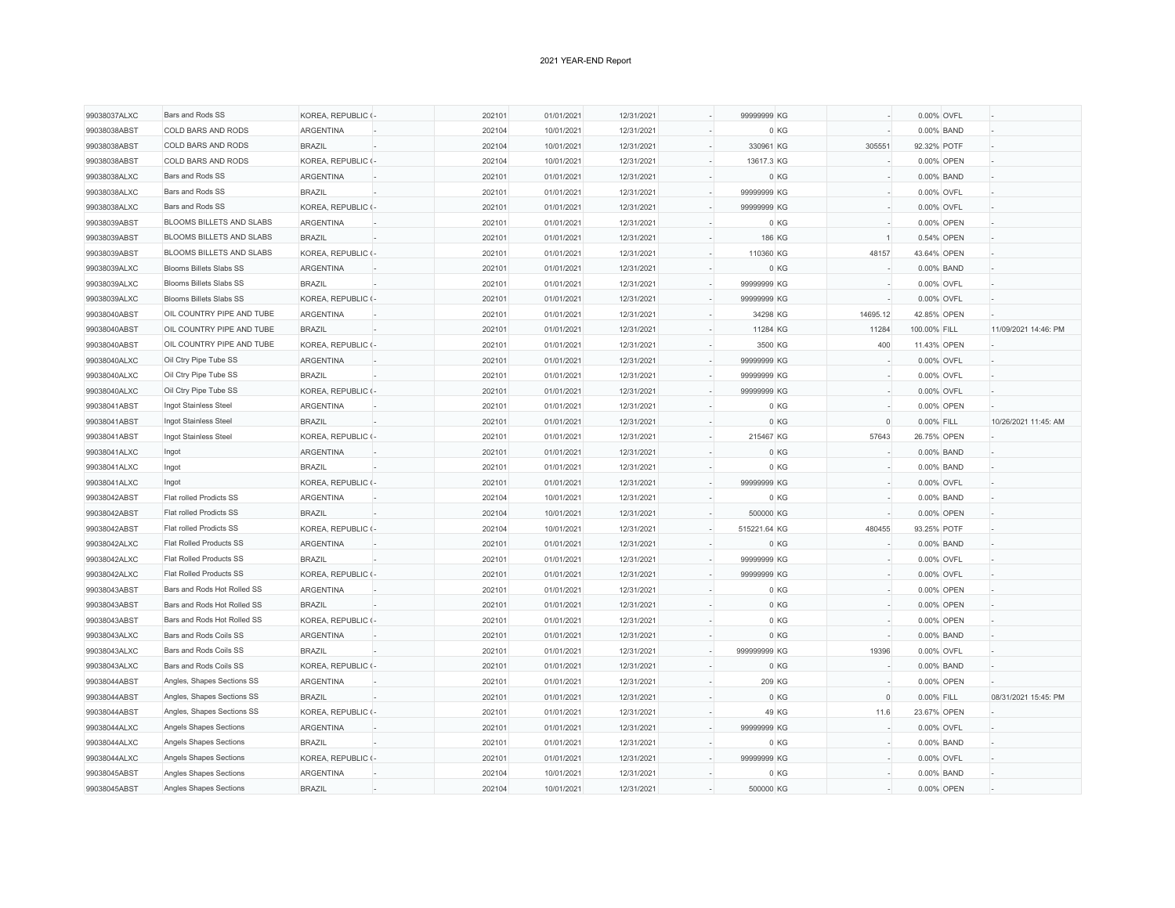| 99038037ALXC | Bars and Rods SS                | KOREA, REPUBLIC (- | 202101 | 01/01/2021 | 12/31/2021 |        | 99999999 KG  |          | 0.00% OVFL   |                      |
|--------------|---------------------------------|--------------------|--------|------------|------------|--------|--------------|----------|--------------|----------------------|
| 99038038ABST | <b>COLD BARS AND RODS</b>       | <b>ARGENTINA</b>   | 202104 | 10/01/2021 | 12/31/2021 | ÷,     | 0 KG         |          | 0.00% BAND   |                      |
| 99038038ABST | COLD BARS AND RODS              | <b>BRAZIL</b>      | 202104 | 10/01/2021 | 12/31/2021 |        | 330961 KG    | 305551   | 92.32% POTF  |                      |
| 99038038ABST | COLD BARS AND RODS              | KOREA, REPUBLIC (- | 202104 | 10/01/2021 | 12/31/2021 |        | 13617.3 KG   |          | 0.00% OPEN   |                      |
| 99038038ALXC | Bars and Rods SS                | ARGENTINA          | 202101 | 01/01/2021 | 12/31/2021 |        | 0 KG         |          | 0.00% BAND   |                      |
| 99038038ALXC | Bars and Rods SS                | <b>BRAZIL</b>      | 202101 | 01/01/2021 | 12/31/2021 |        | 99999999 KG  |          | 0.00% OVFL   |                      |
| 99038038ALXC | Bars and Rods SS                | KOREA, REPUBLIC (- | 202101 | 01/01/2021 | 12/31/2021 |        | 99999999 KG  |          | 0.00% OVFL   |                      |
| 99038039ABST | <b>BLOOMS BILLETS AND SLABS</b> | <b>ARGENTINA</b>   | 202101 | 01/01/2021 | 12/31/2021 |        | 0 KG         |          | 0.00% OPEN   |                      |
| 99038039ABST | <b>BLOOMS BILLETS AND SLABS</b> | <b>BRAZIL</b>      | 202101 | 01/01/2021 | 12/31/2021 |        | 186 KG       |          | 0.54% OPEN   |                      |
| 99038039ABST | <b>BLOOMS BILLETS AND SLABS</b> | KOREA, REPUBLIC (- | 202101 | 01/01/2021 | 12/31/2021 |        | 110360 KG    | 48157    | 43.64% OPEN  |                      |
| 99038039ALXC | <b>Blooms Billets Slabs SS</b>  | <b>ARGENTINA</b>   | 202101 | 01/01/2021 | 12/31/2021 | $\sim$ | 0 KG         |          | 0.00% BAND   |                      |
| 99038039ALXC | <b>Blooms Billets Slabs SS</b>  | <b>BRAZIL</b>      | 202101 | 01/01/2021 | 12/31/2021 |        | 99999999 KG  |          | 0.00% OVFL   |                      |
| 99038039ALXC | <b>Blooms Billets Slabs SS</b>  | KOREA, REPUBLIC (- | 202101 | 01/01/2021 | 12/31/2021 | L.     | 99999999 KG  |          | 0.00% OVFL   |                      |
| 99038040ABST | OIL COUNTRY PIPE AND TUBE       | <b>ARGENTINA</b>   | 202101 | 01/01/2021 | 12/31/2021 |        | 34298 KG     | 14695.12 | 42.85% OPEN  |                      |
| 99038040ABST | OIL COUNTRY PIPE AND TUBE       | <b>BRAZIL</b>      | 202101 | 01/01/2021 | 12/31/2021 |        | 11284 KG     | 11284    | 100.00% FILL | 11/09/2021 14:46: PM |
| 99038040ABST | OIL COUNTRY PIPE AND TUBE       | KOREA, REPUBLIC (- | 202101 | 01/01/2021 | 12/31/2021 | L.     | 3500 KG      | 400      | 11.43% OPEN  |                      |
| 99038040ALXC | Oil Ctry Pipe Tube SS           | <b>ARGENTINA</b>   | 202101 | 01/01/2021 | 12/31/2021 |        | 99999999 KG  |          | 0.00% OVFL   |                      |
| 99038040ALXC | Oil Ctry Pipe Tube SS           | <b>BRAZIL</b>      | 202101 | 01/01/2021 | 12/31/2021 |        | 99999999 KG  |          | 0.00% OVFL   |                      |
| 99038040ALXC | Oil Ctry Pipe Tube SS           | KOREA, REPUBLIC (- | 202101 | 01/01/2021 | 12/31/2021 |        | 99999999 KG  |          | 0.00% OVFL   |                      |
| 99038041ABST | Ingot Stainless Steel           | <b>ARGENTINA</b>   | 202101 | 01/01/2021 | 12/31/2021 |        | 0 KG         |          | 0.00% OPEN   |                      |
| 99038041ABST | Ingot Stainless Steel           | <b>BRAZIL</b>      | 202101 | 01/01/2021 | 12/31/2021 |        | 0 KG         | $\Omega$ | 0.00% FILL   | 10/26/2021 11:45: AM |
| 99038041ABST | Ingot Stainless Steel           | KOREA, REPUBLIC (- | 202101 | 01/01/2021 | 12/31/2021 | ÷,     | 215467 KG    | 57643    | 26.75% OPEN  |                      |
| 99038041ALXC | Ingot                           | <b>ARGENTINA</b>   | 202101 | 01/01/2021 | 12/31/2021 |        | 0 KG         |          | 0.00% BAND   |                      |
| 99038041ALXC | Ingot                           | <b>BRAZIL</b>      | 202101 | 01/01/2021 | 12/31/2021 |        | 0KG          |          | 0.00% BAND   |                      |
| 99038041ALXC | Ingot                           | KOREA, REPUBLIC (- | 202101 | 01/01/2021 | 12/31/2021 | ÷,     | 99999999 KG  |          | 0.00% OVFL   |                      |
| 99038042ABST | Flat rolled Prodicts SS         | <b>ARGENTINA</b>   | 202104 | 10/01/2021 | 12/31/2021 |        | 0 KG         |          | 0.00% BAND   |                      |
| 99038042ABST | Flat rolled Prodicts SS         | <b>BRAZIL</b>      | 202104 | 10/01/2021 | 12/31/2021 |        | 500000 KG    |          | 0.00% OPEN   |                      |
| 99038042ABST | <b>Flat rolled Prodicts SS</b>  | KOREA, REPUBLIC (- | 202104 | 10/01/2021 | 12/31/2021 |        | 515221.64 KG | 480455   | 93.25% POTF  |                      |
| 99038042ALXC | Flat Rolled Products SS         | <b>ARGENTINA</b>   | 202101 | 01/01/2021 | 12/31/2021 |        | 0 KG         |          | 0.00% BAND   |                      |
| 99038042ALXC | Flat Rolled Products SS         | <b>BRAZIL</b>      | 202101 | 01/01/2021 | 12/31/2021 | ÷,     | 99999999 KG  |          | 0.00% OVFL   |                      |
| 99038042ALXC | Flat Rolled Products SS         | KOREA, REPUBLIC (- | 202101 | 01/01/2021 | 12/31/2021 |        | 99999999 KG  |          | 0.00% OVFL   |                      |
| 99038043ABST | Bars and Rods Hot Rolled SS     | <b>ARGENTINA</b>   | 202101 | 01/01/2021 | 12/31/2021 | $\sim$ | 0 KG         |          | 0.00% OPEN   |                      |
| 99038043ABST | Bars and Rods Hot Rolled SS     | <b>BRAZIL</b>      | 202101 | 01/01/2021 | 12/31/2021 |        | 0 KG         |          | 0.00% OPEN   |                      |
| 99038043ABST | Bars and Rods Hot Rolled SS     | KOREA, REPUBLIC (- | 202101 | 01/01/2021 | 12/31/2021 |        | 0 KG         |          | 0.00% OPEN   |                      |
| 99038043ALXC | Bars and Rods Coils SS          | <b>ARGENTINA</b>   | 202101 | 01/01/2021 | 12/31/2021 | ÷,     | 0 KG         |          | 0.00% BAND   |                      |
| 99038043ALXC | Bars and Rods Coils SS          | <b>BRAZIL</b>      | 202101 | 01/01/2021 | 12/31/2021 | ÷,     | 999999999 KG | 19396    | 0.00% OVFL   |                      |
| 99038043ALXC | Bars and Rods Coils SS          | KOREA, REPUBLIC (- | 202101 | 01/01/2021 | 12/31/2021 |        | 0 KG         |          | 0.00% BAND   |                      |
| 99038044ABST | Angles, Shapes Sections SS      | ARGENTINA          | 202101 | 01/01/2021 | 12/31/2021 |        | 209 KG       |          | 0.00% OPEN   |                      |
| 99038044ABST | Angles, Shapes Sections SS      | <b>BRAZIL</b>      | 202101 | 01/01/2021 | 12/31/2021 |        | 0 KG         | $\Omega$ | 0.00% FILL   | 08/31/2021 15:45: PM |
| 99038044ABST | Angles, Shapes Sections SS      | KOREA, REPUBLIC (- | 202101 | 01/01/2021 | 12/31/2021 |        | 49 KG        | 11.6     | 23.67% OPEN  |                      |
| 99038044ALXC | <b>Angels Shapes Sections</b>   | <b>ARGENTINA</b>   | 202101 | 01/01/2021 | 12/31/2021 | ä,     | 99999999 KG  |          | 0.00% OVFL   |                      |
| 99038044ALXC | Angels Shapes Sections          | <b>BRAZIL</b>      | 202101 | 01/01/2021 | 12/31/2021 |        | 0 KG         |          | 0.00% BAND   |                      |
| 99038044ALXC | Angels Shapes Sections          | KOREA, REPUBLIC (- | 202101 | 01/01/2021 | 12/31/2021 |        | 99999999 KG  |          | 0.00% OVFL   |                      |
| 99038045ABST | Angles Shapes Sections          | <b>ARGENTINA</b>   | 202104 | 10/01/2021 | 12/31/2021 |        | 0 KG         |          | 0.00% BAND   |                      |
| 99038045ABST | Angles Shapes Sections          | <b>BRAZIL</b>      | 202104 | 10/01/2021 | 12/31/2021 |        | 500000 KG    |          | 0.00% OPEN   |                      |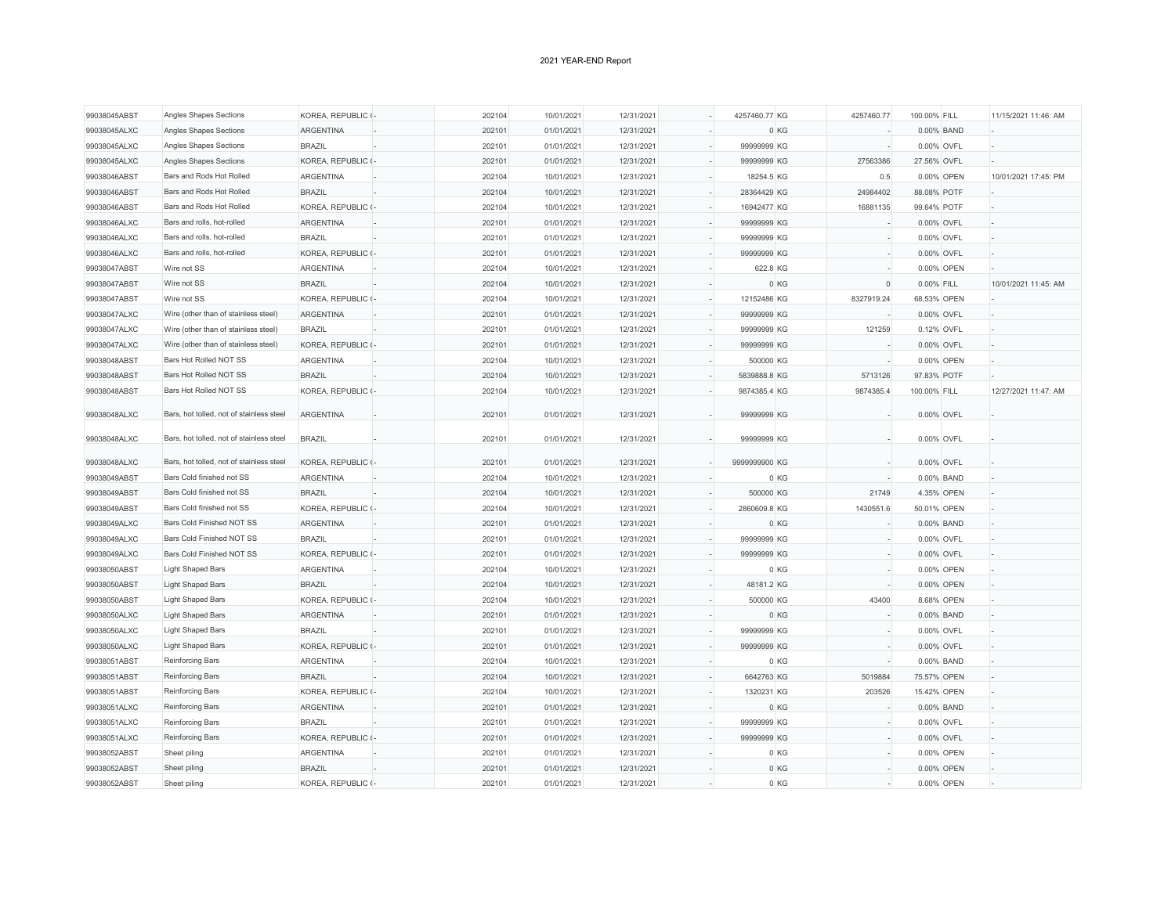| 99038045ABST | Angles Shapes Sections                   | KOREA, REPUBLIC (- | 202104 | 10/01/2021 | 12/31/2021 | 4257460.77 KG | 4257460.77           | 100.00% FILL |             | 11/15/2021 11:46: AM |
|--------------|------------------------------------------|--------------------|--------|------------|------------|---------------|----------------------|--------------|-------------|----------------------|
| 99038045ALXC | Angles Shapes Sections                   | <b>ARGENTINA</b>   | 202101 | 01/01/2021 | 12/31/2021 |               | 0 KG                 |              | 0.00% BAND  |                      |
| 99038045ALXC | Angles Shapes Sections                   | <b>BRAZIL</b>      | 202101 | 01/01/2021 | 12/31/2021 | 99999999 KG   |                      | 0.00% OVFL   |             |                      |
| 99038045ALXC | Angles Shapes Sections                   | KOREA, REPUBLIC (- | 202101 | 01/01/2021 | 12/31/2021 | 99999999 KG   | 27563386             | 27.56% OVFL  |             |                      |
| 99038046ABST | Bars and Rods Hot Rolled                 | <b>ARGENTINA</b>   | 202104 | 10/01/2021 | 12/31/2021 | 18254.5 KG    | 0.5                  |              | 0.00% OPEN  | 10/01/2021 17:45: PM |
| 99038046ABST | Bars and Rods Hot Rolled                 | <b>BRAZIL</b>      | 202104 | 10/01/2021 | 12/31/2021 | 28364429 KG   | 24984402             | 88.08% POTF  |             |                      |
| 99038046ABST | Bars and Rods Hot Rolled                 | KOREA, REPUBLIC (- | 202104 | 10/01/2021 | 12/31/2021 | 16942477 KG   | 16881135             | 99.64% POTF  |             |                      |
| 99038046ALXC | Bars and rolls, hot-rolled               | <b>ARGENTINA</b>   | 202101 | 01/01/2021 | 12/31/2021 | 99999999 KG   |                      |              | 0.00% OVFL  |                      |
| 99038046ALXC | Bars and rolls, hot-rolled               | <b>BRAZIL</b>      | 202101 | 01/01/2021 | 12/31/2021 | 99999999 KG   |                      |              | 0.00% OVFL  |                      |
| 99038046ALXC | Bars and rolls, hot-rolled               | KOREA, REPUBLIC (- | 202101 | 01/01/2021 | 12/31/2021 | 99999999 KG   |                      |              | 0.00% OVFL  |                      |
| 99038047ABST | Wire not SS                              | <b>ARGENTINA</b>   | 202104 | 10/01/2021 | 12/31/2021 | 622.8 KG      |                      |              | 0.00% OPEN  |                      |
| 99038047ABST | Wire not SS                              | <b>BRAZIL</b>      | 202104 | 10/01/2021 | 12/31/2021 |               | 0 KG<br>$\mathbf{0}$ | 0.00% FILL   |             | 10/01/2021 11:45: AM |
| 99038047ABST | Wire not SS                              | KOREA, REPUBLIC (- | 202104 | 10/01/2021 | 12/31/2021 | 12152486 KG   | 8327919.24           | 68.53% OPEN  |             |                      |
| 99038047ALXC | Wire (other than of stainless steel)     | <b>ARGENTINA</b>   | 202101 | 01/01/2021 | 12/31/2021 | 99999999 KG   |                      |              | 0.00% OVFL  |                      |
| 99038047ALXC | Wire (other than of stainless steel)     | <b>BRAZIL</b>      | 202101 | 01/01/2021 | 12/31/2021 | 99999999 KG   | 121259               |              | 0.12% OVFL  |                      |
| 99038047ALXC | Wire (other than of stainless steel)     | KOREA, REPUBLIC (- | 202101 | 01/01/2021 | 12/31/2021 | 99999999 KG   |                      |              | 0.00% OVFL  |                      |
| 99038048ABST | Bars Hot Rolled NOT SS                   | <b>ARGENTINA</b>   | 202104 | 10/01/2021 | 12/31/2021 | 500000 KG     |                      |              | 0.00% OPEN  |                      |
| 99038048ABST | Bars Hot Rolled NOT SS                   | <b>BRAZIL</b>      | 202104 | 10/01/2021 | 12/31/2021 | 5839888.8 KG  | 5713126              | 97.83% POTF  |             |                      |
| 99038048ABST | Bars Hot Rolled NOT SS                   | KOREA, REPUBLIC (- | 202104 | 10/01/2021 | 12/31/2021 | 9874385.4 KG  | 9874385.4            | 100.00% FILL |             | 12/27/2021 11:47: AM |
|              |                                          |                    |        |            |            |               |                      |              |             |                      |
| 99038048ALXC | Bars, hot tolled, not of stainless steel | <b>ARGENTINA</b>   | 202101 | 01/01/2021 | 12/31/2021 | 99999999 KG   |                      |              | 0.00% OVFL  |                      |
| 99038048ALXC | Bars, hot tolled, not of stainless steel | <b>BRAZIL</b>      | 202101 | 01/01/2021 | 12/31/2021 | 99999999 KG   |                      |              | 0.00% OVFL  |                      |
| 99038048ALXC | Bars, hot tolled, not of stainless steel | KOREA, REPUBLIC (- | 202101 | 01/01/2021 | 12/31/2021 | 9999999900 KG |                      |              | 0.00% OVFL  |                      |
| 99038049ABST | Bars Cold finished not SS                | <b>ARGENTINA</b>   | 202104 | 10/01/2021 | 12/31/2021 |               | 0 KG                 |              | 0.00% BAND  |                      |
| 99038049ABST | Bars Cold finished not SS                | <b>BRAZIL</b>      | 202104 | 10/01/2021 | 12/31/2021 | 500000 KG     | 21749                |              | 4.35% OPEN  |                      |
| 99038049ABST | Bars Cold finished not SS                | KOREA, REPUBLIC (- | 202104 | 10/01/2021 | 12/31/2021 | 2860609.8 KG  | 1430551.6            |              | 50.01% OPEN |                      |
| 99038049ALXC | Bars Cold Finished NOT SS                | <b>ARGENTINA</b>   | 202101 | 01/01/2021 | 12/31/2021 |               | 0 KG                 |              | 0.00% BAND  |                      |
| 99038049ALXC | Bars Cold Finished NOT SS                | <b>BRAZIL</b>      | 202101 | 01/01/2021 | 12/31/2021 | 99999999 KG   |                      |              | 0.00% OVFL  |                      |
| 99038049ALXC | Bars Cold Finished NOT SS                | KOREA, REPUBLIC (- | 202101 | 01/01/2021 | 12/31/2021 | 99999999 KG   |                      |              | 0.00% OVFL  |                      |
| 99038050ABST | Light Shaped Bars                        | <b>ARGENTINA</b>   | 202104 | 10/01/2021 | 12/31/2021 |               | 0 KG                 |              | 0.00% OPEN  |                      |
| 99038050ABST | <b>Light Shaped Bars</b>                 | <b>BRAZIL</b>      | 202104 | 10/01/2021 | 12/31/2021 | 48181.2 KG    |                      |              | 0.00% OPEN  |                      |
| 99038050ABST | <b>Light Shaped Bars</b>                 | KOREA, REPUBLIC (- | 202104 | 10/01/2021 | 12/31/2021 | 500000 KG     | 43400                |              | 8.68% OPEN  |                      |
| 99038050ALXC | <b>Light Shaped Bars</b>                 | <b>ARGENTINA</b>   | 202101 | 01/01/2021 | 12/31/2021 |               | 0 KG                 |              | 0.00% BAND  |                      |
| 99038050ALXC | Light Shaped Bars                        | <b>BRAZIL</b>      | 202101 | 01/01/2021 | 12/31/2021 | 99999999 KG   |                      |              | 0.00% OVFL  |                      |
| 99038050ALXC | <b>Light Shaped Bars</b>                 | KOREA, REPUBLIC (- | 202101 | 01/01/2021 | 12/31/2021 | 99999999 KG   |                      |              | 0.00% OVFL  |                      |
| 99038051ABST | Reinforcing Bars                         | <b>ARGENTINA</b>   | 202104 | 10/01/2021 | 12/31/2021 |               | 0 KG                 |              | 0.00% BAND  |                      |
| 99038051ABST | Reinforcing Bars                         | <b>BRAZIL</b>      | 202104 | 10/01/2021 | 12/31/2021 | 6642763 KG    | 5019884              | 75.57% OPEN  |             |                      |
| 99038051ABST | Reinforcing Bars                         | KOREA, REPUBLIC (- | 202104 | 10/01/2021 | 12/31/2021 | 1320231 KG    | 203526               |              | 15.42% OPEN |                      |
| 99038051ALXC | Reinforcing Bars                         | <b>ARGENTINA</b>   | 202101 | 01/01/2021 | 12/31/2021 |               | 0 KG                 |              | 0.00% BAND  |                      |
| 99038051ALXC | Reinforcing Bars                         | <b>BRAZIL</b>      | 202101 | 01/01/2021 | 12/31/2021 | 99999999 KG   |                      |              | 0.00% OVFL  |                      |
| 99038051ALXC | Reinforcing Bars                         | KOREA, REPUBLIC (- | 202101 | 01/01/2021 | 12/31/2021 | 99999999 KG   |                      |              | 0.00% OVFL  |                      |
| 99038052ABST | Sheet piling                             | <b>ARGENTINA</b>   | 202101 | 01/01/2021 | 12/31/2021 |               | 0 KG                 |              | 0.00% OPEN  |                      |
| 99038052ABST | Sheet piling                             | <b>BRAZIL</b>      | 202101 | 01/01/2021 | 12/31/2021 |               | 0 KG                 |              | 0.00% OPEN  |                      |
| 99038052ABST | Sheet piling                             | KOREA, REPUBLIC (- | 202101 | 01/01/2021 | 12/31/2021 |               | 0 KG                 |              | 0.00% OPEN  |                      |
|              |                                          |                    |        |            |            |               |                      |              |             |                      |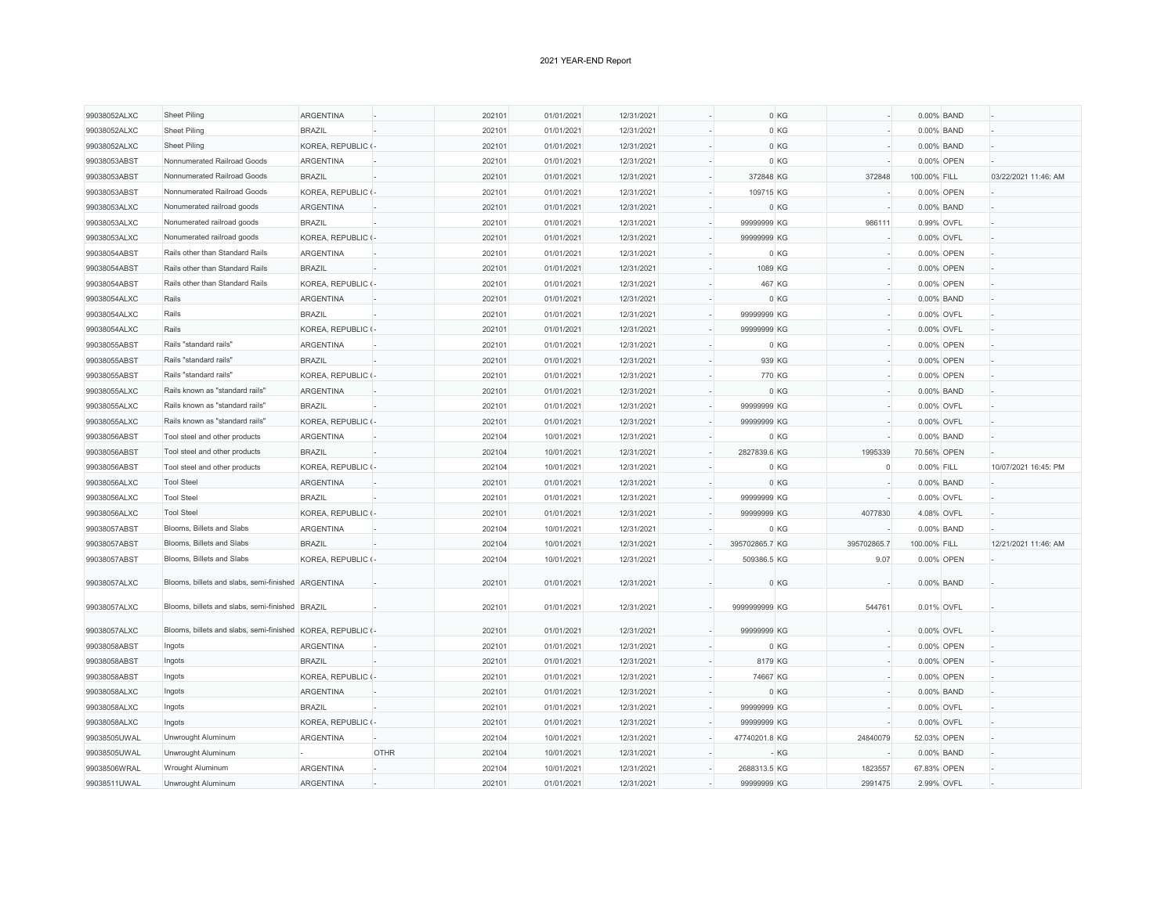| 99038052ALXC | <b>Sheet Piling</b>                                         | <b>ARGENTINA</b>   |             | 202101 | 01/01/2021 | 12/31/2021 |                | 0 KG            |              | 0.00% BAND  |                      |
|--------------|-------------------------------------------------------------|--------------------|-------------|--------|------------|------------|----------------|-----------------|--------------|-------------|----------------------|
| 99038052ALXC | Sheet Piling                                                | <b>BRAZIL</b>      |             | 202101 | 01/01/2021 | 12/31/2021 |                | 0 KG            |              | 0.00% BAND  |                      |
| 99038052ALXC | <b>Sheet Piling</b>                                         | KOREA, REPUBLIC (- |             | 202101 | 01/01/2021 | 12/31/2021 |                | 0 KG            |              | 0.00% BAND  |                      |
| 99038053ABST | Nonnumerated Railroad Goods                                 | <b>ARGENTINA</b>   |             | 202101 | 01/01/2021 | 12/31/2021 |                | 0 KG            |              | 0.00% OPEN  |                      |
| 99038053ABST | Nonnumerated Railroad Goods                                 | <b>BRAZIL</b>      |             | 202101 | 01/01/2021 | 12/31/2021 | 372848 KG      | 372848          | 100.00% FILL |             | 03/22/2021 11:46: AM |
| 99038053ABST | Nonnumerated Railroad Goods                                 | KOREA, REPUBLIC (- |             | 202101 | 01/01/2021 | 12/31/2021 | 109715 KG      |                 |              | 0.00% OPEN  |                      |
| 99038053ALXC | Nonumerated railroad goods                                  | <b>ARGENTINA</b>   |             | 202101 | 01/01/2021 | 12/31/2021 |                | 0 KG            |              | 0.00% BAND  |                      |
| 99038053ALXC | Nonumerated railroad goods                                  | <b>BRAZIL</b>      |             | 202101 | 01/01/2021 | 12/31/2021 | 99999999 KG    | 986111          |              | 0.99% OVFL  |                      |
| 99038053ALXC | Nonumerated railroad goods                                  | KOREA, REPUBLIC (- |             | 202101 | 01/01/2021 | 12/31/2021 | 99999999 KG    |                 |              | 0.00% OVFL  |                      |
| 99038054ABST | Rails other than Standard Rails                             | <b>ARGENTINA</b>   |             | 202101 | 01/01/2021 | 12/31/2021 |                | 0 KG            |              | 0.00% OPEN  |                      |
| 99038054ABST | Rails other than Standard Rails                             | <b>BRAZIL</b>      |             | 202101 | 01/01/2021 | 12/31/2021 | 1089 KG        |                 |              | 0.00% OPEN  |                      |
| 99038054ABST | Rails other than Standard Rails                             | KOREA, REPUBLIC (- |             | 202101 | 01/01/2021 | 12/31/2021 | 467 KG         |                 |              | 0.00% OPEN  |                      |
| 99038054ALXC | Rails                                                       | <b>ARGENTINA</b>   |             | 202101 | 01/01/2021 | 12/31/2021 |                | 0 KG            |              | 0.00% BAND  |                      |
| 99038054ALXC | Rails                                                       | <b>BRAZIL</b>      |             | 202101 | 01/01/2021 | 12/31/2021 | 99999999 KG    |                 |              | 0.00% OVFL  |                      |
| 99038054ALXC | Rails                                                       | KOREA, REPUBLIC (- |             | 202101 | 01/01/2021 | 12/31/2021 | 99999999 KG    |                 |              | 0.00% OVFL  |                      |
| 99038055ABST | Rails "standard rails"                                      | <b>ARGENTINA</b>   |             | 202101 | 01/01/2021 | 12/31/2021 |                | 0 KG            |              | 0.00% OPEN  |                      |
| 99038055ABST | Rails "standard rails"                                      | <b>BRAZIL</b>      |             | 202101 | 01/01/2021 | 12/31/2021 | 939 KG         |                 |              | 0.00% OPEN  |                      |
| 99038055ABST | Rails "standard rails"                                      | KOREA, REPUBLIC (- |             | 202101 | 01/01/2021 | 12/31/2021 | 770 KG         |                 |              | 0.00% OPEN  |                      |
| 99038055ALXC | Rails known as "standard rails"                             | <b>ARGENTINA</b>   |             | 202101 | 01/01/2021 | 12/31/2021 |                | 0 KG            |              | 0.00% BAND  |                      |
| 99038055ALXC | Rails known as "standard rails"                             | <b>BRAZIL</b>      |             | 202101 | 01/01/2021 | 12/31/2021 | 99999999 KG    |                 |              | 0.00% OVFL  |                      |
| 99038055ALXC | Rails known as "standard rails"                             | KOREA, REPUBLIC (- |             | 202101 | 01/01/2021 | 12/31/2021 | 99999999 KG    |                 |              | 0.00% OVFL  |                      |
| 99038056ABST | Tool steel and other products                               | <b>ARGENTINA</b>   |             | 202104 | 10/01/2021 | 12/31/2021 |                | 0 KG            |              | 0.00% BAND  |                      |
| 99038056ABST | Tool steel and other products                               | <b>BRAZIL</b>      |             | 202104 | 10/01/2021 | 12/31/2021 | 2827839.6 KG   | 1995339         |              | 70.56% OPEN |                      |
| 99038056ABST | Tool steel and other products                               | KOREA, REPUBLIC (- |             | 202104 | 10/01/2021 | 12/31/2021 |                | 0 KG<br>$\circ$ | 0.00% FILL   |             | 10/07/2021 16:45: PM |
| 99038056ALXC | <b>Tool Steel</b>                                           | ARGENTINA          |             | 202101 | 01/01/2021 | 12/31/2021 |                | 0 KG            |              | 0.00% BAND  |                      |
| 99038056ALXC | <b>Tool Steel</b>                                           | <b>BRAZIL</b>      |             | 202101 | 01/01/2021 | 12/31/2021 | 99999999 KG    |                 |              | 0.00% OVFL  |                      |
| 99038056ALXC | <b>Tool Steel</b>                                           | KOREA, REPUBLIC (- |             | 202101 | 01/01/2021 | 12/31/2021 | 99999999 KG    | 4077830         |              | 4.08% OVFL  |                      |
| 99038057ABST | Blooms, Billets and Slabs                                   | <b>ARGENTINA</b>   |             | 202104 | 10/01/2021 | 12/31/2021 |                | 0 KG            |              | 0.00% BAND  |                      |
| 99038057ABST | Blooms, Billets and Slabs                                   | <b>BRAZIL</b>      |             | 202104 | 10/01/2021 | 12/31/2021 | 395702865.7 KG | 395702865.7     | 100.00% FILL |             | 12/21/2021 11:46: AM |
| 99038057ABST | Blooms, Billets and Slabs                                   | KOREA, REPUBLIC (- |             | 202104 | 10/01/2021 | 12/31/2021 | 509386.5 KG    | 9.07            |              | 0.00% OPEN  |                      |
|              |                                                             |                    |             |        |            |            |                |                 |              |             |                      |
| 99038057ALXC | Blooms, billets and slabs, semi-finished ARGENTINA          |                    |             | 202101 | 01/01/2021 | 12/31/2021 |                | 0 KG            |              | 0.00% BAND  |                      |
| 99038057ALXC | Blooms, billets and slabs, semi-finished BRAZIL             |                    |             | 202101 | 01/01/2021 | 12/31/2021 | 9999999999 KG  | 544761          |              | 0.01% OVFL  |                      |
| 99038057ALXC | Blooms, billets and slabs, semi-finished KOREA, REPUBLIC (- |                    |             | 202101 | 01/01/2021 | 12/31/2021 | 99999999 KG    |                 |              | 0.00% OVFL  |                      |
| 99038058ABST | Ingots                                                      | <b>ARGENTINA</b>   |             | 202101 | 01/01/2021 | 12/31/2021 |                | 0 KG            |              | 0.00% OPEN  |                      |
| 99038058ABST | Ingots                                                      | <b>BRAZIL</b>      |             | 202101 | 01/01/2021 | 12/31/2021 | 8179 KG        |                 |              | 0.00% OPEN  |                      |
| 99038058ABST | Ingots                                                      | KOREA, REPUBLIC (- |             | 202101 | 01/01/2021 | 12/31/2021 | 74667 KG       |                 |              | 0.00% OPEN  |                      |
| 99038058ALXC | Ingots                                                      | <b>ARGENTINA</b>   |             | 202101 | 01/01/2021 | 12/31/2021 |                | 0 KG            |              | 0.00% BAND  |                      |
| 99038058ALXC | Ingots                                                      | <b>BRAZIL</b>      |             | 202101 | 01/01/2021 | 12/31/2021 | 99999999 KG    |                 |              | 0.00% OVFL  |                      |
| 99038058ALXC | Ingots                                                      | KOREA, REPUBLIC (- |             | 202101 | 01/01/2021 | 12/31/2021 | 99999999 KG    |                 |              | 0.00% OVFL  |                      |
| 99038505UWAL | Unwrought Aluminum                                          | <b>ARGENTINA</b>   |             | 202104 | 10/01/2021 | 12/31/2021 | 47740201.8 KG  | 24840079        |              | 52.03% OPEN |                      |
| 99038505UWAL | Unwrought Aluminum                                          |                    | <b>OTHR</b> | 202104 | 10/01/2021 | 12/31/2021 |                | - KG            |              | 0.00% BAND  |                      |
| 99038506WRAL | Wrought Aluminum                                            | <b>ARGENTINA</b>   |             | 202104 | 10/01/2021 | 12/31/2021 | 2688313.5 KG   | 1823557         | 67.83% OPEN  |             |                      |
| 99038511UWAL | Unwrought Aluminum                                          | <b>ARGENTINA</b>   |             | 202101 | 01/01/2021 | 12/31/2021 | 99999999 KG    | 2991475         |              | 2.99% OVFL  |                      |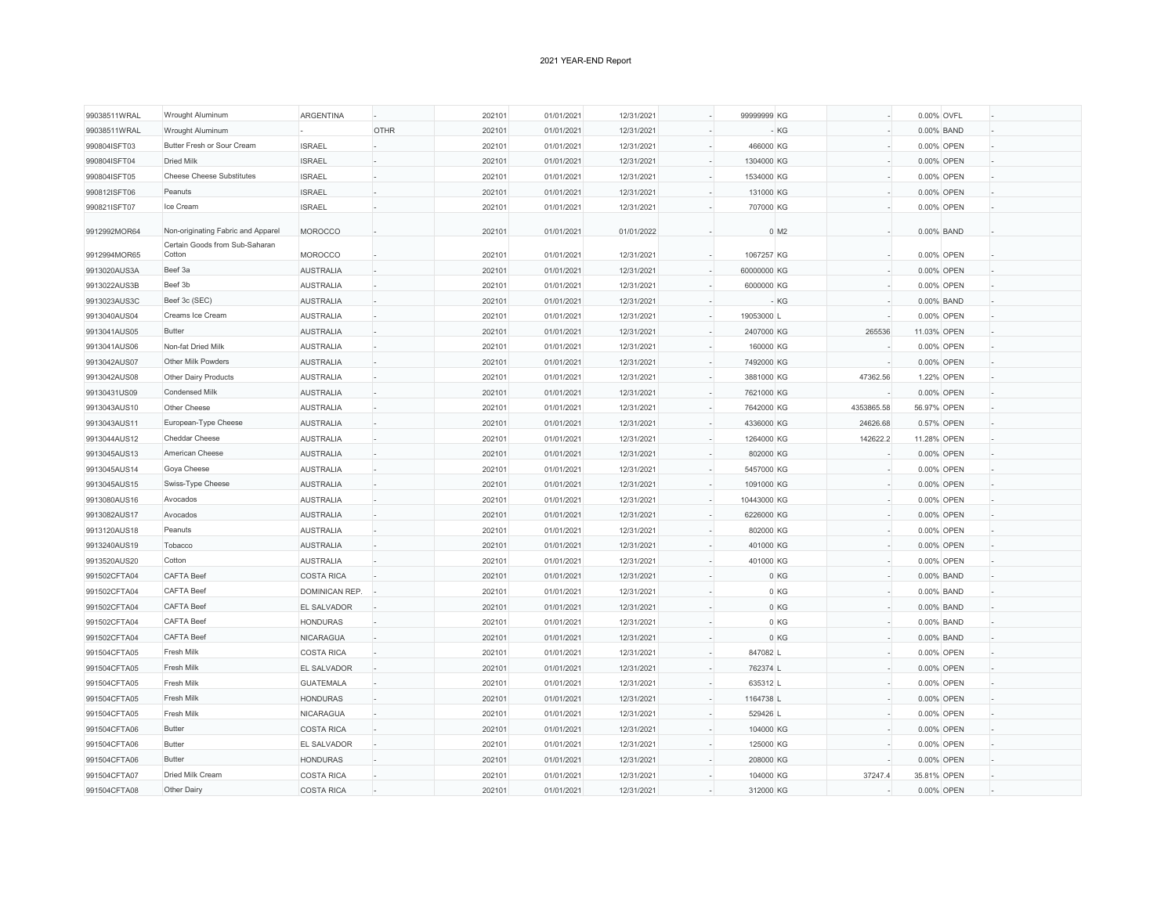| 99038511WRAL<br>99038511WRAL | Wrought Aluminum<br>Wrought Aluminum   | ARGENTINA             | <b>OTHR</b> | 202101           | 01/01/2021               | 12/31/2021 | 99999999 KG |                    |            | 0.00% OVFL  |  |
|------------------------------|----------------------------------------|-----------------------|-------------|------------------|--------------------------|------------|-------------|--------------------|------------|-------------|--|
|                              | Butter Fresh or Sour Cream             |                       |             | 202101           | 01/01/2021               | 12/31/2021 | 466000 KG   | - KG               |            | 0.00% BAND  |  |
| 990804ISFT03                 | <b>Dried Milk</b>                      | <b>ISRAEL</b>         |             | 202101           | 01/01/2021               | 12/31/2021 |             |                    |            | 0.00% OPEN  |  |
| 990804ISFT04                 |                                        | <b>ISRAEL</b>         |             | 202101           | 01/01/2021               | 12/31/2021 | 1304000 KG  |                    |            | 0.00% OPEN  |  |
| 990804ISFT05                 | <b>Cheese Cheese Substitutes</b>       | <b>ISRAEL</b>         |             | 202101           | 01/01/2021               | 12/31/2021 | 1534000 KG  |                    |            | 0.00% OPEN  |  |
| 990812ISFT06                 | Peanuts                                | <b>ISRAEL</b>         |             | 202101           | 01/01/2021               | 12/31/2021 | 131000 KG   |                    |            | 0.00% OPEN  |  |
| 990821ISFT07                 | Ice Cream                              | <b>ISRAEL</b>         |             | 202101           | 01/01/2021               | 12/31/2021 | 707000 KG   |                    |            | 0.00% OPEN  |  |
| 9912992MOR64                 | Non-originating Fabric and Apparel     | <b>MOROCCO</b>        |             | 202101           | 01/01/2021               | 01/01/2022 |             | $0$ M <sub>2</sub> |            | 0.00% BAND  |  |
|                              | Certain Goods from Sub-Saharan         |                       |             |                  |                          |            |             |                    |            |             |  |
| 9912994MOR65                 | Cotton                                 | <b>MOROCCO</b>        |             | 202101           | 01/01/2021               | 12/31/2021 | 1067257 KG  |                    |            | 0.00% OPEN  |  |
| 9913020AUS3A                 | Beef 3a                                | <b>AUSTRALIA</b>      |             | 202101           | 01/01/2021               | 12/31/2021 | 60000000 KG |                    |            | 0.00% OPEN  |  |
| 9913022AUS3B                 | Beef 3b                                | <b>AUSTRALIA</b>      |             | 202101           | 01/01/2021               | 12/31/2021 | 6000000 KG  |                    |            | 0.00% OPEN  |  |
| 9913023AUS3C                 | Beef 3c (SEC)                          | <b>AUSTRALIA</b>      |             | 202101           | 01/01/2021               | 12/31/2021 |             | $-KG$              |            | 0.00% BAND  |  |
| 9913040AUS04                 | Creams Ice Cream                       | <b>AUSTRALIA</b>      |             | 202101           | 01/01/2021               | 12/31/2021 | 19053000 L  |                    |            | 0.00% OPEN  |  |
| 9913041AUS05                 | Butter                                 | <b>AUSTRALIA</b>      |             | 202101           | 01/01/2021               | 12/31/2021 | 2407000 KG  |                    | 265536     | 11.03% OPEN |  |
| 9913041AUS06                 | Non-fat Dried Milk                     | <b>AUSTRALIA</b>      |             | 202101           | 01/01/2021               | 12/31/2021 | 160000 KG   |                    |            | 0.00% OPEN  |  |
| 9913042AUS07                 | Other Milk Powders                     | <b>AUSTRALIA</b>      |             | 202101           | 01/01/2021               | 12/31/2021 | 7492000 KG  |                    |            | 0.00% OPEN  |  |
| 9913042AUS08                 | Other Dairy Products                   | <b>AUSTRALIA</b>      |             | 202101           | 01/01/2021               | 12/31/2021 | 3881000 KG  |                    | 47362.56   | 1.22% OPEN  |  |
| 99130431US09                 | Condensed Milk                         | <b>AUSTRALIA</b>      |             | 202101           | 01/01/2021               | 12/31/2021 | 7621000 KG  |                    |            | 0.00% OPEN  |  |
| 9913043AUS10                 | Other Cheese                           | <b>AUSTRALIA</b>      |             | 202101           | 01/01/2021               | 12/31/2021 | 7642000 KG  |                    | 4353865.58 | 56.97% OPEN |  |
| 9913043AUS11                 | European-Type Cheese                   | <b>AUSTRALIA</b>      |             | 202101           | 01/01/2021               | 12/31/2021 | 4336000 KG  |                    | 24626.68   | 0.57% OPEN  |  |
| 9913044AUS12                 | Cheddar Cheese                         | <b>AUSTRALIA</b>      |             | 202101           | 01/01/2021               | 12/31/2021 | 1264000 KG  |                    | 142622.2   | 11.28% OPEN |  |
| 9913045AUS13                 | American Cheese                        | <b>AUSTRALIA</b>      |             | 202101           | 01/01/2021               | 12/31/2021 | 802000 KG   |                    |            | 0.00% OPEN  |  |
| 9913045AUS14                 | Goya Cheese                            | <b>AUSTRALIA</b>      |             | 202101           | 01/01/2021               | 12/31/2021 | 5457000 KG  |                    |            | 0.00% OPEN  |  |
| 9913045AUS15                 | Swiss-Type Cheese                      | <b>AUSTRALIA</b>      |             | 202101           | 01/01/2021               | 12/31/2021 | 1091000 KG  |                    |            | 0.00% OPEN  |  |
| 9913080AUS16                 | Avocados                               | <b>AUSTRALIA</b>      |             | 202101           | 01/01/2021               | 12/31/2021 | 10443000 KG |                    |            | 0.00% OPEN  |  |
| 9913082AUS17                 | Avocados                               | <b>AUSTRALIA</b>      |             | 202101           | 01/01/2021               | 12/31/2021 | 6226000 KG  |                    |            | 0.00% OPEN  |  |
| 9913120AUS18                 | Peanuts                                | <b>AUSTRALIA</b>      |             | 202101           | 01/01/2021               | 12/31/2021 | 802000 KG   |                    |            | 0.00% OPEN  |  |
| 9913240AUS19                 | Tobacco                                | <b>AUSTRALIA</b>      |             | 202101           | 01/01/2021               | 12/31/2021 | 401000 KG   |                    |            | 0.00% OPEN  |  |
| 9913520AUS20                 | Cotton                                 | <b>AUSTRALIA</b>      |             | 202101           | 01/01/2021               | 12/31/2021 | 401000 KG   |                    |            | 0.00% OPEN  |  |
|                              | <b>CAFTA Beef</b>                      | <b>COSTA RICA</b>     |             |                  |                          | 12/31/2021 |             | 0 KG               |            | 0.00% BAND  |  |
| 991502CFTA04<br>991502CFTA04 | <b>CAFTA Beef</b>                      | <b>DOMINICAN REP.</b> |             | 202101<br>202101 | 01/01/2021<br>01/01/2021 | 12/31/2021 |             | 0 KG               |            | 0.00% BAND  |  |
|                              |                                        |                       |             |                  |                          |            |             |                    |            |             |  |
| 991502CFTA04                 | <b>CAFTA Beef</b><br><b>CAFTA Beef</b> | EL SALVADOR           |             | 202101           | 01/01/2021               | 12/31/2021 |             | 0 KG               |            | 0.00% BAND  |  |
| 991502CFTA04                 |                                        | <b>HONDURAS</b>       |             | 202101           | 01/01/2021               | 12/31/2021 |             | 0 KG               |            | 0.00% BAND  |  |
| 991502CFTA04                 | <b>CAFTA Beef</b>                      | <b>NICARAGUA</b>      |             | 202101           | 01/01/2021               | 12/31/2021 | ä,          | 0 KG               |            | 0.00% BAND  |  |
| 991504CFTA05                 | Fresh Milk                             | <b>COSTA RICA</b>     |             | 202101           | 01/01/2021               | 12/31/2021 | 847082 L    |                    |            | 0.00% OPEN  |  |
| 991504CFTA05                 | Fresh Milk                             | EL SALVADOR           |             | 202101           | 01/01/2021               | 12/31/2021 | 762374 L    |                    |            | 0.00% OPEN  |  |
| 991504CFTA05                 | Fresh Milk                             | <b>GUATEMALA</b>      |             | 202101           | 01/01/2021               | 12/31/2021 | 635312 L    |                    |            | 0.00% OPEN  |  |
| 991504CFTA05                 | Fresh Milk                             | <b>HONDURAS</b>       |             | 202101           | 01/01/2021               | 12/31/2021 | 1164738 L   |                    |            | 0.00% OPEN  |  |
| 991504CFTA05                 | Fresh Milk                             | <b>NICARAGUA</b>      |             | 202101           | 01/01/2021               | 12/31/2021 | 529426 L    |                    |            | 0.00% OPEN  |  |
| 991504CFTA06                 | Butter                                 | <b>COSTA RICA</b>     |             | 202101           | 01/01/2021               | 12/31/2021 | 104000 KG   |                    |            | 0.00% OPEN  |  |
| 991504CFTA06                 | Butter                                 | EL SALVADOR           |             | 202101           | 01/01/2021               | 12/31/2021 | 125000 KG   |                    |            | 0.00% OPEN  |  |
| 991504CFTA06                 | Butter                                 | <b>HONDURAS</b>       |             | 202101           | 01/01/2021               | 12/31/2021 | 208000 KG   |                    |            | 0.00% OPEN  |  |
| 991504CFTA07                 | Dried Milk Cream                       | <b>COSTA RICA</b>     |             | 202101           | 01/01/2021               | 12/31/2021 | 104000 KG   |                    | 37247.4    | 35.81% OPEN |  |
| 991504CFTA08                 | Other Dairy                            | <b>COSTA RICA</b>     |             | 202101           | 01/01/2021               | 12/31/2021 | 312000 KG   |                    |            | 0.00% OPEN  |  |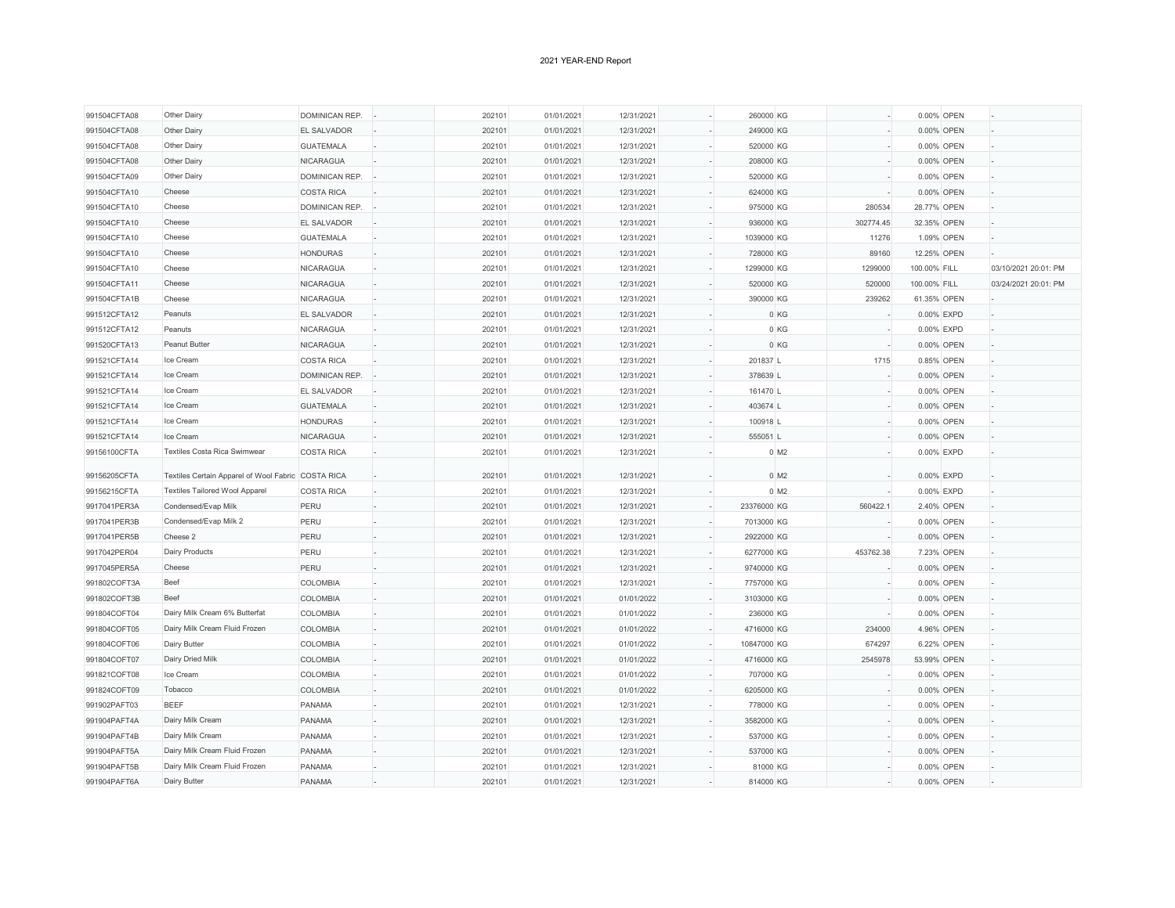| 991504CFTA08 | Other Dairy                                        | DOMINICAN REP.        | 202101 | 01/01/2021 | 12/31/2021 | ÷,             | 260000 KG          |           | 0.00% OPEN   |                      |
|--------------|----------------------------------------------------|-----------------------|--------|------------|------------|----------------|--------------------|-----------|--------------|----------------------|
| 991504CFTA08 | Other Dairy                                        | EL SALVADOR           | 202101 | 01/01/2021 | 12/31/2021 |                | 249000 KG          |           | 0.00% OPEN   |                      |
| 991504CFTA08 | Other Dairy                                        | <b>GUATEMALA</b>      | 202101 | 01/01/2021 | 12/31/2021 |                | 520000 KG          |           | 0.00% OPEN   |                      |
| 991504CFTA08 | Other Dairy                                        | NICARAGUA             | 202101 | 01/01/2021 | 12/31/2021 |                | 208000 KG          |           | 0.00% OPEN   |                      |
| 991504CFTA09 | Other Dairy                                        | <b>DOMINICAN REP.</b> | 202101 | 01/01/2021 | 12/31/2021 | ÷.             | 520000 KG          |           | 0.00% OPEN   |                      |
| 991504CFTA10 | Cheese                                             | <b>COSTA RICA</b>     | 202101 | 01/01/2021 | 12/31/2021 |                | 624000 KG          |           | 0.00% OPEN   |                      |
| 991504CFTA10 | Cheese                                             | DOMINICAN REP.        | 202101 | 01/01/2021 | 12/31/2021 | ÷,             | 975000 KG          | 280534    | 28.77% OPEN  |                      |
| 991504CFTA10 | Cheese                                             | <b>EL SALVADOR</b>    | 202101 | 01/01/2021 | 12/31/2021 |                | 936000 KG          | 302774.45 | 32.35% OPEN  |                      |
| 991504CFTA10 | Cheese                                             | <b>GUATEMALA</b>      | 202101 | 01/01/2021 | 12/31/2021 |                | 1039000 KG         | 11276     | 1.09% OPEN   |                      |
| 991504CFTA10 | Cheese                                             | <b>HONDURAS</b>       | 202101 | 01/01/2021 | 12/31/2021 |                | 728000 KG          | 89160     | 12.25% OPEN  |                      |
| 991504CFTA10 | Cheese                                             | <b>NICARAGUA</b>      | 202101 | 01/01/2021 | 12/31/2021 | ÷.             | 1299000 KG         | 1299000   | 100.00% FILL | 03/10/2021 20:01: PM |
| 991504CFTA11 | Cheese                                             | <b>NICARAGUA</b>      | 202101 | 01/01/2021 | 12/31/2021 |                | 520000 KG          | 520000    | 100.00% FILL | 03/24/2021 20:01: PM |
| 991504CFTA1B | Cheese                                             | <b>NICARAGUA</b>      | 202101 | 01/01/2021 | 12/31/2021 | ÷,             | 390000 KG          | 239262    | 61.35% OPEN  |                      |
| 991512CFTA12 | Peanuts                                            | <b>EL SALVADOR</b>    | 202101 | 01/01/2021 | 12/31/2021 |                | 0 KG               |           | 0.00% EXPD   |                      |
| 991512CFTA12 | Peanuts                                            | NICARAGUA             | 202101 | 01/01/2021 | 12/31/2021 |                | 0 KG               |           | 0.00% EXPD   |                      |
| 991520CFTA13 | Peanut Butter                                      | <b>NICARAGUA</b>      | 202101 | 01/01/2021 | 12/31/2021 | $\sim$         | 0 KG               |           | 0.00% OPEN   |                      |
| 991521CFTA14 | Ice Cream                                          | <b>COSTA RICA</b>     | 202101 | 01/01/2021 | 12/31/2021 | ÷,             | 201837 L           | 1715      | 0.85% OPEN   |                      |
| 991521CFTA14 | Ice Cream                                          | DOMINICAN REP.        | 202101 | 01/01/2021 | 12/31/2021 |                | 378639 L           |           | 0.00% OPEN   |                      |
| 991521CFTA14 | Ice Cream                                          | <b>EL SALVADOR</b>    | 202101 | 01/01/2021 | 12/31/2021 | ÷,             | 161470 L           |           | 0.00% OPEN   |                      |
| 991521CFTA14 | Ice Cream                                          | <b>GUATEMALA</b>      | 202101 | 01/01/2021 | 12/31/2021 |                | 403674 L           |           | 0.00% OPEN   |                      |
| 991521CFTA14 | Ice Cream                                          | <b>HONDURAS</b>       | 202101 | 01/01/2021 | 12/31/2021 |                | 100918 L           |           | 0.00% OPEN   |                      |
| 991521CFTA14 | Ice Cream                                          | <b>NICARAGUA</b>      | 202101 | 01/01/2021 | 12/31/2021 |                | 555051L            |           | 0.00% OPEN   |                      |
| 99156100CFTA | Textiles Costa Rica Swimwear                       | <b>COSTA RICA</b>     | 202101 | 01/01/2021 | 12/31/2021 |                | $0$ M <sub>2</sub> |           | 0.00% EXPD   |                      |
|              |                                                    |                       |        |            |            |                |                    |           |              |                      |
| 99156205CFTA | Textiles Certain Apparel of Wool Fabric COSTA RICA |                       | 202101 | 01/01/2021 | 12/31/2021 |                | $0$ M <sub>2</sub> |           | 0.00% EXPD   |                      |
| 99156215CFTA | <b>Textiles Tailored Wool Apparel</b>              | <b>COSTA RICA</b>     | 202101 | 01/01/2021 | 12/31/2021 | ä,             | $0$ M <sub>2</sub> |           | 0.00% EXPD   |                      |
| 9917041PER3A | Condensed/Evap Milk                                | PERU                  | 202101 | 01/01/2021 | 12/31/2021 | ÷,             | 23376000 KG        | 560422.1  | 2.40% OPEN   |                      |
| 9917041PER3B | Condensed/Evap Milk 2                              | PERU                  | 202101 | 01/01/2021 | 12/31/2021 |                | 7013000 KG         |           | 0.00% OPEN   |                      |
| 9917041PER5B | Cheese 2                                           | PERU                  | 202101 | 01/01/2021 | 12/31/2021 | ä,             | 2922000 KG         |           | 0.00% OPEN   |                      |
| 9917042PER04 | Dairy Products                                     | PERU                  | 202101 | 01/01/2021 | 12/31/2021 | $\sim$         | 6277000 KG         | 453762.38 | 7.23% OPEN   |                      |
| 9917045PER5A | Cheese                                             | PERU                  | 202101 | 01/01/2021 | 12/31/2021 |                | 9740000 KG         |           | 0.00% OPEN   |                      |
| 991802COFT3A | Beef                                               | COLOMBIA              | 202101 | 01/01/2021 | 12/31/2021 | ÷,             | 7757000 KG         |           | 0.00% OPEN   |                      |
| 991802COFT3B | Beef                                               | COLOMBIA              | 202101 | 01/01/2021 | 01/01/2022 | ÷,             | 3103000 KG         |           | 0.00% OPEN   |                      |
| 991804COFT04 | Dairy Milk Cream 6% Butterfat                      | COLOMBIA              | 202101 | 01/01/2021 | 01/01/2022 |                | 236000 KG          |           | 0.00% OPEN   |                      |
| 991804COFT05 | Dairy Milk Cream Fluid Frozen                      | COLOMBIA              | 202101 | 01/01/2021 | 01/01/2022 |                | 4716000 KG         | 234000    | 4.96% OPEN   |                      |
| 991804COFT06 | Dairy Butter                                       | COLOMBIA              | 202101 | 01/01/2021 | 01/01/2022 | ä,             | 10847000 KG        | 674297    | 6.22% OPEN   |                      |
| 991804COFT07 | Dairy Dried Milk                                   | COLOMBIA              | 202101 | 01/01/2021 | 01/01/2022 |                | 4716000 KG         | 2545978   | 53.99% OPEN  |                      |
| 991821COFT08 | Ice Cream                                          | COLOMBIA              | 202101 | 01/01/2021 | 01/01/2022 | $\overline{a}$ | 707000 KG          |           | 0.00% OPEN   |                      |
| 991824COFT09 | Tobacco                                            | COLOMBIA              | 202101 | 01/01/2021 | 01/01/2022 |                | 6205000 KG         |           | 0.00% OPEN   |                      |
| 991902PAFT03 | <b>BEEF</b>                                        | PANAMA                | 202101 | 01/01/2021 | 12/31/2021 |                | 778000 KG          |           | 0.00% OPEN   |                      |
| 991904PAFT4A | Dairy Milk Cream                                   | PANAMA                | 202101 | 01/01/2021 | 12/31/2021 |                | 3582000 KG         |           | 0.00% OPEN   |                      |
| 991904PAFT4B | Dairy Milk Cream                                   | PANAMA                | 202101 | 01/01/2021 | 12/31/2021 |                | 537000 KG          |           | 0.00% OPEN   |                      |
| 991904PAFT5A | Dairy Milk Cream Fluid Frozen                      | PANAMA                | 202101 | 01/01/2021 | 12/31/2021 |                | 537000 KG          |           | 0.00% OPEN   |                      |
| 991904PAFT5B | Dairy Milk Cream Fluid Frozen                      | PANAMA                | 202101 | 01/01/2021 | 12/31/2021 | ÷,             | 81000 KG           |           | 0.00% OPEN   |                      |
|              | Dairy Butter                                       | PANAMA                | 202101 | 01/01/2021 | 12/31/2021 |                | 814000 KG          |           | 0.00% OPEN   |                      |